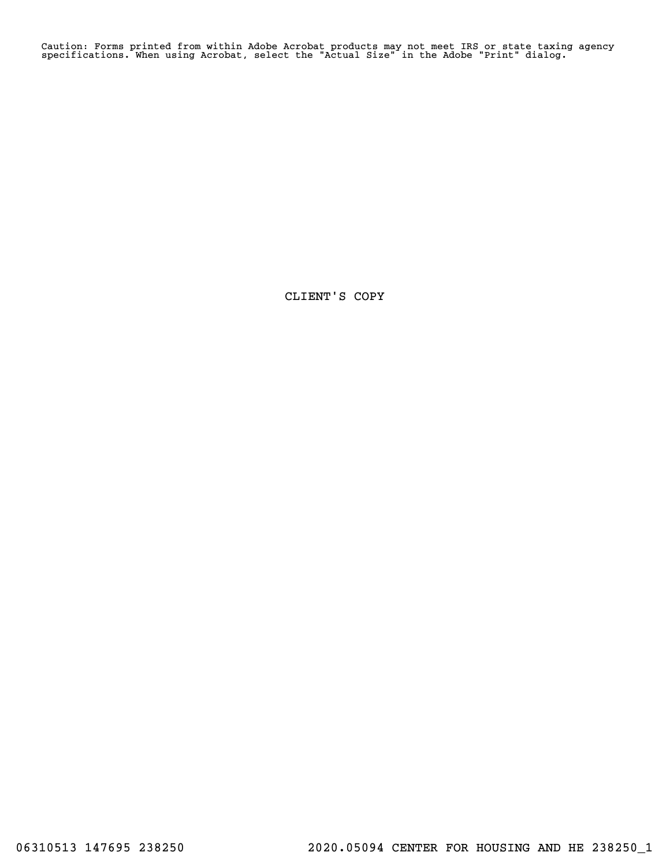Caution: Forms printed from within Adobe Acrobat products may not meet IRS or state taxing agency specifications. When using Acrobat, select the "Actual Size" in the Adobe "Print" dialog.

CLIENT'S COPY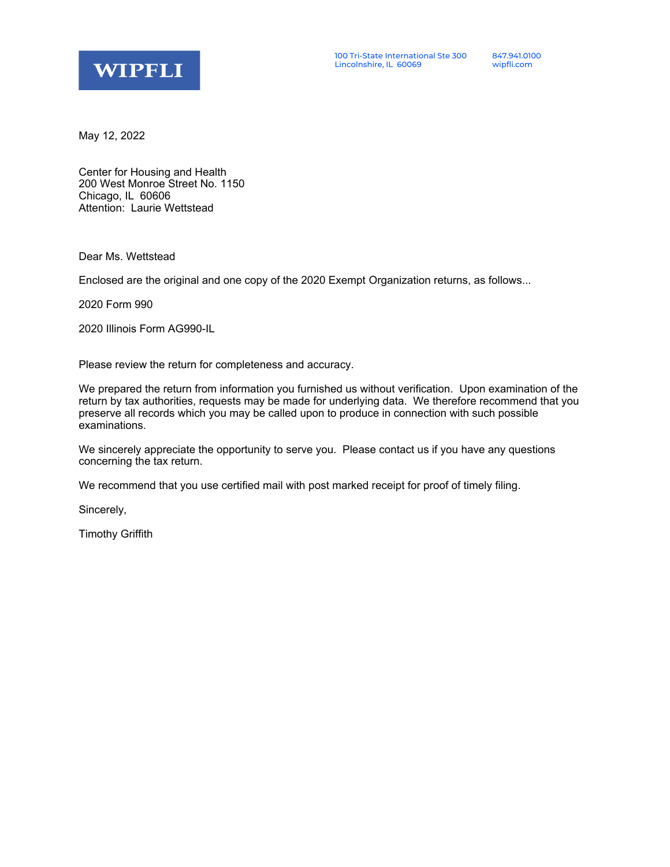

May 12, 2022

Center for Housing and Health 200 West Monroe Street No. 1150 Chicago, IL 60606 Attention: Laurie Wettstead

Dear Ms. Wettstead

Enclosed are the original and one copy of the 2020 Exempt Organization returns, as follows...

2020 Form 990

2020 Illinois Form AG990-IL

Please review the return for completeness and accuracy.

We prepared the return from information you furnished us without verification. Upon examination of the return by tax authorities, requests may be made for underlying data. We therefore recommend that you preserve all records which you may be called upon to produce in connection with such possible examinations.

We sincerely appreciate the opportunity to serve you. Please contact us if you have any questions concerning the tax return.

We recommend that you use certified mail with post marked receipt for proof of timely filing.

Sincerely,

Timothy Griffith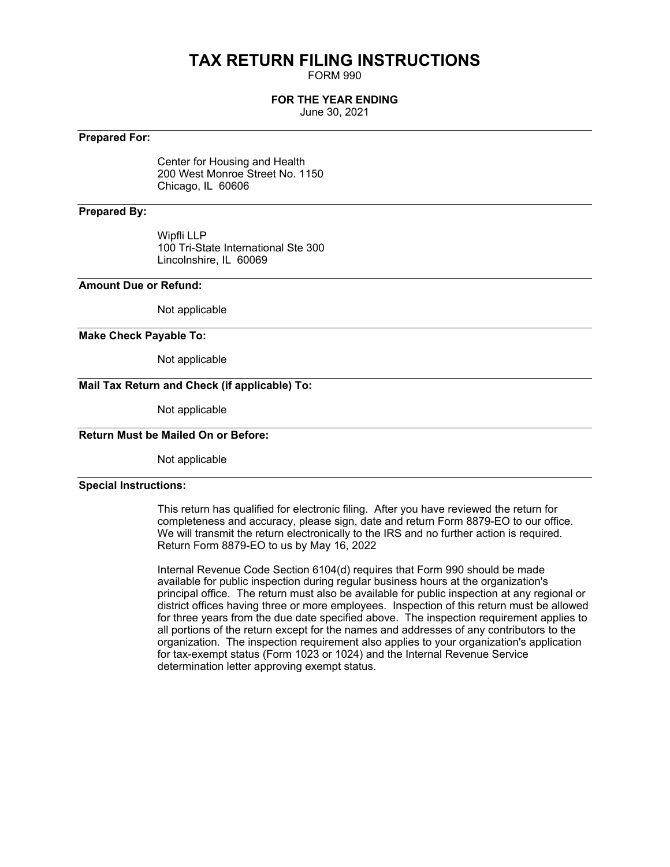## **TAX RETURN FILING INSTRUCTIONS**

FORM 990

#### **FOR THE YEAR ENDING**

June 30, 2021

#### **Prepared For:**

Center for Housing and Health 200 West Monroe Street No. 1150 Chicago, IL 60606

#### **Prepared By:**

Wipfli LLP 100 Tri-State International Ste 300 Lincolnshire, IL 60069

#### **Amount Due or Refund:**

Not applicable

#### **Make Check Payable To:**

Not applicable

#### **Mail Tax Return and Check (if applicable) To:**

Not applicable

### **Return Must be Mailed On or Before:**

Not applicable

#### **Special Instructions:**

This return has qualified for electronic filing. After you have reviewed the return for completeness and accuracy, please sign, date and return Form 8879-EO to our office. We will transmit the return electronically to the IRS and no further action is required. Return Form 8879-EO to us by May 16, 2022

Internal Revenue Code Section 6104(d) requires that Form 990 should be made available for public inspection during regular business hours at the organization's principal office. The return must also be available for public inspection at any regional or district offices having three or more employees. Inspection of this return must be allowed for three years from the due date specified above. The inspection requirement applies to all portions of the return except for the names and addresses of any contributors to the organization. The inspection requirement also applies to your organization's application for tax-exempt status (Form 1023 or 1024) and the Internal Revenue Service determination letter approving exempt status.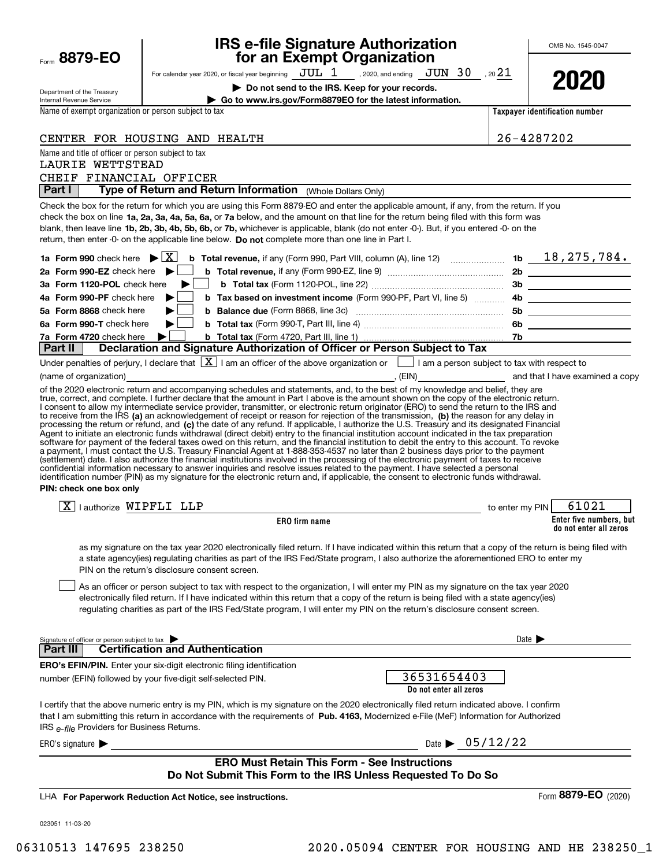| Form 8879-EO                                                            | <b>IRS e-file Signature Authorization</b><br>for an Exempt Organization                                                                                                                                                                                                                                                                                                                                                                                                                                                                                                                                                                                                                                                                                                                                                                           |                            | OMB No. 1545-0047              |
|-------------------------------------------------------------------------|---------------------------------------------------------------------------------------------------------------------------------------------------------------------------------------------------------------------------------------------------------------------------------------------------------------------------------------------------------------------------------------------------------------------------------------------------------------------------------------------------------------------------------------------------------------------------------------------------------------------------------------------------------------------------------------------------------------------------------------------------------------------------------------------------------------------------------------------------|----------------------------|--------------------------------|
|                                                                         | For calendar year 2020, or fiscal year beginning $JUL$ 1, 2020, and ending $JUN$ 30, 20 21                                                                                                                                                                                                                                                                                                                                                                                                                                                                                                                                                                                                                                                                                                                                                        |                            |                                |
|                                                                         | Do not send to the IRS. Keep for your records.                                                                                                                                                                                                                                                                                                                                                                                                                                                                                                                                                                                                                                                                                                                                                                                                    |                            | 2020                           |
| Department of the Treasury<br><b>Internal Revenue Service</b>           | Go to www.irs.gov/Form8879EO for the latest information.                                                                                                                                                                                                                                                                                                                                                                                                                                                                                                                                                                                                                                                                                                                                                                                          |                            |                                |
| Name of exempt organization or person subject to tax                    |                                                                                                                                                                                                                                                                                                                                                                                                                                                                                                                                                                                                                                                                                                                                                                                                                                                   |                            | Taxpayer identification number |
|                                                                         |                                                                                                                                                                                                                                                                                                                                                                                                                                                                                                                                                                                                                                                                                                                                                                                                                                                   |                            |                                |
|                                                                         | CENTER FOR HOUSING AND HEALTH                                                                                                                                                                                                                                                                                                                                                                                                                                                                                                                                                                                                                                                                                                                                                                                                                     |                            | 26-4287202                     |
| Name and title of officer or person subject to tax<br>LAURIE WETTSTEAD  |                                                                                                                                                                                                                                                                                                                                                                                                                                                                                                                                                                                                                                                                                                                                                                                                                                                   |                            |                                |
| CHEIF FINANCIAL OFFICER                                                 |                                                                                                                                                                                                                                                                                                                                                                                                                                                                                                                                                                                                                                                                                                                                                                                                                                                   |                            |                                |
| Part I                                                                  | Type of Return and Return Information (Whole Dollars Only)                                                                                                                                                                                                                                                                                                                                                                                                                                                                                                                                                                                                                                                                                                                                                                                        |                            |                                |
| 1a Form 990 check here $\blacktriangleright \lceil \overline{X} \rceil$ | Check the box for the return for which you are using this Form 8879-EO and enter the applicable amount, if any, from the return. If you<br>check the box on line 1a, 2a, 3a, 4a, 5a, 6a, or 7a below, and the amount on that line for the return being filed with this form was<br>blank, then leave line 1b, 2b, 3b, 4b, 5b, 6b, or 7b, whichever is applicable, blank (do not enter -0-). But, if you entered -0- on the<br>return, then enter -0- on the applicable line below. Do not complete more than one line in Part I.<br><b>b</b> Total revenue, if any (Form 990, Part VIII, column (A), line 12) $\ldots$ 10 $\ldots$ 16 $\ldots$ 18, 275, 784.                                                                                                                                                                                      |                            |                                |
| 2a Form 990-EZ check here $\blacktriangleright$                         |                                                                                                                                                                                                                                                                                                                                                                                                                                                                                                                                                                                                                                                                                                                                                                                                                                                   |                            |                                |
| 3a Form 1120-POL check here<br>4a Form 990-PF check here                |                                                                                                                                                                                                                                                                                                                                                                                                                                                                                                                                                                                                                                                                                                                                                                                                                                                   |                            |                                |
| 5a Form 8868 check here                                                 | <b>b</b> Tax based on investment income (Form 990-PF, Part VI, line 5)                                                                                                                                                                                                                                                                                                                                                                                                                                                                                                                                                                                                                                                                                                                                                                            |                            |                                |
| 6a Form 990-T check here                                                |                                                                                                                                                                                                                                                                                                                                                                                                                                                                                                                                                                                                                                                                                                                                                                                                                                                   |                            | 5b _____________________       |
| 7a Form 4720 check here                                                 |                                                                                                                                                                                                                                                                                                                                                                                                                                                                                                                                                                                                                                                                                                                                                                                                                                                   |                            |                                |
| Part II                                                                 | Declaration and Signature Authorization of Officer or Person Subject to Tax                                                                                                                                                                                                                                                                                                                                                                                                                                                                                                                                                                                                                                                                                                                                                                       |                            |                                |
|                                                                         | Under penalties of perjury, I declare that $\boxed{\mathbf{X}}$ I am an officer of the above organization or $\boxed{\phantom{\mathbf{X}}}$ I am a person subject to tax with respect to                                                                                                                                                                                                                                                                                                                                                                                                                                                                                                                                                                                                                                                          |                            |                                |
|                                                                         |                                                                                                                                                                                                                                                                                                                                                                                                                                                                                                                                                                                                                                                                                                                                                                                                                                                   |                            |                                |
| PIN: check one box only                                                 | Agent to initiate an electronic funds withdrawal (direct debit) entry to the financial institution account indicated in the tax preparation<br>software for payment of the federal taxes owed on this return, and the financial institution to debit the entry to this account. To revoke<br>a payment, I must contact the U.S. Treasury Financial Agent at 1-888-353-4537 no later than 2 business days prior to the payment<br>(settlement) date. I also authorize the financial institutions involved in the processing of the electronic payment of taxes to receive<br>confidential information necessary to answer inquiries and resolve issues related to the payment. I have selected a personal<br>identification number (PIN) as my signature for the electronic return and, if applicable, the consent to electronic funds withdrawal. |                            |                                |
| $ X $ i authorize $\texttt{WIPFLI}$ LLP                                 | to enter my PIN                                                                                                                                                                                                                                                                                                                                                                                                                                                                                                                                                                                                                                                                                                                                                                                                                                   |                            | 61021                          |
|                                                                         | ERO firm name                                                                                                                                                                                                                                                                                                                                                                                                                                                                                                                                                                                                                                                                                                                                                                                                                                     |                            | Enter five numbers, but        |
|                                                                         | as my signature on the tax year 2020 electronically filed return. If I have indicated within this return that a copy of the return is being filed with<br>a state agency(ies) regulating charities as part of the IRS Fed/State program, I also authorize the aforementioned ERO to enter my<br>PIN on the return's disclosure consent screen.<br>As an officer or person subject to tax with respect to the organization, I will enter my PIN as my signature on the tax year 2020<br>electronically filed return. If I have indicated within this return that a copy of the return is being filed with a state agency(ies)<br>regulating charities as part of the IRS Fed/State program, I will enter my PIN on the return's disclosure consent screen.                                                                                         |                            | do not enter all zeros         |
| Signature of officer or person subject to tax                           |                                                                                                                                                                                                                                                                                                                                                                                                                                                                                                                                                                                                                                                                                                                                                                                                                                                   | Date $\blacktriangleright$ |                                |
| <b>Part III</b>                                                         | <b>Certification and Authentication</b>                                                                                                                                                                                                                                                                                                                                                                                                                                                                                                                                                                                                                                                                                                                                                                                                           |                            |                                |
|                                                                         | <b>ERO's EFIN/PIN.</b> Enter your six-digit electronic filing identification<br>36531654403<br>number (EFIN) followed by your five-digit self-selected PIN.<br>Do not enter all zeros                                                                                                                                                                                                                                                                                                                                                                                                                                                                                                                                                                                                                                                             |                            |                                |
| IRS e-file Providers for Business Returns.                              | I certify that the above numeric entry is my PIN, which is my signature on the 2020 electronically filed return indicated above. I confirm<br>that I am submitting this return in accordance with the requirements of Pub. 4163, Modernized e-File (MeF) Information for Authorized                                                                                                                                                                                                                                                                                                                                                                                                                                                                                                                                                               |                            |                                |
| ERO's signature $\blacktriangleright$                                   | Date $\triangleright$ 05/12/22                                                                                                                                                                                                                                                                                                                                                                                                                                                                                                                                                                                                                                                                                                                                                                                                                    |                            |                                |
|                                                                         | <b>ERO Must Retain This Form - See Instructions</b><br>Do Not Submit This Form to the IRS Unless Requested To Do So                                                                                                                                                                                                                                                                                                                                                                                                                                                                                                                                                                                                                                                                                                                               |                            |                                |
|                                                                         | LHA For Paperwork Reduction Act Notice, see instructions.                                                                                                                                                                                                                                                                                                                                                                                                                                                                                                                                                                                                                                                                                                                                                                                         |                            | Form 8879-EO (2020)            |
| 023051 11-03-20                                                         |                                                                                                                                                                                                                                                                                                                                                                                                                                                                                                                                                                                                                                                                                                                                                                                                                                                   |                            |                                |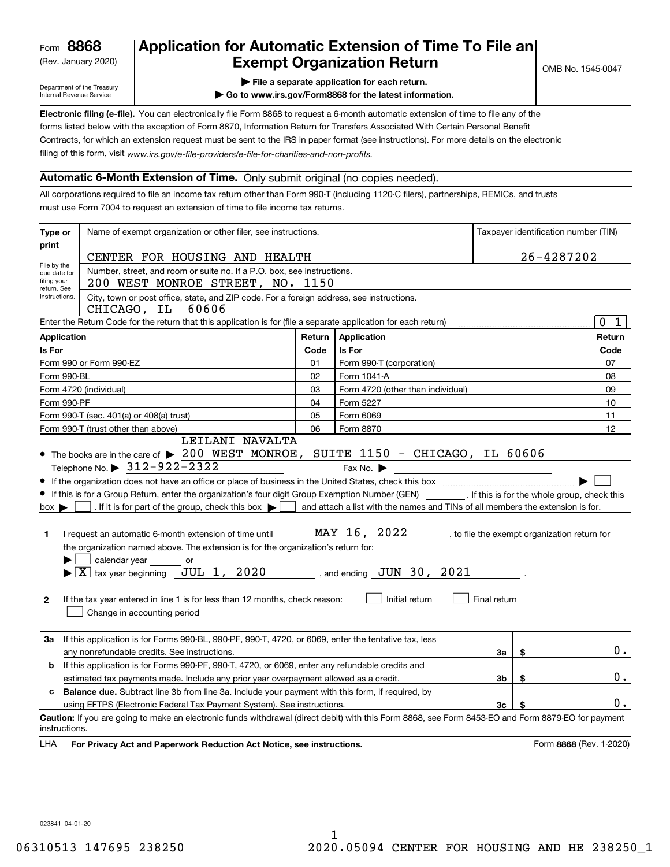(Rev. January 2020)

## **Application for Automatic Extension of Time To File an Exempt Organization Return**

Department of the Treasury Internal Revenue Service

- **| File a separate application for each return.**
- **| Go to www.irs.gov/Form8868 for the latest information.**

**Electronic filing (e-file).**  You can electronically file Form 8868 to request a 6-month automatic extension of time to file any of the filing of this form, visit www.irs.gov/e-file-providers/e-file-for-charities-and-non-profits. forms listed below with the exception of Form 8870, Information Return for Transfers Associated With Certain Personal Benefit Contracts, for which an extension request must be sent to the IRS in paper format (see instructions). For more details on the electronic

#### **Automatic 6-Month Extension of Time.** Only submit original (no copies needed).

All corporations required to file an income tax return other than Form 990-T (including 1120-C filers), partnerships, REMICs, and trusts must use Form 7004 to request an extension of time to file income tax returns.

| Type or                                                                                                                                                                                                                                                                              | Name of exempt organization or other filer, see instructions.                                                                                                                                                                                                                                                                                                                                                                                                                                                                                                                                              |        |                                                                                                                                                 |                |            | Taxpayer identification number (TIN)         |  |
|--------------------------------------------------------------------------------------------------------------------------------------------------------------------------------------------------------------------------------------------------------------------------------------|------------------------------------------------------------------------------------------------------------------------------------------------------------------------------------------------------------------------------------------------------------------------------------------------------------------------------------------------------------------------------------------------------------------------------------------------------------------------------------------------------------------------------------------------------------------------------------------------------------|--------|-------------------------------------------------------------------------------------------------------------------------------------------------|----------------|------------|----------------------------------------------|--|
| print                                                                                                                                                                                                                                                                                | CENTER FOR HOUSING AND HEALTH                                                                                                                                                                                                                                                                                                                                                                                                                                                                                                                                                                              |        |                                                                                                                                                 |                | 26-4287202 |                                              |  |
| File by the<br>Number, street, and room or suite no. If a P.O. box, see instructions.<br>due date for<br>filing your<br>200 WEST MONROE STREET, NO. 1150<br>return. See<br>City, town or post office, state, and ZIP code. For a foreign address, see instructions.<br>instructions. |                                                                                                                                                                                                                                                                                                                                                                                                                                                                                                                                                                                                            |        |                                                                                                                                                 |                |            |                                              |  |
|                                                                                                                                                                                                                                                                                      | CHICAGO, IL<br>60606                                                                                                                                                                                                                                                                                                                                                                                                                                                                                                                                                                                       |        |                                                                                                                                                 |                |            |                                              |  |
|                                                                                                                                                                                                                                                                                      | Enter the Return Code for the return that this application is for (file a separate application for each return)                                                                                                                                                                                                                                                                                                                                                                                                                                                                                            |        |                                                                                                                                                 |                |            | $\mathbf 0$<br>1                             |  |
| Application                                                                                                                                                                                                                                                                          |                                                                                                                                                                                                                                                                                                                                                                                                                                                                                                                                                                                                            | Return | Application                                                                                                                                     |                |            | Return                                       |  |
| Is For                                                                                                                                                                                                                                                                               |                                                                                                                                                                                                                                                                                                                                                                                                                                                                                                                                                                                                            | Code   | Is For                                                                                                                                          |                |            | Code                                         |  |
|                                                                                                                                                                                                                                                                                      | Form 990 or Form 990-EZ                                                                                                                                                                                                                                                                                                                                                                                                                                                                                                                                                                                    | 01     | Form 990-T (corporation)                                                                                                                        |                |            | 07                                           |  |
|                                                                                                                                                                                                                                                                                      | Form 990-BL                                                                                                                                                                                                                                                                                                                                                                                                                                                                                                                                                                                                | 02     | Form 1041-A                                                                                                                                     |                |            | 08                                           |  |
|                                                                                                                                                                                                                                                                                      | Form 4720 (individual)                                                                                                                                                                                                                                                                                                                                                                                                                                                                                                                                                                                     | 03     | Form 4720 (other than individual)                                                                                                               |                |            | 09                                           |  |
|                                                                                                                                                                                                                                                                                      | Form 990-PF                                                                                                                                                                                                                                                                                                                                                                                                                                                                                                                                                                                                | 04     | Form 5227                                                                                                                                       |                |            | 10                                           |  |
|                                                                                                                                                                                                                                                                                      | Form 990-T (sec. 401(a) or 408(a) trust)                                                                                                                                                                                                                                                                                                                                                                                                                                                                                                                                                                   | 05     | Form 6069                                                                                                                                       |                |            | 11                                           |  |
|                                                                                                                                                                                                                                                                                      | Form 990-T (trust other than above)<br>LEILANI NAVALTA                                                                                                                                                                                                                                                                                                                                                                                                                                                                                                                                                     | 06     | Form 8870                                                                                                                                       |                |            | 12                                           |  |
| $box \blacktriangleright$<br>1<br>$\mathbf{2}$                                                                                                                                                                                                                                       | • If this is for a Group Return, enter the organization's four digit Group Exemption Number (GEN) [167]. If this is for the whole group, check this<br>. If it is for part of the group, check this box $\blacktriangleright$<br>I request an automatic 6-month extension of time until<br>the organization named above. The extension is for the organization's return for:<br>calendar year or<br>$\blacktriangleright$ $\boxed{\text{X}}$ tax year beginning $\boxed{\text{JUL}}$ 1, 2020<br>If the tax year entered in line 1 is for less than 12 months, check reason:<br>Change in accounting period |        | and attach a list with the names and TINs of all members the extension is for.<br>MAY 16, 2022<br>, and ending $JUN$ 30, 2021<br>Initial return | Final return   |            | , to file the exempt organization return for |  |
| За                                                                                                                                                                                                                                                                                   | If this application is for Forms 990-BL, 990-PF, 990-T, 4720, or 6069, enter the tentative tax, less<br>any nonrefundable credits. See instructions.                                                                                                                                                                                                                                                                                                                                                                                                                                                       |        |                                                                                                                                                 | За             | \$         | $0$ .                                        |  |
| b                                                                                                                                                                                                                                                                                    | If this application is for Forms 990-PF, 990-T, 4720, or 6069, enter any refundable credits and                                                                                                                                                                                                                                                                                                                                                                                                                                                                                                            |        |                                                                                                                                                 |                |            |                                              |  |
|                                                                                                                                                                                                                                                                                      | estimated tax payments made. Include any prior year overpayment allowed as a credit.                                                                                                                                                                                                                                                                                                                                                                                                                                                                                                                       |        |                                                                                                                                                 | 3b             | \$         | 0.                                           |  |
| c                                                                                                                                                                                                                                                                                    | <b>Balance due.</b> Subtract line 3b from line 3a. Include your payment with this form, if required, by                                                                                                                                                                                                                                                                                                                                                                                                                                                                                                    |        |                                                                                                                                                 |                |            |                                              |  |
|                                                                                                                                                                                                                                                                                      | using EFTPS (Electronic Federal Tax Payment System). See instructions.                                                                                                                                                                                                                                                                                                                                                                                                                                                                                                                                     |        |                                                                                                                                                 | 3 <sub>c</sub> | \$         | $0$ .                                        |  |
| instructions.<br>LHA                                                                                                                                                                                                                                                                 | Caution: If you are going to make an electronic funds withdrawal (direct debit) with this Form 8868, see Form 8453-EO and Form 8879-EO for payment<br>For Privacy Act and Paperwork Reduction Act Notice, see instructions.                                                                                                                                                                                                                                                                                                                                                                                |        |                                                                                                                                                 |                |            | Form 8868 (Rev. 1-2020)                      |  |

023841 04-01-20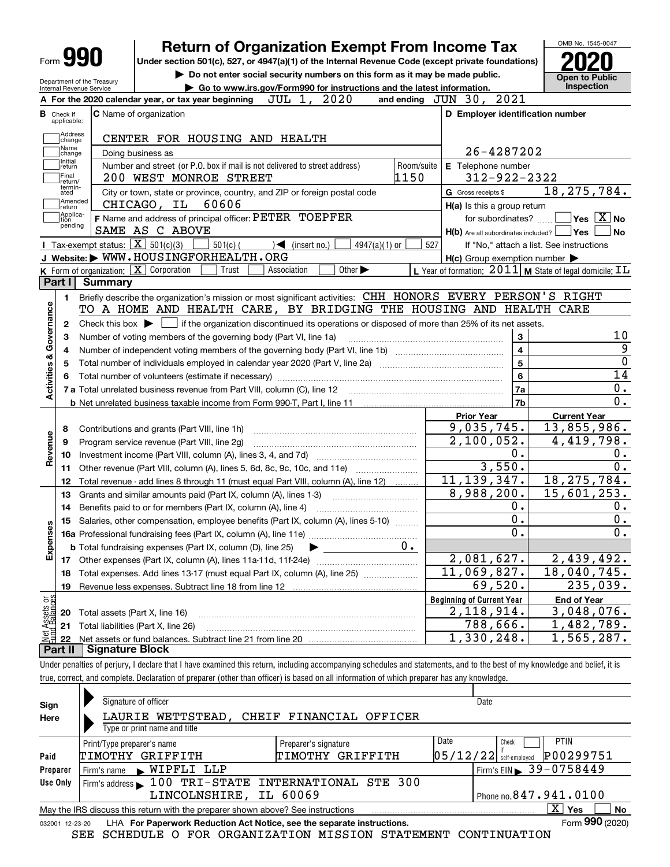|                                    | <b>Form 990</b>                                        |                | <b>Return of Organization Exempt From Income Tax</b>                                                                                                                              |            |                                                           | OMB No. 1545-0047                                                                                                                                                |
|------------------------------------|--------------------------------------------------------|----------------|-----------------------------------------------------------------------------------------------------------------------------------------------------------------------------------|------------|-----------------------------------------------------------|------------------------------------------------------------------------------------------------------------------------------------------------------------------|
|                                    |                                                        |                | Under section 501(c), 527, or 4947(a)(1) of the Internal Revenue Code (except private foundations)<br>Do not enter social security numbers on this form as it may be made public. |            |                                                           |                                                                                                                                                                  |
|                                    | Department of the Treasury<br>Internal Revenue Service |                | Go to www.irs.gov/Form990 for instructions and the latest information.                                                                                                            |            |                                                           | Open to Public<br>Inspection                                                                                                                                     |
|                                    |                                                        |                | JUL 1, 2020<br>A For the 2020 calendar year, or tax year beginning                                                                                                                |            | and ending JUN 30, 2021                                   |                                                                                                                                                                  |
|                                    | <b>B</b> Check if                                      |                | <b>C</b> Name of organization                                                                                                                                                     |            | D Employer identification number                          |                                                                                                                                                                  |
|                                    | applicable:                                            |                |                                                                                                                                                                                   |            |                                                           |                                                                                                                                                                  |
|                                    | Address<br>change                                      |                | CENTER FOR HOUSING AND HEALTH                                                                                                                                                     |            |                                                           |                                                                                                                                                                  |
|                                    | Name<br>change                                         |                | Doing business as                                                                                                                                                                 |            | 26-4287202                                                |                                                                                                                                                                  |
|                                    | Initial<br>return                                      |                | Number and street (or P.O. box if mail is not delivered to street address)                                                                                                        | Room/suite | E Telephone number                                        |                                                                                                                                                                  |
|                                    | Final<br>return/                                       |                | 200 WEST MONROE STREET                                                                                                                                                            | 1150       | $312 - 922 - 2322$                                        |                                                                                                                                                                  |
|                                    | termin-<br>ated                                        |                | City or town, state or province, country, and ZIP or foreign postal code                                                                                                          |            | G Gross receipts \$                                       | 18, 275, 784.                                                                                                                                                    |
|                                    | Amended<br>return                                      |                | CHICAGO, IL<br>60606                                                                                                                                                              |            | H(a) Is this a group return                               |                                                                                                                                                                  |
|                                    | Applica-<br>tion<br>pending                            |                | F Name and address of principal officer: PETER TOEPFER                                                                                                                            |            | for subordinates?                                         | $\sqrt{}$ Yes $\sqrt{}$ X $\sqrt{}$ No                                                                                                                           |
|                                    |                                                        |                | SAME AS C ABOVE                                                                                                                                                                   |            | H(b) Are all subordinates included?   Yes                 | No                                                                                                                                                               |
|                                    |                                                        |                | Tax-exempt status: $\boxed{\mathbf{X}}$ 501(c)(3)<br>$501(c)$ (<br>4947(a)(1) or<br>$\sqrt{\bullet}$ (insert no.)                                                                 |            | 527                                                       | If "No," attach a list. See instructions                                                                                                                         |
|                                    |                                                        |                | J Website: WWW.HOUSINGFORHEALTH.ORG                                                                                                                                               |            | $H(c)$ Group exemption number $\blacktriangleright$       |                                                                                                                                                                  |
|                                    |                                                        |                | K Form of organization: X Corporation<br>Other $\blacktriangleright$<br>Trust<br>Association                                                                                      |            | L Year of formation: $2011$ M State of legal domicile: IL |                                                                                                                                                                  |
|                                    | Part I                                                 | <b>Summary</b> |                                                                                                                                                                                   |            |                                                           |                                                                                                                                                                  |
|                                    | 1.                                                     |                | Briefly describe the organization's mission or most significant activities: CHH HONORS EVERY PERSON'S RIGHT                                                                       |            |                                                           |                                                                                                                                                                  |
|                                    |                                                        |                | TO A HOME AND HEALTH CARE, BY BRIDGING THE HOUSING AND HEALTH CARE                                                                                                                |            |                                                           |                                                                                                                                                                  |
|                                    | 2                                                      |                | Check this box $\blacktriangleright$ $\blacksquare$ if the organization discontinued its operations or disposed of more than 25% of its net assets.                               |            |                                                           | 10                                                                                                                                                               |
|                                    | 3                                                      |                | Number of voting members of the governing body (Part VI, line 1a)                                                                                                                 |            | 3<br>4                                                    |                                                                                                                                                                  |
|                                    | 4                                                      |                |                                                                                                                                                                                   |            | 5                                                         |                                                                                                                                                                  |
|                                    | 5<br>6                                                 |                | Total number of volunteers (estimate if necessary) manufacture content content to a manufacture content of the                                                                    |            |                                                           |                                                                                                                                                                  |
|                                    |                                                        |                |                                                                                                                                                                                   |            |                                                           |                                                                                                                                                                  |
|                                    |                                                        |                |                                                                                                                                                                                   |            | 6                                                         |                                                                                                                                                                  |
|                                    |                                                        |                | 7 a Total unrelated business revenue from Part VIII, column (C), line 12                                                                                                          |            | 7a                                                        |                                                                                                                                                                  |
|                                    |                                                        |                |                                                                                                                                                                                   |            | 7b                                                        |                                                                                                                                                                  |
|                                    |                                                        |                |                                                                                                                                                                                   |            | <b>Prior Year</b>                                         | <b>Current Year</b>                                                                                                                                              |
|                                    | 8<br>9                                                 |                |                                                                                                                                                                                   |            | 9,035,745.<br>2,100,052.                                  |                                                                                                                                                                  |
|                                    | 10                                                     |                | Program service revenue (Part VIII, line 2g)                                                                                                                                      |            | 0.                                                        |                                                                                                                                                                  |
|                                    | 11                                                     |                |                                                                                                                                                                                   |            | 3,550.                                                    |                                                                                                                                                                  |
|                                    | 12                                                     |                | Other revenue (Part VIII, column (A), lines 5, 6d, 8c, 9c, 10c, and 11e)<br>Total revenue - add lines 8 through 11 (must equal Part VIII, column (A), line 12)                    |            | $\overline{11,}139,347.$                                  |                                                                                                                                                                  |
| Revenue                            | 13                                                     |                | Grants and similar amounts paid (Part IX, column (A), lines 1-3)                                                                                                                  |            | 8,988,200.                                                |                                                                                                                                                                  |
|                                    | 14                                                     |                | Benefits paid to or for members (Part IX, column (A), line 4)                                                                                                                     |            | $0$ .                                                     |                                                                                                                                                                  |
| ŵ                                  |                                                        |                | 15 Salaries, other compensation, employee benefits (Part IX, column (A), lines 5-10)                                                                                              |            | $0$ .                                                     |                                                                                                                                                                  |
|                                    |                                                        |                |                                                                                                                                                                                   |            | 0.                                                        |                                                                                                                                                                  |
|                                    |                                                        |                | <b>b</b> Total fundraising expenses (Part IX, column (D), line 25)                                                                                                                | $0 \cdot$  |                                                           |                                                                                                                                                                  |
|                                    | 17                                                     |                | Other expenses (Part IX, column (A), lines 11a-11d, 11f-24e)                                                                                                                      |            | 2,081,627.                                                |                                                                                                                                                                  |
|                                    | 18                                                     |                | Total expenses. Add lines 13-17 (must equal Part IX, column (A), line 25)                                                                                                         |            | 11,069,827.                                               |                                                                                                                                                                  |
|                                    | 19                                                     |                | Revenue less expenses. Subtract line 18 from line 12                                                                                                                              |            | 69,520.                                                   |                                                                                                                                                                  |
|                                    |                                                        |                |                                                                                                                                                                                   |            | <b>Beginning of Current Year</b>                          | <b>End of Year</b>                                                                                                                                               |
| Activities & Governance<br>Expense | 20                                                     |                | Total assets (Part X, line 16)                                                                                                                                                    |            | 2, 118, 914.                                              | 14<br>0.<br>0.<br>13,855,986.<br>4,419,798.<br>0.<br>0.<br>18, 275, 784.<br>15,601,253.<br>0.<br>0.<br>0.<br>2,439,492.<br>18,040,745.<br>235,039.<br>3,048,076. |
| Net Assets or<br>Fund Balances     | 21<br>22                                               |                | Total liabilities (Part X, line 26)                                                                                                                                               |            | 788,666.<br>$\overline{1,330,248}$ .                      | 1,482,789.<br>1,565,287.                                                                                                                                         |

Under penalties of perjury, I declare that I have examined this return, including accompanying schedules and statements, and to the best of my knowledge and belief, it is true, correct, and complete. Declaration of preparer (other than officer) is based on all information of which preparer has any knowledge.

| Sign            | Signature of officer                                                            |                         | Date                                     |
|-----------------|---------------------------------------------------------------------------------|-------------------------|------------------------------------------|
| Here            | LAURIE WETTSTEAD,                                                               | CHEIF FINANCIAL OFFICER |                                          |
|                 | Type or print name and title                                                    |                         |                                          |
|                 | Print/Type preparer's name                                                      | Preparer's signature    | Date<br><b>PTIN</b><br>Check             |
| Paid            | TIMOTHY GRIFFITH                                                                | TIMOTHY GRIFFITH        | P00299751<br>$ 05/12/22 $ self-employed  |
| Preparer        | NIPFLI LLP<br>Firm's name                                                       |                         | Firm's EIN 39-0758449                    |
| Use Only        | Firm's address 100 TRI-STATE INTERNATIONAL STE 300                              |                         |                                          |
|                 | LINCOLNSHIRE, IL 60069                                                          |                         | Phone no. 847.941.0100                   |
|                 | May the IRS discuss this return with the preparer shown above? See instructions |                         | $\overline{\mathrm{X}}$ Yes<br><b>No</b> |
| 032001 12-23-20 | LHA For Paperwork Reduction Act Notice, see the separate instructions.          |                         | Form 990 (2020)                          |

SEE SCHEDULE O FOR ORGANIZATION MISSION STATEMENT CONTINUATION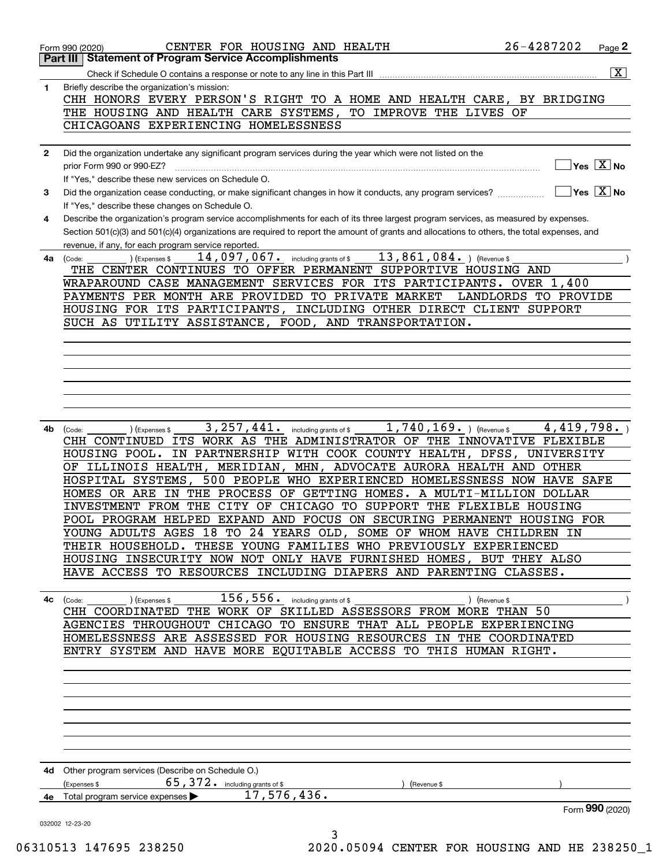| 1. | $\boxed{\text{X}}$<br>Briefly describe the organization's mission:                                                                                                                                                                                                                                                                                                                                                                                                                                                                                                                                                                                                                                                                                                                                                                                                                         |
|----|--------------------------------------------------------------------------------------------------------------------------------------------------------------------------------------------------------------------------------------------------------------------------------------------------------------------------------------------------------------------------------------------------------------------------------------------------------------------------------------------------------------------------------------------------------------------------------------------------------------------------------------------------------------------------------------------------------------------------------------------------------------------------------------------------------------------------------------------------------------------------------------------|
|    | CHH HONORS EVERY PERSON'S RIGHT TO A HOME AND HEALTH CARE, BY BRIDGING                                                                                                                                                                                                                                                                                                                                                                                                                                                                                                                                                                                                                                                                                                                                                                                                                     |
|    | THE HOUSING AND HEALTH CARE SYSTEMS, TO IMPROVE THE LIVES OF                                                                                                                                                                                                                                                                                                                                                                                                                                                                                                                                                                                                                                                                                                                                                                                                                               |
|    | CHICAGOANS EXPERIENCING HOMELESSNESS                                                                                                                                                                                                                                                                                                                                                                                                                                                                                                                                                                                                                                                                                                                                                                                                                                                       |
|    |                                                                                                                                                                                                                                                                                                                                                                                                                                                                                                                                                                                                                                                                                                                                                                                                                                                                                            |
| 2  | Did the organization undertake any significant program services during the year which were not listed on the                                                                                                                                                                                                                                                                                                                                                                                                                                                                                                                                                                                                                                                                                                                                                                               |
|    | $\sqrt{}$ Yes $\sqrt{X}$ No<br>prior Form 990 or 990-EZ?                                                                                                                                                                                                                                                                                                                                                                                                                                                                                                                                                                                                                                                                                                                                                                                                                                   |
|    | If "Yes," describe these new services on Schedule O.                                                                                                                                                                                                                                                                                                                                                                                                                                                                                                                                                                                                                                                                                                                                                                                                                                       |
| 3  | $\overline{\mathsf{Yes} \ \mathbb{X}}$ No                                                                                                                                                                                                                                                                                                                                                                                                                                                                                                                                                                                                                                                                                                                                                                                                                                                  |
|    | If "Yes," describe these changes on Schedule O.                                                                                                                                                                                                                                                                                                                                                                                                                                                                                                                                                                                                                                                                                                                                                                                                                                            |
| 4  | Describe the organization's program service accomplishments for each of its three largest program services, as measured by expenses.                                                                                                                                                                                                                                                                                                                                                                                                                                                                                                                                                                                                                                                                                                                                                       |
|    | Section 501(c)(3) and 501(c)(4) organizations are required to report the amount of grants and allocations to others, the total expenses, and                                                                                                                                                                                                                                                                                                                                                                                                                                                                                                                                                                                                                                                                                                                                               |
|    | revenue, if any, for each program service reported.<br>$13$ , $861$ , $084$ . ) (Revenue \$<br>14,097,067. including grants of \$                                                                                                                                                                                                                                                                                                                                                                                                                                                                                                                                                                                                                                                                                                                                                          |
|    | ) (Expenses \$<br>4a (Code:<br>THE CENTER CONTINUES TO OFFER PERMANENT SUPPORTIVE HOUSING AND                                                                                                                                                                                                                                                                                                                                                                                                                                                                                                                                                                                                                                                                                                                                                                                              |
|    | WRAPAROUND CASE MANAGEMENT SERVICES FOR ITS PARTICIPANTS. OVER 1,400                                                                                                                                                                                                                                                                                                                                                                                                                                                                                                                                                                                                                                                                                                                                                                                                                       |
|    | PAYMENTS PER MONTH ARE PROVIDED TO PRIVATE MARKET<br>LANDLORDS TO PROVIDE                                                                                                                                                                                                                                                                                                                                                                                                                                                                                                                                                                                                                                                                                                                                                                                                                  |
|    | HOUSING FOR ITS PARTICIPANTS, INCLUDING OTHER DIRECT CLIENT SUPPORT                                                                                                                                                                                                                                                                                                                                                                                                                                                                                                                                                                                                                                                                                                                                                                                                                        |
|    | SUCH AS UTILITY ASSISTANCE, FOOD, AND TRANSPORTATION.                                                                                                                                                                                                                                                                                                                                                                                                                                                                                                                                                                                                                                                                                                                                                                                                                                      |
|    |                                                                                                                                                                                                                                                                                                                                                                                                                                                                                                                                                                                                                                                                                                                                                                                                                                                                                            |
|    |                                                                                                                                                                                                                                                                                                                                                                                                                                                                                                                                                                                                                                                                                                                                                                                                                                                                                            |
|    |                                                                                                                                                                                                                                                                                                                                                                                                                                                                                                                                                                                                                                                                                                                                                                                                                                                                                            |
|    |                                                                                                                                                                                                                                                                                                                                                                                                                                                                                                                                                                                                                                                                                                                                                                                                                                                                                            |
|    |                                                                                                                                                                                                                                                                                                                                                                                                                                                                                                                                                                                                                                                                                                                                                                                                                                                                                            |
|    |                                                                                                                                                                                                                                                                                                                                                                                                                                                                                                                                                                                                                                                                                                                                                                                                                                                                                            |
|    |                                                                                                                                                                                                                                                                                                                                                                                                                                                                                                                                                                                                                                                                                                                                                                                                                                                                                            |
|    | CHH CONTINUED ITS WORK AS THE ADMINISTRATOR OF THE INNOVATIVE FLEXIBLE<br>HOUSING POOL. IN PARTNERSHIP WITH COOK COUNTY HEALTH, DFSS, UNIVERSITY                                                                                                                                                                                                                                                                                                                                                                                                                                                                                                                                                                                                                                                                                                                                           |
| 4c | OF ILLINOIS HEALTH, MERIDIAN, MHN, ADVOCATE AURORA HEALTH AND OTHER<br>HOSPITAL SYSTEMS, 500 PEOPLE WHO EXPERIENCED HOMELESSNESS NOW HAVE SAFE<br>HOMES OR ARE IN THE PROCESS OF GETTING HOMES. A MULTI-MILLION DOLLAR<br>INVESTMENT FROM THE CITY OF CHICAGO TO SUPPORT THE FLEXIBLE HOUSING<br>POOL PROGRAM HELPED EXPAND AND FOCUS ON SECURING PERMANENT HOUSING FOR<br>YOUNG ADULTS AGES 18 TO 24 YEARS OLD, SOME OF WHOM HAVE CHILDREN IN<br>THEIR HOUSEHOLD. THESE YOUNG FAMILIES WHO PREVIOUSLY EXPERIENCED<br>HOUSING INSECURITY NOW NOT ONLY HAVE FURNISHED HOMES, BUT THEY ALSO<br>HAVE ACCESS TO RESOURCES INCLUDING DIAPERS AND PARENTING CLASSES.<br>$156$ , $556$ . including grants of \$<br>(Expenses \$<br>(Revenue \$<br>(Code:<br>CHH COORDINATED THE WORK OF SKILLED ASSESSORS FROM MORE THAN 50<br>AGENCIES THROUGHOUT CHICAGO TO ENSURE THAT ALL PEOPLE EXPERIENCING |
|    | HOMELESSNESS ARE ASSESSED FOR HOUSING RESOURCES IN THE COORDINATED                                                                                                                                                                                                                                                                                                                                                                                                                                                                                                                                                                                                                                                                                                                                                                                                                         |
|    | ENTRY SYSTEM AND HAVE MORE EQUITABLE ACCESS TO THIS HUMAN RIGHT.                                                                                                                                                                                                                                                                                                                                                                                                                                                                                                                                                                                                                                                                                                                                                                                                                           |
|    |                                                                                                                                                                                                                                                                                                                                                                                                                                                                                                                                                                                                                                                                                                                                                                                                                                                                                            |
|    |                                                                                                                                                                                                                                                                                                                                                                                                                                                                                                                                                                                                                                                                                                                                                                                                                                                                                            |
|    |                                                                                                                                                                                                                                                                                                                                                                                                                                                                                                                                                                                                                                                                                                                                                                                                                                                                                            |
|    |                                                                                                                                                                                                                                                                                                                                                                                                                                                                                                                                                                                                                                                                                                                                                                                                                                                                                            |
|    |                                                                                                                                                                                                                                                                                                                                                                                                                                                                                                                                                                                                                                                                                                                                                                                                                                                                                            |
|    |                                                                                                                                                                                                                                                                                                                                                                                                                                                                                                                                                                                                                                                                                                                                                                                                                                                                                            |
|    |                                                                                                                                                                                                                                                                                                                                                                                                                                                                                                                                                                                                                                                                                                                                                                                                                                                                                            |
|    |                                                                                                                                                                                                                                                                                                                                                                                                                                                                                                                                                                                                                                                                                                                                                                                                                                                                                            |
|    | 4d Other program services (Describe on Schedule O.)                                                                                                                                                                                                                                                                                                                                                                                                                                                                                                                                                                                                                                                                                                                                                                                                                                        |
|    | 65, 372. including grants of \$<br>(Expenses \$<br>(Revenue \$                                                                                                                                                                                                                                                                                                                                                                                                                                                                                                                                                                                                                                                                                                                                                                                                                             |
|    | 17,576,436.<br>Total program service expenses<br>Form 990 (2020)                                                                                                                                                                                                                                                                                                                                                                                                                                                                                                                                                                                                                                                                                                                                                                                                                           |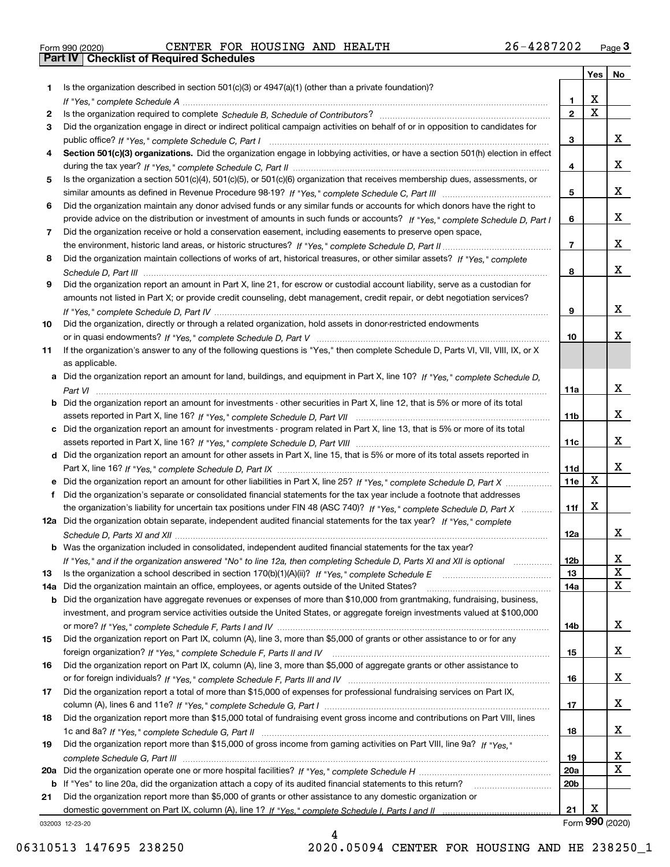|  | Form 990 (2020) |  |
|--|-----------------|--|

# Form 990 (2020) Page **3Part IV Checklist of Required Schedules** CENTER FOR HOUSING AND HEALTH 26-4287202

|     |                                                                                                                                  |                 | Yes                     | No              |
|-----|----------------------------------------------------------------------------------------------------------------------------------|-----------------|-------------------------|-----------------|
| 1   | Is the organization described in section $501(c)(3)$ or $4947(a)(1)$ (other than a private foundation)?                          |                 |                         |                 |
|     |                                                                                                                                  | 1               | X                       |                 |
| 2   |                                                                                                                                  | $\overline{2}$  | $\overline{\mathbf{x}}$ |                 |
| 3   | Did the organization engage in direct or indirect political campaign activities on behalf of or in opposition to candidates for  |                 |                         |                 |
|     |                                                                                                                                  | 3               |                         | x               |
| 4   | Section 501(c)(3) organizations. Did the organization engage in lobbying activities, or have a section 501(h) election in effect |                 |                         |                 |
|     |                                                                                                                                  | 4               |                         | x               |
| 5   | Is the organization a section 501(c)(4), 501(c)(5), or 501(c)(6) organization that receives membership dues, assessments, or     |                 |                         |                 |
|     |                                                                                                                                  | 5               |                         | x               |
| 6   | Did the organization maintain any donor advised funds or any similar funds or accounts for which donors have the right to        |                 |                         |                 |
|     | provide advice on the distribution or investment of amounts in such funds or accounts? If "Yes," complete Schedule D, Part I     | 6               |                         | X.              |
| 7   | Did the organization receive or hold a conservation easement, including easements to preserve open space,                        |                 |                         |                 |
|     |                                                                                                                                  | $\overline{7}$  |                         | x               |
| 8   | Did the organization maintain collections of works of art, historical treasures, or other similar assets? If "Yes," complete     |                 |                         |                 |
|     |                                                                                                                                  | 8               |                         | x               |
| 9   | Did the organization report an amount in Part X, line 21, for escrow or custodial account liability, serve as a custodian for    |                 |                         |                 |
|     | amounts not listed in Part X; or provide credit counseling, debt management, credit repair, or debt negotiation services?        |                 |                         |                 |
|     |                                                                                                                                  | 9               |                         | x               |
| 10  | Did the organization, directly or through a related organization, hold assets in donor-restricted endowments                     |                 |                         | x               |
|     |                                                                                                                                  | 10              |                         |                 |
| 11  | If the organization's answer to any of the following questions is "Yes," then complete Schedule D, Parts VI, VII, VIII, IX, or X |                 |                         |                 |
|     | as applicable.                                                                                                                   |                 |                         |                 |
|     | a Did the organization report an amount for land, buildings, and equipment in Part X, line 10? If "Yes," complete Schedule D,    | 11a             |                         | x               |
|     | Did the organization report an amount for investments - other securities in Part X, line 12, that is 5% or more of its total     |                 |                         |                 |
|     |                                                                                                                                  | 11 <sub>b</sub> |                         | x               |
| c   | Did the organization report an amount for investments - program related in Part X, line 13, that is 5% or more of its total      |                 |                         |                 |
|     |                                                                                                                                  | 11c             |                         | x               |
|     | d Did the organization report an amount for other assets in Part X, line 15, that is 5% or more of its total assets reported in  |                 |                         |                 |
|     |                                                                                                                                  | 11d             |                         | X.              |
|     | e Did the organization report an amount for other liabilities in Part X, line 25? If "Yes," complete Schedule D, Part X          | 11e             | $\mathbf X$             |                 |
| f   | Did the organization's separate or consolidated financial statements for the tax year include a footnote that addresses          |                 |                         |                 |
|     | the organization's liability for uncertain tax positions under FIN 48 (ASC 740)? If "Yes," complete Schedule D, Part X           | 11f             | х                       |                 |
|     | 12a Did the organization obtain separate, independent audited financial statements for the tax year? If "Yes," complete          |                 |                         |                 |
|     |                                                                                                                                  | 12a             |                         | X.              |
|     | <b>b</b> Was the organization included in consolidated, independent audited financial statements for the tax year?               |                 |                         |                 |
|     | If "Yes," and if the organization answered "No" to line 12a, then completing Schedule D, Parts XI and XII is optional            | 12b             |                         | ᅀ               |
| 13  |                                                                                                                                  | 13              |                         | X               |
| 14a | Did the organization maintain an office, employees, or agents outside of the United States?                                      | 14a             |                         | x               |
| b   | Did the organization have aggregate revenues or expenses of more than \$10,000 from grantmaking, fundraising, business,          |                 |                         |                 |
|     | investment, and program service activities outside the United States, or aggregate foreign investments valued at \$100,000       |                 |                         |                 |
|     |                                                                                                                                  | 14b             |                         | x               |
| 15  | Did the organization report on Part IX, column (A), line 3, more than \$5,000 of grants or other assistance to or for any        |                 |                         |                 |
|     |                                                                                                                                  | 15              |                         | x               |
| 16  | Did the organization report on Part IX, column (A), line 3, more than \$5,000 of aggregate grants or other assistance to         |                 |                         |                 |
|     |                                                                                                                                  | 16              |                         | x               |
| 17  | Did the organization report a total of more than \$15,000 of expenses for professional fundraising services on Part IX,          |                 |                         |                 |
|     |                                                                                                                                  | 17              |                         | x               |
| 18  | Did the organization report more than \$15,000 total of fundraising event gross income and contributions on Part VIII, lines     |                 |                         |                 |
|     |                                                                                                                                  | 18              |                         | x               |
| 19  | Did the organization report more than \$15,000 of gross income from gaming activities on Part VIII, line 9a? If "Yes."           |                 |                         |                 |
|     |                                                                                                                                  | 19              |                         | X               |
| 20a |                                                                                                                                  | <b>20a</b>      |                         | x               |
| b   | If "Yes" to line 20a, did the organization attach a copy of its audited financial statements to this return?                     | 20 <sub>b</sub> |                         |                 |
| 21  | Did the organization report more than \$5,000 of grants or other assistance to any domestic organization or                      |                 |                         |                 |
|     |                                                                                                                                  | 21              | Х                       |                 |
|     | 032003 12-23-20                                                                                                                  |                 |                         | Form 990 (2020) |

032003 12-23-20

4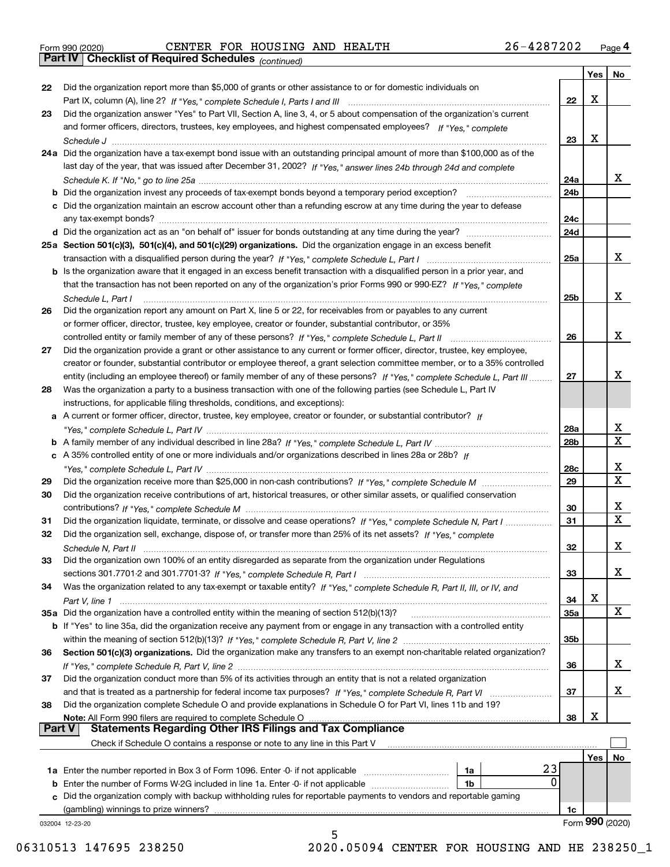|  | Form 990 (2020) |
|--|-----------------|

*(continued)*

|               |                                                                                                                              |                 | Yes        | ∣ No            |
|---------------|------------------------------------------------------------------------------------------------------------------------------|-----------------|------------|-----------------|
| 22            | Did the organization report more than \$5,000 of grants or other assistance to or for domestic individuals on                |                 |            |                 |
|               |                                                                                                                              | 22              | х          |                 |
| 23            | Did the organization answer "Yes" to Part VII, Section A, line 3, 4, or 5 about compensation of the organization's current   |                 |            |                 |
|               | and former officers, directors, trustees, key employees, and highest compensated employees? If "Yes," complete               |                 |            |                 |
|               |                                                                                                                              | 23              | х          |                 |
|               | 24a Did the organization have a tax-exempt bond issue with an outstanding principal amount of more than \$100,000 as of the  |                 |            |                 |
|               | last day of the year, that was issued after December 31, 2002? If "Yes," answer lines 24b through 24d and complete           |                 |            |                 |
|               |                                                                                                                              | 24a             |            | x               |
|               |                                                                                                                              |                 |            |                 |
|               | b Did the organization invest any proceeds of tax-exempt bonds beyond a temporary period exception?                          | 24b             |            |                 |
|               | c Did the organization maintain an escrow account other than a refunding escrow at any time during the year to defease       |                 |            |                 |
|               | any tax-exempt bonds?                                                                                                        | 24c             |            |                 |
|               | d Did the organization act as an "on behalf of" issuer for bonds outstanding at any time during the year?                    | 24d             |            |                 |
|               | 25a Section 501(c)(3), 501(c)(4), and 501(c)(29) organizations. Did the organization engage in an excess benefit             |                 |            |                 |
|               |                                                                                                                              | 25a             |            | x               |
|               | b Is the organization aware that it engaged in an excess benefit transaction with a disqualified person in a prior year, and |                 |            |                 |
|               | that the transaction has not been reported on any of the organization's prior Forms 990 or 990-EZ? If "Yes," complete        |                 |            |                 |
|               | Schedule L, Part I                                                                                                           | 25b             |            | x               |
| 26            | Did the organization report any amount on Part X, line 5 or 22, for receivables from or payables to any current              |                 |            |                 |
|               | or former officer, director, trustee, key employee, creator or founder, substantial contributor, or 35%                      |                 |            |                 |
|               |                                                                                                                              | 26              |            | x               |
| 27            | Did the organization provide a grant or other assistance to any current or former officer, director, trustee, key employee,  |                 |            |                 |
|               | creator or founder, substantial contributor or employee thereof, a grant selection committee member, or to a 35% controlled  |                 |            |                 |
|               |                                                                                                                              |                 |            | х               |
|               | entity (including an employee thereof) or family member of any of these persons? If "Yes," complete Schedule L, Part III     | 27              |            |                 |
| 28            | Was the organization a party to a business transaction with one of the following parties (see Schedule L, Part IV            |                 |            |                 |
|               | instructions, for applicable filing thresholds, conditions, and exceptions):                                                 |                 |            |                 |
|               | a A current or former officer, director, trustee, key employee, creator or founder, or substantial contributor? If           |                 |            |                 |
|               |                                                                                                                              | 28a             |            | x               |
|               |                                                                                                                              | 28 <sub>b</sub> |            | $\mathbf X$     |
|               | c A 35% controlled entity of one or more individuals and/or organizations described in lines 28a or 28b? If                  |                 |            |                 |
|               |                                                                                                                              | 28c             |            | х               |
| 29            |                                                                                                                              | 29              |            | $\mathbf X$     |
| 30            | Did the organization receive contributions of art, historical treasures, or other similar assets, or qualified conservation  |                 |            |                 |
|               |                                                                                                                              | 30              |            | x               |
| 31            | Did the organization liquidate, terminate, or dissolve and cease operations? If "Yes," complete Schedule N, Part I           | 31              |            | $\mathbf x$     |
| 32            | Did the organization sell, exchange, dispose of, or transfer more than 25% of its net assets? If "Yes," complete             |                 |            |                 |
|               |                                                                                                                              | 32              |            | х               |
|               |                                                                                                                              |                 |            |                 |
| 33            | Did the organization own 100% of an entity disregarded as separate from the organization under Regulations                   |                 |            | х               |
|               |                                                                                                                              | 33              |            |                 |
| 34            | Was the organization related to any tax-exempt or taxable entity? If "Yes," complete Schedule R, Part II, III, or IV, and    |                 |            |                 |
|               |                                                                                                                              | 34              | X          |                 |
|               | 35a Did the organization have a controlled entity within the meaning of section 512(b)(13)?                                  | <b>35a</b>      |            | X               |
|               | b If "Yes" to line 35a, did the organization receive any payment from or engage in any transaction with a controlled entity  |                 |            |                 |
|               |                                                                                                                              | 35b             |            |                 |
| 36            | Section 501(c)(3) organizations. Did the organization make any transfers to an exempt non-charitable related organization?   |                 |            |                 |
|               |                                                                                                                              | 36              |            | x               |
| 37            | Did the organization conduct more than 5% of its activities through an entity that is not a related organization             |                 |            |                 |
|               | and that is treated as a partnership for federal income tax purposes? If "Yes," complete Schedule R, Part VI                 | 37              |            | x               |
| 38            | Did the organization complete Schedule O and provide explanations in Schedule O for Part VI, lines 11b and 19?               |                 |            |                 |
|               | Note: All Form 990 filers are required to complete Schedule O                                                                | 38              | х          |                 |
| <b>Part V</b> | <b>Statements Regarding Other IRS Filings and Tax Compliance</b>                                                             |                 |            |                 |
|               | Check if Schedule O contains a response or note to any line in this Part V                                                   |                 |            |                 |
|               |                                                                                                                              |                 | <b>Yes</b> | No              |
|               | 23                                                                                                                           |                 |            |                 |
|               | <b>1a</b> Enter the number reported in Box 3 of Form 1096. Enter -0- if not applicable <i>manumumumum</i><br>1a<br>0         |                 |            |                 |
|               | <b>b</b> Enter the number of Forms W-2G included in line 1a. Enter -0- if not applicable <i>manumumumum</i><br>1b            |                 |            |                 |
|               | c Did the organization comply with backup withholding rules for reportable payments to vendors and reportable gaming         |                 |            |                 |
|               | (gambling) winnings to prize winners?                                                                                        | 1c              |            |                 |
|               | 032004 12-23-20                                                                                                              |                 |            | Form 990 (2020) |
|               | 5                                                                                                                            |                 |            |                 |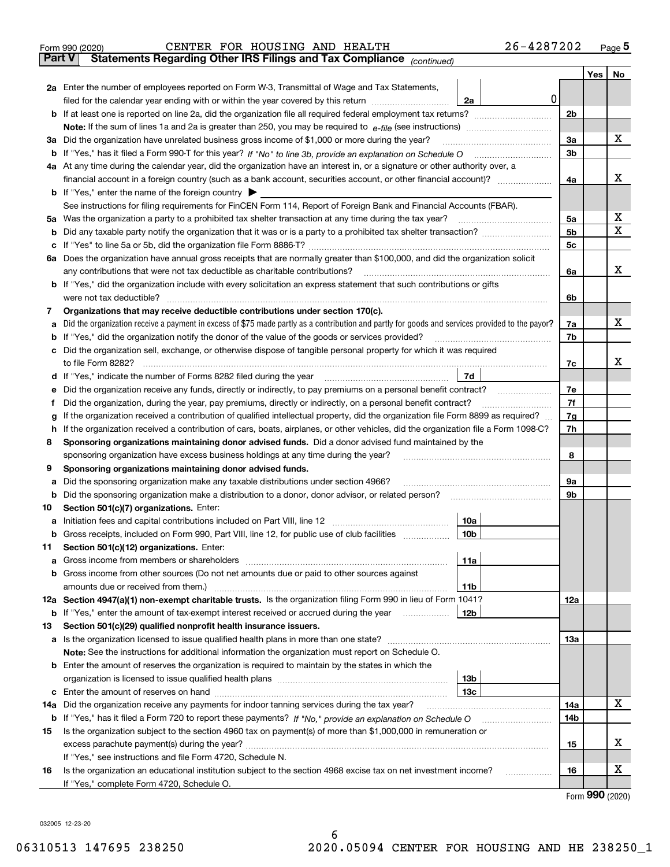| <b>Part V</b> | 26-4287202<br>CENTER FOR HOUSING AND HEALTH<br>Form 990 (2020)                                                                |                |     | Page 5    |
|---------------|-------------------------------------------------------------------------------------------------------------------------------|----------------|-----|-----------|
|               | <b>Statements Regarding Other IRS Filings and Tax Compliance</b><br>(continued)                                               |                |     |           |
|               |                                                                                                                               |                | Yes | <b>No</b> |
| 2a            | Enter the number of employees reported on Form W-3, Transmittal of Wage and Tax Statements,                                   |                |     |           |
|               | 2a<br>filed for the calendar year ending with or within the year covered by this return <i>manumumumum</i>                    | 0              |     |           |
|               | <b>b</b> If at least one is reported on line 2a, did the organization file all required federal employment tax returns?       | 2 <sub>b</sub> |     |           |
|               | <b>Note:</b> If the sum of lines 1a and 2a is greater than 250, you may be required to $e$ -file (see instructions)           |                |     |           |
| За            | Did the organization have unrelated business gross income of \$1,000 or more during the year?                                 | 3a             |     | х         |
| b             |                                                                                                                               | 3b             |     |           |
| 4a            | At any time during the calendar year, did the organization have an interest in, or a signature or other authority over, a     |                |     |           |
|               | financial account in a foreign country (such as a bank account, securities account, or other financial account)?              | 4a             |     | х         |
|               | <b>b</b> If "Yes," enter the name of the foreign country $\blacktriangleright$                                                |                |     |           |
|               | See instructions for filing requirements for FinCEN Form 114, Report of Foreign Bank and Financial Accounts (FBAR).           |                |     |           |
| 5a            | Was the organization a party to a prohibited tax shelter transaction at any time during the tax year?                         | 5a             |     | x         |
| b             | Did any taxable party notify the organization that it was or is a party to a prohibited tax shelter transaction?              | <b>5b</b>      |     | x         |
| c             |                                                                                                                               | 5 <sub>c</sub> |     |           |
| 6а            |                                                                                                                               |                |     |           |
|               | Does the organization have annual gross receipts that are normally greater than \$100,000, and did the organization solicit   |                |     | x         |
|               | any contributions that were not tax deductible as charitable contributions?                                                   | 6a             |     |           |
|               | <b>b</b> If "Yes," did the organization include with every solicitation an express statement that such contributions or gifts |                |     |           |

|    | 11 TC3, QIQ tHC ORGANIZATION INCIDENT WILL CVCLY SONCRATION AN CAPICSS STATCHICK THAT SUCH CONTINUATIONS OF GIR                                                                                                 |                 |   |
|----|-----------------------------------------------------------------------------------------------------------------------------------------------------------------------------------------------------------------|-----------------|---|
|    | were not tax deductible?                                                                                                                                                                                        | 6b              |   |
| 7  | Organizations that may receive deductible contributions under section 170(c).                                                                                                                                   |                 |   |
| a  | Did the organization receive a payment in excess of \$75 made partly as a contribution and partly for goods and services provided to the payor?                                                                 | 7a              | x |
| b  | If "Yes," did the organization notify the donor of the value of the goods or services provided?                                                                                                                 | 7b              |   |
|    | Did the organization sell, exchange, or otherwise dispose of tangible personal property for which it was required                                                                                               |                 |   |
|    |                                                                                                                                                                                                                 | 7c              | x |
|    | 7d<br>d If "Yes," indicate the number of Forms 8282 filed during the year                                                                                                                                       |                 |   |
| е  | Did the organization receive any funds, directly or indirectly, to pay premiums on a personal benefit contract?                                                                                                 | 7e              |   |
|    | Did the organization, during the year, pay premiums, directly or indirectly, on a personal benefit contract?                                                                                                    | 7f              |   |
| g  | If the organization received a contribution of qualified intellectual property, did the organization file Form 8899 as required?                                                                                | 7g              |   |
| h. | If the organization received a contribution of cars, boats, airplanes, or other vehicles, did the organization file a Form 1098-C?                                                                              | 7h              |   |
| 8  | Sponsoring organizations maintaining donor advised funds. Did a donor advised fund maintained by the                                                                                                            |                 |   |
|    | sponsoring organization have excess business holdings at any time during the year?                                                                                                                              | 8               |   |
| 9  | Sponsoring organizations maintaining donor advised funds.                                                                                                                                                       |                 |   |
| a  | Did the sponsoring organization make any taxable distributions under section 4966?                                                                                                                              | 9a              |   |
| b  | Did the sponsoring organization make a distribution to a donor, donor advisor, or related person?                                                                                                               | 9 <sub>b</sub>  |   |
| 10 | Section 501(c)(7) organizations. Enter:                                                                                                                                                                         |                 |   |
| а  | 10a                                                                                                                                                                                                             |                 |   |
| b  | 10 <sub>b</sub><br>Gross receipts, included on Form 990, Part VIII, line 12, for public use of club facilities                                                                                                  |                 |   |
| 11 | Section 501(c)(12) organizations. Enter:                                                                                                                                                                        |                 |   |
| a  | Gross income from members or shareholders<br>11a                                                                                                                                                                |                 |   |
|    | <b>b</b> Gross income from other sources (Do not net amounts due or paid to other sources against                                                                                                               |                 |   |
|    | amounts due or received from them.)<br>11 <sub>b</sub>                                                                                                                                                          |                 |   |
|    | 12a Section 4947(a)(1) non-exempt charitable trusts. Is the organization filing Form 990 in lieu of Form 1041?                                                                                                  | 12a             |   |
|    | 12 <sub>b</sub><br><b>b</b> If "Yes," enter the amount of tax-exempt interest received or accrued during the year<br>.                                                                                          |                 |   |
| 13 | Section 501(c)(29) qualified nonprofit health insurance issuers.                                                                                                                                                |                 |   |
|    | a Is the organization licensed to issue qualified health plans in more than one state?<br><u> 1986 - John Stoff, Amerikaansk kanton en beskriuwer om de staatske kanton en beskriuwer om de staatske kanton</u> | <b>13a</b>      |   |
|    | Note: See the instructions for additional information the organization must report on Schedule O.                                                                                                               |                 |   |
|    | <b>b</b> Enter the amount of reserves the organization is required to maintain by the states in which the                                                                                                       |                 |   |
|    | 13 <sub>b</sub>                                                                                                                                                                                                 |                 |   |
|    | 13 <sub>c</sub>                                                                                                                                                                                                 |                 |   |
|    | 14a Did the organization receive any payments for indoor tanning services during the tax year?                                                                                                                  | 14a             | х |
|    | <b>b</b> If "Yes," has it filed a Form 720 to report these payments? If "No," provide an explanation on Schedule O                                                                                              | 14 <sub>b</sub> |   |

| 15 | Is the organization subject to the section 4960 tax on payment(s) of more than \$1,000,000 in remuneration or   |    |  |
|----|-----------------------------------------------------------------------------------------------------------------|----|--|
|    | excess parachute payment(s) during the year?                                                                    | 15 |  |
|    | If "Yes," see instructions and file Form 4720, Schedule N.                                                      |    |  |
| 16 | Is the organization an educational institution subject to the section 4968 excise tax on net investment income? | 16 |  |
|    | If "Yes," complete Form 4720, Schedule O.                                                                       |    |  |

Form (2020) **990**

032005 12-23-20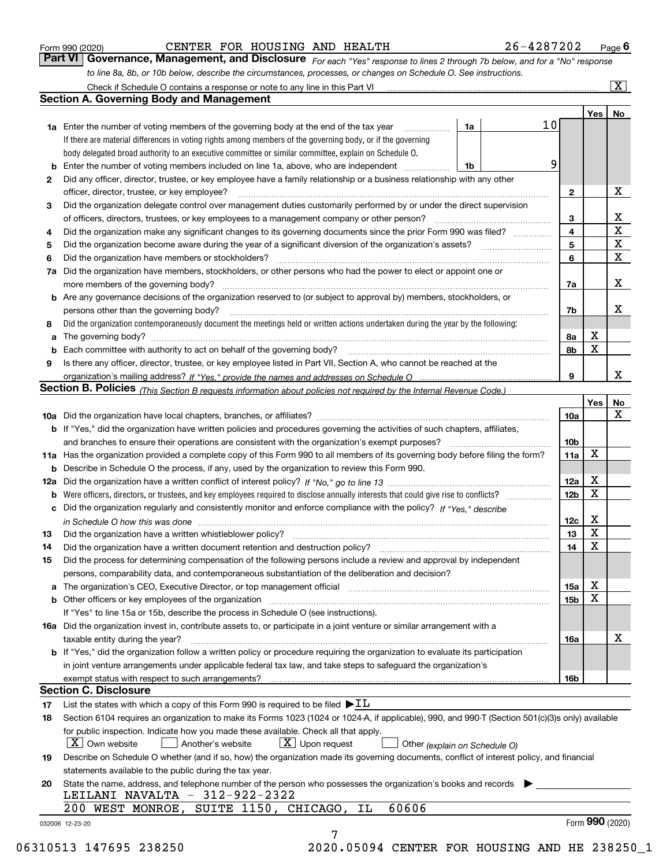|  | Form 990 (2020) |
|--|-----------------|
|  |                 |

#### CENTER FOR HOUSING AND HEALTH 26-4287202

*For each "Yes" response to lines 2 through 7b below, and for a "No" response to line 8a, 8b, or 10b below, describe the circumstances, processes, or changes on Schedule O. See instructions.* Form 990 (2020) **CENTER FOR HOUSING AND HEALTH** 26-4287202 Page 6<br>**Part VI Governance, Management, and Disclosure** For each "Yes" response to lines 2 through 7b below, and for a "No" response

|    |                                                                                                                                                                               |    |                 |                         | Yes             | No                      |
|----|-------------------------------------------------------------------------------------------------------------------------------------------------------------------------------|----|-----------------|-------------------------|-----------------|-------------------------|
|    | <b>1a</b> Enter the number of voting members of the governing body at the end of the tax year                                                                                 | 1a | 10 <sub>l</sub> |                         |                 |                         |
|    | If there are material differences in voting rights among members of the governing body, or if the governing                                                                   |    |                 |                         |                 |                         |
|    | body delegated broad authority to an executive committee or similar committee, explain on Schedule O.                                                                         |    |                 |                         |                 |                         |
|    |                                                                                                                                                                               | 1b | 9               |                         |                 |                         |
| 2  | Did any officer, director, trustee, or key employee have a family relationship or a business relationship with any other                                                      |    |                 |                         |                 |                         |
|    | officer, director, trustee, or key employee?                                                                                                                                  |    |                 | $\mathbf{2}$            |                 | X                       |
| 3  | Did the organization delegate control over management duties customarily performed by or under the direct supervision                                                         |    |                 |                         |                 |                         |
|    |                                                                                                                                                                               |    |                 | 3                       |                 | X                       |
| 4  | Did the organization make any significant changes to its governing documents since the prior Form 990 was filed?                                                              |    |                 | $\overline{\mathbf{4}}$ |                 | $\overline{\textbf{X}}$ |
| 5  |                                                                                                                                                                               |    |                 | 5                       |                 | $\mathbf X$             |
| 6  | Did the organization have members or stockholders?                                                                                                                            |    |                 | 6                       |                 | $\mathbf x$             |
|    | 7a Did the organization have members, stockholders, or other persons who had the power to elect or appoint one or                                                             |    |                 |                         |                 |                         |
|    |                                                                                                                                                                               |    |                 | 7a                      |                 | x                       |
|    | <b>b</b> Are any governance decisions of the organization reserved to (or subject to approval by) members, stockholders, or                                                   |    |                 |                         |                 |                         |
|    | persons other than the governing body?                                                                                                                                        |    |                 | 7b                      |                 | х                       |
| 8  | Did the organization contemporaneously document the meetings held or written actions undertaken during the year by the following:                                             |    |                 |                         |                 |                         |
| a  |                                                                                                                                                                               |    |                 | 8a                      | X               |                         |
|    |                                                                                                                                                                               |    |                 | 8b                      | X               |                         |
| 9  | Is there any officer, director, trustee, or key employee listed in Part VII, Section A, who cannot be reached at the                                                          |    |                 |                         |                 |                         |
|    |                                                                                                                                                                               |    |                 | 9                       |                 | х                       |
|    | Section B. Policies (This Section B requests information about policies not required by the Internal Revenue Code.)                                                           |    |                 |                         |                 |                         |
|    |                                                                                                                                                                               |    |                 |                         | Yes             | No                      |
|    |                                                                                                                                                                               |    |                 | 10a                     |                 | X                       |
|    | <b>b</b> If "Yes," did the organization have written policies and procedures governing the activities of such chapters, affiliates,                                           |    |                 |                         |                 |                         |
|    |                                                                                                                                                                               |    |                 | 10 <sub>b</sub>         |                 |                         |
|    | 11a Has the organization provided a complete copy of this Form 990 to all members of its governing body before filing the form?                                               |    |                 | 11a                     | X               |                         |
|    | <b>b</b> Describe in Schedule O the process, if any, used by the organization to review this Form 990.                                                                        |    |                 |                         |                 |                         |
|    |                                                                                                                                                                               |    |                 | 12a                     | X               |                         |
| b  |                                                                                                                                                                               |    |                 | 12b                     | X               |                         |
|    | c Did the organization regularly and consistently monitor and enforce compliance with the policy? If "Yes," describe                                                          |    |                 |                         |                 |                         |
|    | in Schedule O how this was done manufactured and continuum control of the Schedule O how this was done manufactured and continuum control of the Schedule O how this was done |    |                 | 12c                     | х               |                         |
| 13 |                                                                                                                                                                               |    |                 | 13                      | X               |                         |
| 14 | Did the organization have a written document retention and destruction policy? manufactured and the organization have a written document retention and destruction policy?    |    |                 | 14                      | X               |                         |
| 15 | Did the process for determining compensation of the following persons include a review and approval by independent                                                            |    |                 |                         |                 |                         |
|    | persons, comparability data, and contemporaneous substantiation of the deliberation and decision?                                                                             |    |                 |                         |                 |                         |
|    |                                                                                                                                                                               |    |                 | 15a                     | X               |                         |
|    |                                                                                                                                                                               |    |                 | 15b                     | X               |                         |
|    | If "Yes" to line 15a or 15b, describe the process in Schedule O (see instructions).                                                                                           |    |                 |                         |                 |                         |
|    | 16a Did the organization invest in, contribute assets to, or participate in a joint venture or similar arrangement with a                                                     |    |                 |                         |                 |                         |
|    | taxable entity during the year?                                                                                                                                               |    |                 | 16a                     |                 | X                       |
|    | b If "Yes," did the organization follow a written policy or procedure requiring the organization to evaluate its participation                                                |    |                 |                         |                 |                         |
|    | in joint venture arrangements under applicable federal tax law, and take steps to safeguard the organization's                                                                |    |                 |                         |                 |                         |
|    | exempt status with respect to such arrangements?                                                                                                                              |    |                 | 16b                     |                 |                         |
|    | <b>Section C. Disclosure</b>                                                                                                                                                  |    |                 |                         |                 |                         |
| 17 | List the states with which a copy of this Form 990 is required to be filed $\blacktriangleright$ IL                                                                           |    |                 |                         |                 |                         |
| 18 | Section 6104 requires an organization to make its Forms 1023 (1024 or 1024-A, if applicable), 990, and 990-T (Section 501(c)(3)s only) available                              |    |                 |                         |                 |                         |
|    | for public inspection. Indicate how you made these available. Check all that apply.                                                                                           |    |                 |                         |                 |                         |
|    | $\lfloor X \rfloor$ Own website<br>$X$ Upon request<br>Another's website<br>Other (explain on Schedule O)                                                                     |    |                 |                         |                 |                         |
| 19 | Describe on Schedule O whether (and if so, how) the organization made its governing documents, conflict of interest policy, and financial                                     |    |                 |                         |                 |                         |
|    | statements available to the public during the tax year.                                                                                                                       |    |                 |                         |                 |                         |
| 20 | State the name, address, and telephone number of the person who possesses the organization's books and records                                                                |    |                 |                         |                 |                         |
|    | LEILANI NAVALTA - 312-922-2322                                                                                                                                                |    |                 |                         |                 |                         |
|    | 60606<br>SUITE 1150, CHICAGO, IL<br>200 WEST MONROE,                                                                                                                          |    |                 |                         |                 |                         |
|    |                                                                                                                                                                               |    |                 |                         | Form 990 (2020) |                         |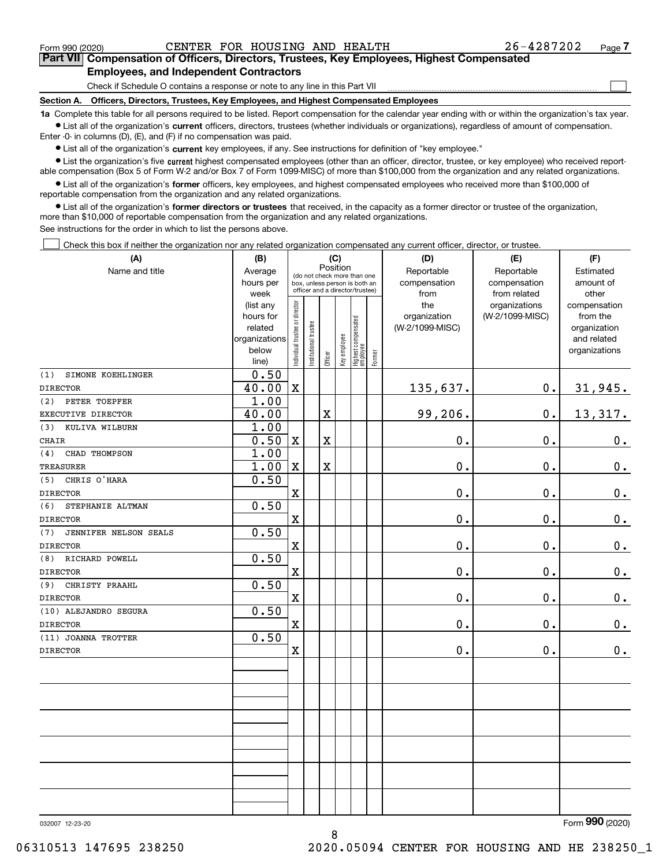$\mathcal{L}^{\text{max}}$ 

**7Part VII Compensation of Officers, Directors, Trustees, Key Employees, Highest Compensated Employees, and Independent Contractors**

Check if Schedule O contains a response or note to any line in this Part VII

**Section A. Officers, Directors, Trustees, Key Employees, and Highest Compensated Employees**

**1a**  Complete this table for all persons required to be listed. Report compensation for the calendar year ending with or within the organization's tax year. **•** List all of the organization's current officers, directors, trustees (whether individuals or organizations), regardless of amount of compensation.

Enter -0- in columns (D), (E), and (F) if no compensation was paid.

 $\bullet$  List all of the organization's  $\,$ current key employees, if any. See instructions for definition of "key employee."

**•** List the organization's five current highest compensated employees (other than an officer, director, trustee, or key employee) who received reportable compensation (Box 5 of Form W-2 and/or Box 7 of Form 1099-MISC) of more than \$100,000 from the organization and any related organizations.

**•** List all of the organization's former officers, key employees, and highest compensated employees who received more than \$100,000 of reportable compensation from the organization and any related organizations.

**former directors or trustees**  ¥ List all of the organization's that received, in the capacity as a former director or trustee of the organization, more than \$10,000 of reportable compensation from the organization and any related organizations.

See instructions for the order in which to list the persons above.

Check this box if neither the organization nor any related organization compensated any current officer, director, or trustee.  $\mathcal{L}^{\text{max}}$ 

| (A)                                    | (B)            | (C)                                     |                                                                  |                         |              |                                  | (D)       | (E)             | (F)             |                |
|----------------------------------------|----------------|-----------------------------------------|------------------------------------------------------------------|-------------------------|--------------|----------------------------------|-----------|-----------------|-----------------|----------------|
| Name and title                         | Average        | Position<br>(do not check more than one |                                                                  | Reportable              | Reportable   |                                  |           |                 |                 |                |
|                                        | hours per      |                                         | box, unless person is both an<br>officer and a director/trustee) |                         | compensation | compensation                     | amount of |                 |                 |                |
|                                        | week           |                                         |                                                                  |                         |              |                                  |           | from            | from related    | other          |
|                                        | (list any      |                                         |                                                                  |                         |              |                                  |           | the             | organizations   | compensation   |
|                                        | hours for      |                                         |                                                                  |                         |              |                                  |           | organization    | (W-2/1099-MISC) | from the       |
|                                        | related        |                                         |                                                                  |                         |              |                                  |           | (W-2/1099-MISC) |                 | organization   |
|                                        | organizations  |                                         |                                                                  |                         |              |                                  |           |                 |                 | and related    |
|                                        | below<br>line) | Individual trustee or director          | Institutional trustee                                            | Officer                 | Key employee | Highest compensated<br> employee | Former    |                 |                 | organizations  |
| SIMONE KOEHLINGER<br>(1)               | 0.50           |                                         |                                                                  |                         |              |                                  |           |                 |                 |                |
| <b>DIRECTOR</b>                        | 40.00          | $\mathbf X$                             |                                                                  |                         |              |                                  |           | 135,637.        | $0$ .           | 31,945.        |
| PETER TOEPFER<br>(2)                   | 1.00           |                                         |                                                                  |                         |              |                                  |           |                 |                 |                |
| EXECUTIVE DIRECTOR                     | 40.00          |                                         |                                                                  | X                       |              |                                  |           | 99,206.         | $\mathbf 0$ .   | 13,317.        |
| KULIVA WILBURN<br>(3)                  | 1.00           |                                         |                                                                  |                         |              |                                  |           |                 |                 |                |
| <b>CHAIR</b>                           | 0.50           | $\mathbf X$                             |                                                                  | $\overline{\textbf{X}}$ |              |                                  |           | 0.              | 0.              | $0_{.}$        |
| (4)<br>CHAD THOMPSON                   | 1.00           |                                         |                                                                  |                         |              |                                  |           |                 |                 |                |
| <b>TREASURER</b>                       | 1.00           | $\mathbf x$                             |                                                                  | $\overline{\textbf{X}}$ |              |                                  |           | 0.              | 0.              | $0_{.}$        |
| CHRIS O'HARA<br>(5)                    | 0.50           |                                         |                                                                  |                         |              |                                  |           |                 |                 |                |
| <b>DIRECTOR</b>                        |                | $\mathbf X$                             |                                                                  |                         |              |                                  |           | $0$ .           | $0$ .           | $0_{\cdot}$    |
| (6)<br>STEPHANIE ALTMAN                | 0.50           |                                         |                                                                  |                         |              |                                  |           |                 |                 |                |
| <b>DIRECTOR</b>                        |                | $\overline{\mathbf{X}}$                 |                                                                  |                         |              |                                  |           | 0.              | $\mathbf 0$ .   | $\mathbf 0$ .  |
| (7)<br>JENNIFER NELSON SEALS           | 0.50           |                                         |                                                                  |                         |              |                                  |           |                 |                 |                |
| <b>DIRECTOR</b>                        |                | $\mathbf X$                             |                                                                  |                         |              |                                  |           | 0.              | 0.              | $\mathbf 0$ .  |
| RICHARD POWELL<br>(8)                  | 0.50           |                                         |                                                                  |                         |              |                                  |           |                 |                 |                |
| <b>DIRECTOR</b>                        |                | $\mathbf X$                             |                                                                  |                         |              |                                  |           | 0.              | 0.              | 0.             |
| CHRISTY PRAAHL<br>(9)                  | 0.50           |                                         |                                                                  |                         |              |                                  |           |                 |                 |                |
| <b>DIRECTOR</b>                        |                | $\mathbf X$                             |                                                                  |                         |              |                                  |           | 0.              | $\mathbf 0$ .   | $\mathbf 0$ .  |
| (10) ALEJANDRO SEGURA                  | 0.50           | $\overline{\mathbf{X}}$                 |                                                                  |                         |              |                                  |           | 0.              | $\mathbf{0}$ .  |                |
| <b>DIRECTOR</b>                        | 0.50           |                                         |                                                                  |                         |              |                                  |           |                 |                 | $0_{.}$        |
| (11) JOANNA TROTTER<br><b>DIRECTOR</b> |                | $\overline{\textbf{X}}$                 |                                                                  |                         |              |                                  |           | 0.              | 0.              | 0.             |
|                                        |                |                                         |                                                                  |                         |              |                                  |           |                 |                 |                |
|                                        |                |                                         |                                                                  |                         |              |                                  |           |                 |                 |                |
|                                        |                |                                         |                                                                  |                         |              |                                  |           |                 |                 |                |
|                                        |                |                                         |                                                                  |                         |              |                                  |           |                 |                 |                |
|                                        |                |                                         |                                                                  |                         |              |                                  |           |                 |                 |                |
|                                        |                |                                         |                                                                  |                         |              |                                  |           |                 |                 |                |
|                                        |                |                                         |                                                                  |                         |              |                                  |           |                 |                 |                |
|                                        |                |                                         |                                                                  |                         |              |                                  |           |                 |                 |                |
|                                        |                |                                         |                                                                  |                         |              |                                  |           |                 |                 |                |
|                                        |                |                                         |                                                                  |                         |              |                                  |           |                 |                 |                |
|                                        |                |                                         |                                                                  |                         |              |                                  |           |                 |                 | $\overline{2}$ |

8

032007 12-23-20

Form (2020) **990**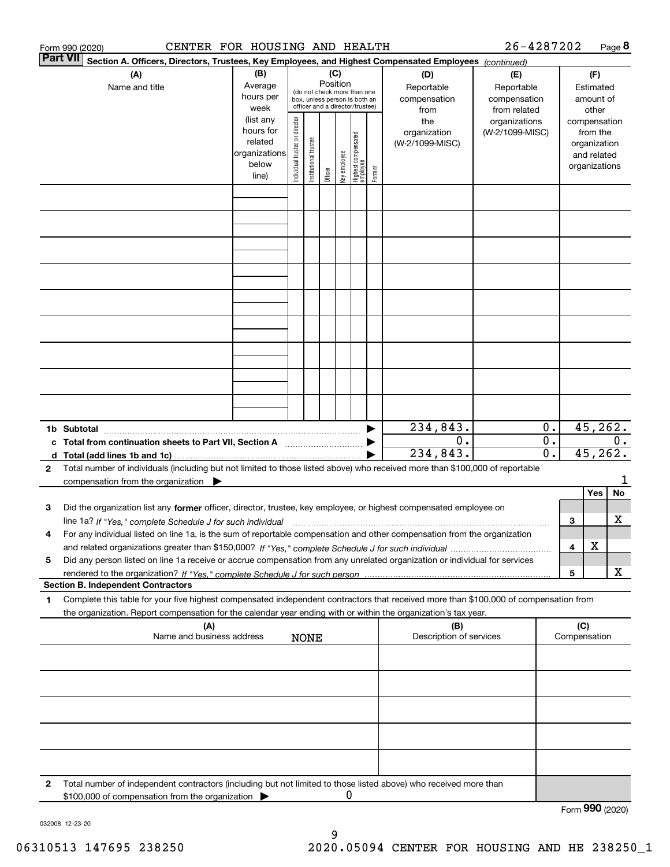|              | CENTER FOR HOUSING AND HEALTH<br>Form 990 (2020)                                                                                                   |                                                                                           |                               |                       |          |              |                                                                                                 |        |                                                                                     | 26-4287202                                                                            |             |                     |                                                                                   | Page 8   |
|--------------|----------------------------------------------------------------------------------------------------------------------------------------------------|-------------------------------------------------------------------------------------------|-------------------------------|-----------------------|----------|--------------|-------------------------------------------------------------------------------------------------|--------|-------------------------------------------------------------------------------------|---------------------------------------------------------------------------------------|-------------|---------------------|-----------------------------------------------------------------------------------|----------|
|              | <b>Part VII</b><br>Section A. Officers, Directors, Trustees, Key Employees, and Highest Compensated Employees (continued)<br>(C)                   |                                                                                           |                               |                       |          |              |                                                                                                 |        |                                                                                     |                                                                                       |             |                     |                                                                                   |          |
|              | (A)<br>Name and title                                                                                                                              | (B)<br>Average<br>hours per<br>week<br>(list any<br>hours for<br>related<br>organizations | ndividual trustee or director |                       | Position |              | (do not check more than one<br>box, unless person is both an<br>officer and a director/trustee) |        | (D)<br>Reportable<br>compensation<br>from<br>the<br>organization<br>(W-2/1099-MISC) | (E)<br>Reportable<br>compensation<br>from related<br>organizations<br>(W-2/1099-MISC) |             | compensation        | (F)<br>Estimated<br>amount of<br>other<br>from the<br>organization<br>and related |          |
|              |                                                                                                                                                    | below<br>line)                                                                            |                               | Institutional trustee | Officer  | Key employee | Highest compensated<br>  employee                                                               | Former |                                                                                     |                                                                                       |             |                     | organizations                                                                     |          |
|              |                                                                                                                                                    |                                                                                           |                               |                       |          |              |                                                                                                 |        |                                                                                     |                                                                                       |             |                     |                                                                                   |          |
|              |                                                                                                                                                    |                                                                                           |                               |                       |          |              |                                                                                                 |        |                                                                                     |                                                                                       |             |                     |                                                                                   |          |
|              |                                                                                                                                                    |                                                                                           |                               |                       |          |              |                                                                                                 |        |                                                                                     |                                                                                       |             |                     |                                                                                   |          |
|              |                                                                                                                                                    |                                                                                           |                               |                       |          |              |                                                                                                 |        | 234,843.                                                                            |                                                                                       | $0$ .       |                     |                                                                                   | 45, 262. |
|              | 1b Subtotal<br>c Total from continuation sheets to Part VII, Section A [111] [120] [20]                                                            |                                                                                           |                               |                       |          |              |                                                                                                 |        | 0.<br>234,843.                                                                      |                                                                                       | $0$ .<br>0. |                     | 45, 262.                                                                          | $0$ .    |
| $\mathbf{2}$ | Total number of individuals (including but not limited to those listed above) who received more than \$100,000 of reportable                       |                                                                                           |                               |                       |          |              |                                                                                                 |        |                                                                                     |                                                                                       |             |                     |                                                                                   |          |
|              | compensation from the organization $\blacktriangleright$                                                                                           |                                                                                           |                               |                       |          |              |                                                                                                 |        |                                                                                     |                                                                                       |             |                     | Yes                                                                               | No       |
| 3            | Did the organization list any former officer, director, trustee, key employee, or highest compensated employee on                                  |                                                                                           |                               |                       |          |              |                                                                                                 |        |                                                                                     |                                                                                       |             | 3                   |                                                                                   | х        |
| 4            | For any individual listed on line 1a, is the sum of reportable compensation and other compensation from the organization                           |                                                                                           |                               |                       |          |              |                                                                                                 |        |                                                                                     |                                                                                       |             |                     | х                                                                                 |          |
| 5            | Did any person listed on line 1a receive or accrue compensation from any unrelated organization or individual for services                         |                                                                                           |                               |                       |          |              |                                                                                                 |        |                                                                                     |                                                                                       |             | 4                   |                                                                                   |          |
|              | <b>Section B. Independent Contractors</b>                                                                                                          |                                                                                           |                               |                       |          |              |                                                                                                 |        |                                                                                     |                                                                                       |             | 5                   |                                                                                   | x        |
| 1            | Complete this table for your five highest compensated independent contractors that received more than \$100,000 of compensation from               |                                                                                           |                               |                       |          |              |                                                                                                 |        |                                                                                     |                                                                                       |             |                     |                                                                                   |          |
|              | the organization. Report compensation for the calendar year ending with or within the organization's tax year.<br>(A)<br>Name and business address |                                                                                           |                               | <b>NONE</b>           |          |              |                                                                                                 |        | (B)<br>Description of services                                                      |                                                                                       |             | (C)<br>Compensation |                                                                                   |          |
|              |                                                                                                                                                    |                                                                                           |                               |                       |          |              |                                                                                                 |        |                                                                                     |                                                                                       |             |                     |                                                                                   |          |
|              |                                                                                                                                                    |                                                                                           |                               |                       |          |              |                                                                                                 |        |                                                                                     |                                                                                       |             |                     |                                                                                   |          |
|              |                                                                                                                                                    |                                                                                           |                               |                       |          |              |                                                                                                 |        |                                                                                     |                                                                                       |             |                     |                                                                                   |          |
|              |                                                                                                                                                    |                                                                                           |                               |                       |          |              |                                                                                                 |        |                                                                                     |                                                                                       |             |                     |                                                                                   |          |
| 2            | Total number of independent contractors (including but not limited to those listed above) who received more than                                   |                                                                                           |                               |                       |          |              |                                                                                                 |        |                                                                                     |                                                                                       |             |                     |                                                                                   |          |
|              | \$100,000 of compensation from the organization                                                                                                    |                                                                                           |                               |                       |          | 0            |                                                                                                 |        |                                                                                     |                                                                                       |             | Form 990 (2020)     |                                                                                   |          |

032008 12-23-20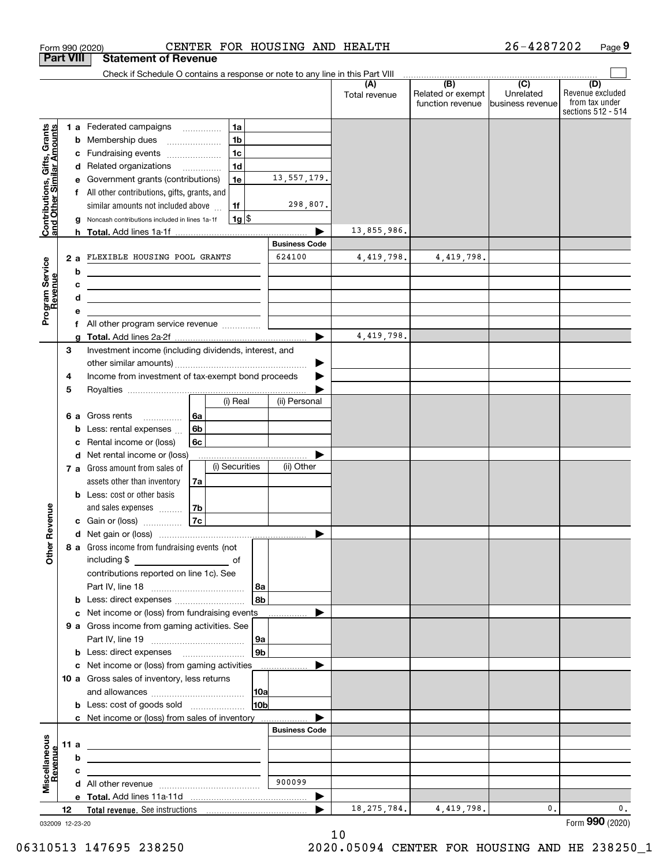|                                                           | <b>Part VIII</b> |        | <b>Statement of Revenue</b>                                                                                           |                |                    |                      |                      |                                              |                                                   |                                                                 |
|-----------------------------------------------------------|------------------|--------|-----------------------------------------------------------------------------------------------------------------------|----------------|--------------------|----------------------|----------------------|----------------------------------------------|---------------------------------------------------|-----------------------------------------------------------------|
|                                                           |                  |        | Check if Schedule O contains a response or note to any line in this Part VIII                                         |                |                    |                      |                      |                                              |                                                   |                                                                 |
|                                                           |                  |        |                                                                                                                       |                |                    |                      | (A)<br>Total revenue | (B)<br>Related or exempt<br>function revenue | $\overline{(C)}$<br>Unrelated<br>business revenue | (D)<br>Revenue excluded<br>from tax under<br>sections 512 - 514 |
|                                                           |                  |        | 1 a Federated campaigns                                                                                               |                | 1a                 |                      |                      |                                              |                                                   |                                                                 |
| Contributions, Gifts, Grants<br>and Other Similar Amounts |                  | b      | Membership dues                                                                                                       |                | 1 <sub>b</sub>     |                      |                      |                                              |                                                   |                                                                 |
|                                                           |                  | c      | Fundraising events                                                                                                    |                | 1 <sub>c</sub>     |                      |                      |                                              |                                                   |                                                                 |
|                                                           |                  |        | d Related organizations                                                                                               |                | 1 <sub>d</sub>     |                      |                      |                                              |                                                   |                                                                 |
|                                                           |                  | е      | Government grants (contributions)                                                                                     |                | 1e                 | 13, 557, 179.        |                      |                                              |                                                   |                                                                 |
|                                                           |                  | f      | All other contributions, gifts, grants, and                                                                           |                |                    |                      |                      |                                              |                                                   |                                                                 |
|                                                           |                  |        | similar amounts not included above                                                                                    |                | 1f                 | 298,807.             |                      |                                              |                                                   |                                                                 |
|                                                           |                  |        | Noncash contributions included in lines 1a-1f                                                                         |                | $1g$ $\frac{1}{3}$ |                      |                      |                                              |                                                   |                                                                 |
|                                                           |                  |        |                                                                                                                       |                |                    |                      | 13,855,986.          |                                              |                                                   |                                                                 |
|                                                           |                  |        |                                                                                                                       |                |                    | <b>Business Code</b> |                      |                                              |                                                   |                                                                 |
|                                                           | 2a               |        | FLEXIBLE HOUSING POOL GRANTS                                                                                          |                |                    | 624100               | 4,419,798.           | 4,419,798.                                   |                                                   |                                                                 |
| Program Service<br>Revenue                                |                  | b      | the control of the control of the control of the control of the control of                                            |                |                    |                      |                      |                                              |                                                   |                                                                 |
|                                                           |                  | с      | <u> 1989 - Johann Stein, marwolaethau a bhann an t-Amhainn an t-Amhainn an t-Amhainn an t-Amhainn an t-Amhainn an</u> |                |                    |                      |                      |                                              |                                                   |                                                                 |
|                                                           |                  | d<br>е | the control of the control of the control of the control of the control of                                            |                |                    |                      |                      |                                              |                                                   |                                                                 |
|                                                           |                  | f      | All other program service revenue                                                                                     |                |                    |                      |                      |                                              |                                                   |                                                                 |
|                                                           |                  |        |                                                                                                                       |                |                    | ▶                    | 4,419,798.           |                                              |                                                   |                                                                 |
|                                                           | 3                |        | Investment income (including dividends, interest, and                                                                 |                |                    |                      |                      |                                              |                                                   |                                                                 |
|                                                           |                  |        |                                                                                                                       |                |                    |                      |                      |                                              |                                                   |                                                                 |
|                                                           | 4                |        | Income from investment of tax-exempt bond proceeds                                                                    |                |                    |                      |                      |                                              |                                                   |                                                                 |
|                                                           | 5                |        |                                                                                                                       |                |                    |                      |                      |                                              |                                                   |                                                                 |
|                                                           |                  |        |                                                                                                                       |                | (i) Real           | (ii) Personal        |                      |                                              |                                                   |                                                                 |
|                                                           | 6а               |        | Gross rents                                                                                                           | l 6a           |                    |                      |                      |                                              |                                                   |                                                                 |
|                                                           |                  | b      | Less: rental expenses                                                                                                 | 6 <sub>b</sub> |                    |                      |                      |                                              |                                                   |                                                                 |
|                                                           |                  | с      | Rental income or (loss)                                                                                               | 6с             |                    |                      |                      |                                              |                                                   |                                                                 |
|                                                           |                  | d      | Net rental income or (loss)                                                                                           |                |                    |                      |                      |                                              |                                                   |                                                                 |
|                                                           |                  |        | 7 a Gross amount from sales of                                                                                        |                | (i) Securities     | (ii) Other           |                      |                                              |                                                   |                                                                 |
|                                                           |                  |        | assets other than inventory<br><b>b</b> Less: cost or other basis                                                     | 7a             |                    |                      |                      |                                              |                                                   |                                                                 |
|                                                           |                  |        | and sales expenses                                                                                                    | 7b             |                    |                      |                      |                                              |                                                   |                                                                 |
| Revenue                                                   |                  |        | c Gain or (loss)                                                                                                      | 7c             |                    |                      |                      |                                              |                                                   |                                                                 |
|                                                           |                  |        |                                                                                                                       |                |                    | ▶                    |                      |                                              |                                                   |                                                                 |
|                                                           |                  |        | 8 a Gross income from fundraising events (not                                                                         |                |                    |                      |                      |                                              |                                                   |                                                                 |
| Othe                                                      |                  |        | including \$                                                                                                          |                |                    |                      |                      |                                              |                                                   |                                                                 |
|                                                           |                  |        | contributions reported on line 1c). See                                                                               |                |                    |                      |                      |                                              |                                                   |                                                                 |
|                                                           |                  |        |                                                                                                                       |                |                    | 8a                   |                      |                                              |                                                   |                                                                 |
|                                                           |                  |        | <b>b</b> Less: direct expenses                                                                                        |                |                    | 8b                   |                      |                                              |                                                   |                                                                 |
|                                                           |                  |        | c Net income or (loss) from fundraising events                                                                        |                |                    |                      |                      |                                              |                                                   |                                                                 |
|                                                           |                  |        | 9 a Gross income from gaming activities. See                                                                          |                |                    |                      |                      |                                              |                                                   |                                                                 |
|                                                           |                  |        |                                                                                                                       |                |                    | l 9a                 |                      |                                              |                                                   |                                                                 |
|                                                           |                  |        | <b>b</b> Less: direct expenses <b>manually</b>                                                                        |                |                    | 9 <sub>b</sub>       |                      |                                              |                                                   |                                                                 |
|                                                           |                  |        | c Net income or (loss) from gaming activities _______________                                                         |                |                    |                      |                      |                                              |                                                   |                                                                 |
|                                                           |                  |        | 10 a Gross sales of inventory, less returns                                                                           |                |                    |                      |                      |                                              |                                                   |                                                                 |
|                                                           |                  |        | <b>b</b> Less: cost of goods sold                                                                                     |                |                    | 10a<br>10b           |                      |                                              |                                                   |                                                                 |
|                                                           |                  |        | c Net income or (loss) from sales of inventory                                                                        |                |                    |                      |                      |                                              |                                                   |                                                                 |
|                                                           |                  |        |                                                                                                                       |                |                    | <b>Business Code</b> |                      |                                              |                                                   |                                                                 |
|                                                           | 11 a             |        |                                                                                                                       |                |                    |                      |                      |                                              |                                                   |                                                                 |
| evenue                                                    |                  | b      |                                                                                                                       |                |                    |                      |                      |                                              |                                                   |                                                                 |
|                                                           |                  | с      |                                                                                                                       |                |                    |                      |                      |                                              |                                                   |                                                                 |
| Miscellaneous                                             |                  |        |                                                                                                                       |                |                    | 900099               |                      |                                              |                                                   |                                                                 |
|                                                           |                  |        |                                                                                                                       |                |                    | ▶                    |                      |                                              |                                                   |                                                                 |
|                                                           | 12               |        |                                                                                                                       |                |                    |                      | 18, 275, 784.        | 4, 419, 798.                                 | 0.                                                | 0.                                                              |
| 032009 12-23-20                                           |                  |        |                                                                                                                       |                |                    |                      |                      |                                              |                                                   | Form 990 (2020)                                                 |

Form 990 (2020) CENTER FOR HOUSING AND HEALTH 26-4287202 Page

**9**

26-4287202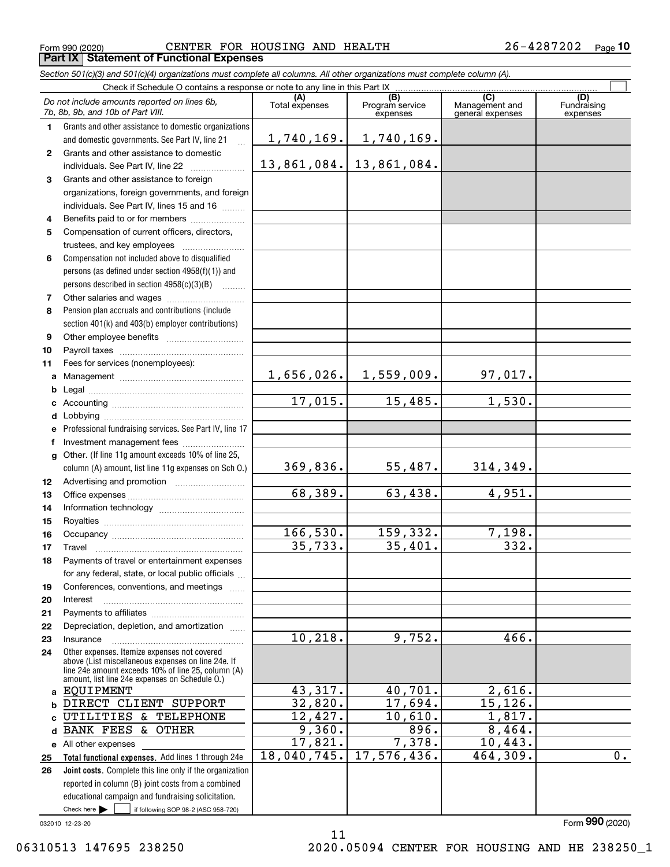Form 990 (2020) CENTER FOR HOUSING AND HEALTH 2 6-4287202 <sub>Page</sub> **Part IX Statement of Functional Expenses**

*Section 501(c)(3) and 501(c)(4) organizations must complete all columns. All other organizations must complete column (A).*

|                  | Check if Schedule O contains a response or note to any line in this Part IX                                                   |                |                         |                       |                    |
|------------------|-------------------------------------------------------------------------------------------------------------------------------|----------------|-------------------------|-----------------------|--------------------|
|                  | Do not include amounts reported on lines 6b,<br>7b, 8b, 9b, and 10b of Part VIII.                                             | Total expenses | (B)<br>Program service  | (C)<br>Management and | (D)<br>Fundraising |
|                  |                                                                                                                               |                | expenses                | general expenses      | expenses           |
| $\mathbf 1$      | Grants and other assistance to domestic organizations                                                                         | 1,740,169.     | 1,740,169.              |                       |                    |
| $\mathbf{2}$     | and domestic governments. See Part IV, line 21<br>$\ddotsc$<br>Grants and other assistance to domestic                        |                |                         |                       |                    |
|                  | individuals. See Part IV, line 22                                                                                             |                | 13,861,084. 13,861,084. |                       |                    |
| 3                | Grants and other assistance to foreign                                                                                        |                |                         |                       |                    |
|                  | organizations, foreign governments, and foreign                                                                               |                |                         |                       |                    |
|                  | individuals. See Part IV, lines 15 and 16                                                                                     |                |                         |                       |                    |
| 4                | Benefits paid to or for members                                                                                               |                |                         |                       |                    |
| 5                | Compensation of current officers, directors,                                                                                  |                |                         |                       |                    |
|                  |                                                                                                                               |                |                         |                       |                    |
| 6                | Compensation not included above to disqualified                                                                               |                |                         |                       |                    |
|                  | persons (as defined under section 4958(f)(1)) and                                                                             |                |                         |                       |                    |
|                  | persons described in section 4958(c)(3)(B)                                                                                    |                |                         |                       |                    |
| 7                |                                                                                                                               |                |                         |                       |                    |
| 8                | Pension plan accruals and contributions (include                                                                              |                |                         |                       |                    |
|                  | section 401(k) and 403(b) employer contributions)                                                                             |                |                         |                       |                    |
| 9                |                                                                                                                               |                |                         |                       |                    |
| 10               |                                                                                                                               |                |                         |                       |                    |
| 11               | Fees for services (nonemployees):                                                                                             |                |                         |                       |                    |
|                  |                                                                                                                               | 1,656,026.     | 1,559,009.              | 97,017.               |                    |
| b                |                                                                                                                               |                |                         |                       |                    |
| c                |                                                                                                                               | 17,015.        | 15,485.                 | 1,530.                |                    |
|                  |                                                                                                                               |                |                         |                       |                    |
| f                | e Professional fundraising services. See Part IV, line 17                                                                     |                |                         |                       |                    |
|                  | g Other. (If line 11g amount exceeds 10% of line 25,                                                                          |                |                         |                       |                    |
|                  | column (A) amount, list line 11g expenses on Sch O.)                                                                          | 369,836.       | 55,487.                 | 314,349.              |                    |
| 12 <sup>12</sup> |                                                                                                                               |                |                         |                       |                    |
| 13               |                                                                                                                               | 68,389.        | 63,438.                 | 4,951.                |                    |
| 14               |                                                                                                                               |                |                         |                       |                    |
| 15               |                                                                                                                               |                |                         |                       |                    |
| 16               |                                                                                                                               | 166,530.       | 159,332.                | 7,198.                |                    |
| 17               | Travel                                                                                                                        | 35,733.        | 35,401.                 | $\overline{332}$ .    |                    |
| 18               | Payments of travel or entertainment expenses                                                                                  |                |                         |                       |                    |
|                  | for any federal, state, or local public officials                                                                             |                |                         |                       |                    |
| 19               | Conferences, conventions, and meetings                                                                                        |                |                         |                       |                    |
| 20               | Interest                                                                                                                      |                |                         |                       |                    |
| 21               | Depreciation, depletion, and amortization                                                                                     |                |                         |                       |                    |
| 22<br>23         | Insurance                                                                                                                     | 10, 218.       | 9,752.                  | 466.                  |                    |
| 24               | Other expenses. Itemize expenses not covered                                                                                  |                |                         |                       |                    |
|                  | above (List miscellaneous expenses on line 24e. If                                                                            |                |                         |                       |                    |
|                  | line 24e amount exceeds 10% of line 25, column (A)<br>amount, list line 24e expenses on Schedule O.)                          |                |                         |                       |                    |
| a                | EQUIPMENT                                                                                                                     | 43,317.        | 40,701.                 | 2,616.                |                    |
| b                | DIRECT CLIENT SUPPORT                                                                                                         | 32,820.        | 17,694.                 | 15,126.               |                    |
| c                | UTILITIES & TELEPHONE                                                                                                         | 12,427.        | 10,610.                 | 1,817.                |                    |
| d                | <b>BANK FEES &amp; OTHER</b>                                                                                                  | 9,360.         | 896.                    | 8,464.                |                    |
| е                | All other expenses                                                                                                            | 17,821.        | 7,378.                  | 10,443.               |                    |
| 25               | Total functional expenses. Add lines 1 through 24e                                                                            | 18,040,745.    | 17,576,436.             | 464,309.              | $\overline{0}$ .   |
| 26               | Joint costs. Complete this line only if the organization                                                                      |                |                         |                       |                    |
|                  | reported in column (B) joint costs from a combined                                                                            |                |                         |                       |                    |
|                  | educational campaign and fundraising solicitation.<br>Check here $\blacktriangleright$<br>if following SOP 98-2 (ASC 958-720) |                |                         |                       |                    |
|                  |                                                                                                                               |                |                         |                       |                    |

11

032010 12-23-20

Form (2020) **990**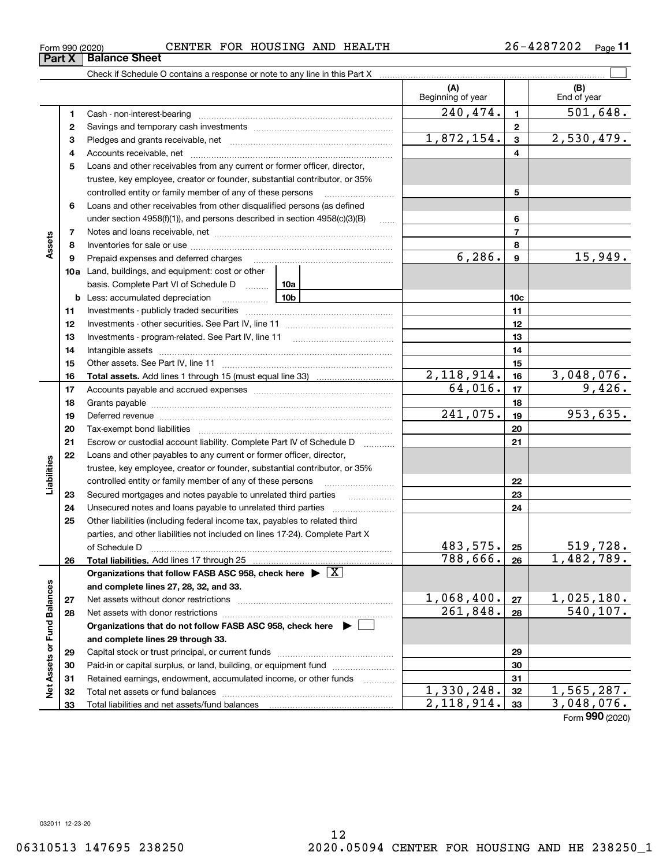**Part X** | Balance Sheet

**Assets**

**Liabilities**

Liabilities

**Net Assets or Fund Balances**

Net Assets or Fund Balances

#### Form 990 (2020) CENTER FOR HOUSING AND HEALTH 2 6-4287202 <sub>Page</sub>

**(A) (B) 1**240,474. 501,648. **234**Check if Schedule O contains a response or note to any line in this Part X Beginning of year | | End of year  $\mathcal{L}^{\text{max}}$ (B)<br>End of year  $.79.$ 

| 1  |                                                                                          | 240,474.                 | 1              | 501,648.   |
|----|------------------------------------------------------------------------------------------|--------------------------|----------------|------------|
| 2  |                                                                                          |                          | $\mathbf 2$    |            |
| з  |                                                                                          | 1,872,154.               | 3              | 2,530,479. |
| 4  |                                                                                          |                          | 4              |            |
| 5  | Loans and other receivables from any current or former officer, director,                |                          |                |            |
|    | trustee, key employee, creator or founder, substantial contributor, or 35%               |                          |                |            |
|    | controlled entity or family member of any of these persons                               |                          | 5              |            |
| 6  | Loans and other receivables from other disqualified persons (as defined                  |                          |                |            |
|    | under section $4958(f)(1)$ , and persons described in section $4958(c)(3)(B)$<br>1.1.1.1 |                          | 6              |            |
| 7  |                                                                                          |                          | $\overline{7}$ |            |
| 8  |                                                                                          |                          | 8              |            |
| 9  | Prepaid expenses and deferred charges                                                    | 6, 286.                  | 9              | 15,949.    |
|    | 10a Land, buildings, and equipment: cost or other                                        |                          |                |            |
|    | basis. Complete Part VI of Schedule D<br>10a                                             |                          |                |            |
| b  | 10 <sub>b</sub><br>Less: accumulated depreciation                                        |                          | 10c            |            |
| 11 |                                                                                          |                          | 11             |            |
| 12 |                                                                                          |                          | 12             |            |
| 13 |                                                                                          |                          | 13             |            |
| 14 |                                                                                          |                          | 14             |            |
| 15 |                                                                                          |                          | 15             |            |
| 16 |                                                                                          | 2,118,914.               | 16             | 3,048,076. |
| 17 |                                                                                          | 64,016.                  | 17             | 9,426.     |
| 18 |                                                                                          |                          | 18             |            |
| 19 |                                                                                          | 241,075.                 | 19             | 953,635.   |
| 20 |                                                                                          |                          | 20             |            |
| 21 | Escrow or custodial account liability. Complete Part IV of Schedule D                    |                          | 21             |            |
| 22 | Loans and other payables to any current or former officer, director,                     |                          |                |            |
|    | trustee, key employee, creator or founder, substantial contributor, or 35%               |                          |                |            |
|    | controlled entity or family member of any of these persons                               |                          | 22             |            |
| 23 | Secured mortgages and notes payable to unrelated third parties                           |                          | 23             |            |
| 24 |                                                                                          |                          | 24             |            |
| 25 | Other liabilities (including federal income tax, payables to related third               |                          |                |            |
|    | parties, and other liabilities not included on lines 17-24). Complete Part X             |                          |                |            |
|    | of Schedule D                                                                            | 483,575.                 | 25             | 519,728.   |
| 26 |                                                                                          | 788,666.                 | 26             | 1,482,789. |
|    | Organizations that follow FASB ASC 958, check here $\triangleright \lfloor X \rfloor$    |                          |                |            |
|    | and complete lines 27, 28, 32, and 33.                                                   |                          |                |            |
| 27 |                                                                                          | 1,068,400.               | 27             | 1,025,180. |
| 28 |                                                                                          | 261,848.                 | 28             | 540,107.   |
|    | Organizations that do not follow FASB ASC 958, check here ▶ □                            |                          |                |            |
|    | and complete lines 29 through 33.                                                        |                          |                |            |
| 29 |                                                                                          |                          | 29             |            |
| 30 | Paid-in or capital surplus, or land, building, or equipment fund                         |                          | 30             |            |
| 31 | Retained earnings, endowment, accumulated income, or other funds<br>.                    |                          | 31             |            |
| 32 |                                                                                          | $\overline{1,330,248}$ . | 32             | 1,565,287. |
| 33 |                                                                                          | 2, 118, 914.             | 33             | 3,048,076. |

Form (2020) **990**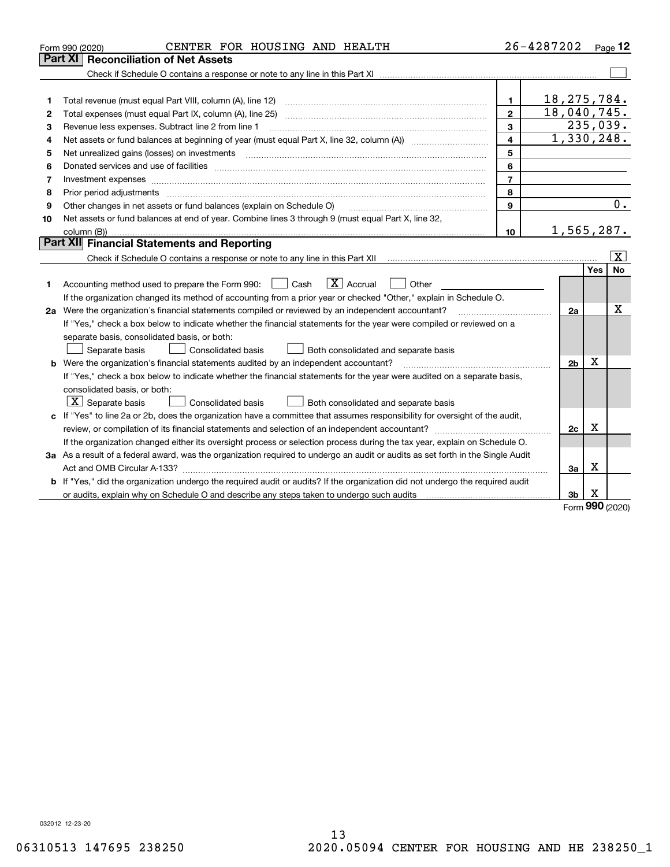|    | CENTER FOR HOUSING AND HEALTH<br>Form 990 (2020)                                                                                                                                                                               |                | 26-4287202     |                 | Page $12$               |  |  |  |  |
|----|--------------------------------------------------------------------------------------------------------------------------------------------------------------------------------------------------------------------------------|----------------|----------------|-----------------|-------------------------|--|--|--|--|
|    | <b>Reconciliation of Net Assets</b><br>Part XI                                                                                                                                                                                 |                |                |                 |                         |  |  |  |  |
|    |                                                                                                                                                                                                                                |                |                |                 |                         |  |  |  |  |
|    |                                                                                                                                                                                                                                |                |                |                 |                         |  |  |  |  |
| 1  | Total revenue (must equal Part VIII, column (A), line 12)                                                                                                                                                                      | $\mathbf{1}$   | 18, 275, 784.  |                 |                         |  |  |  |  |
| 2  | 18,040,745.<br>$\mathbf{2}$<br>Total expenses (must equal Part IX, column (A), line 25)                                                                                                                                        |                |                |                 |                         |  |  |  |  |
| з  | 3<br>Revenue less expenses. Subtract line 2 from line 1                                                                                                                                                                        |                |                |                 |                         |  |  |  |  |
| 4  |                                                                                                                                                                                                                                | 4              | 1,330,248.     |                 |                         |  |  |  |  |
| 5  |                                                                                                                                                                                                                                | 5              |                |                 |                         |  |  |  |  |
| 6  | Donated services and use of facilities [111] Donated and the service of facilities [11] Donated services and use of facilities [11] Donated and the service of the service of the service of the service of the service of the | 6              |                |                 |                         |  |  |  |  |
| 7  | Investment expenses www.communication.communication.com/www.communication.com/www.communication.com                                                                                                                            | $\overline{7}$ |                |                 |                         |  |  |  |  |
| 8  | Prior period adjustments                                                                                                                                                                                                       | 8              |                |                 |                         |  |  |  |  |
| 9  | Other changes in net assets or fund balances (explain on Schedule O)                                                                                                                                                           | 9              |                |                 | 0.                      |  |  |  |  |
| 10 | Net assets or fund balances at end of year. Combine lines 3 through 9 (must equal Part X, line 32,                                                                                                                             |                |                |                 |                         |  |  |  |  |
|    | column (B)).                                                                                                                                                                                                                   | 10             | 1,565,287.     |                 |                         |  |  |  |  |
|    | Part XII Financial Statements and Reporting                                                                                                                                                                                    |                |                |                 |                         |  |  |  |  |
|    |                                                                                                                                                                                                                                |                |                |                 | $\overline{\mathbf{X}}$ |  |  |  |  |
|    |                                                                                                                                                                                                                                |                |                | Yes             | No                      |  |  |  |  |
| 1. | $ X $ Accrual<br>Accounting method used to prepare the Form 990: <u>I</u> Cash<br>Other                                                                                                                                        |                |                |                 |                         |  |  |  |  |
|    | If the organization changed its method of accounting from a prior year or checked "Other," explain in Schedule O.                                                                                                              |                |                |                 |                         |  |  |  |  |
|    | 2a Were the organization's financial statements compiled or reviewed by an independent accountant?                                                                                                                             |                | 2a             |                 | x                       |  |  |  |  |
|    | If "Yes," check a box below to indicate whether the financial statements for the year were compiled or reviewed on a                                                                                                           |                |                |                 |                         |  |  |  |  |
|    | separate basis, consolidated basis, or both:                                                                                                                                                                                   |                |                |                 |                         |  |  |  |  |
|    | Separate basis<br><b>Consolidated basis</b><br>Both consolidated and separate basis                                                                                                                                            |                |                |                 |                         |  |  |  |  |
|    | <b>b</b> Were the organization's financial statements audited by an independent accountant?                                                                                                                                    |                | 2 <sub>b</sub> | х               |                         |  |  |  |  |
|    | If "Yes," check a box below to indicate whether the financial statements for the year were audited on a separate basis,                                                                                                        |                |                |                 |                         |  |  |  |  |
|    | consolidated basis, or both:                                                                                                                                                                                                   |                |                |                 |                         |  |  |  |  |
|    | $ \mathbf{X} $ Separate basis<br>Consolidated basis<br>Both consolidated and separate basis                                                                                                                                    |                |                |                 |                         |  |  |  |  |
|    | c If "Yes" to line 2a or 2b, does the organization have a committee that assumes responsibility for oversight of the audit,                                                                                                    |                |                |                 |                         |  |  |  |  |
|    |                                                                                                                                                                                                                                |                | 2c             | х               |                         |  |  |  |  |
|    | If the organization changed either its oversight process or selection process during the tax year, explain on Schedule O.                                                                                                      |                |                |                 |                         |  |  |  |  |
|    | 3a As a result of a federal award, was the organization required to undergo an audit or audits as set forth in the Single Audit                                                                                                |                |                |                 |                         |  |  |  |  |
|    |                                                                                                                                                                                                                                |                | Зa             | X               |                         |  |  |  |  |
|    | b If "Yes," did the organization undergo the required audit or audits? If the organization did not undergo the required audit                                                                                                  |                |                |                 |                         |  |  |  |  |
|    | or audits, explain why on Schedule O and describe any steps taken to undergo such audits                                                                                                                                       |                | 3b             | х<br><b>000</b> |                         |  |  |  |  |

Form (2020) **990**

032012 12-23-20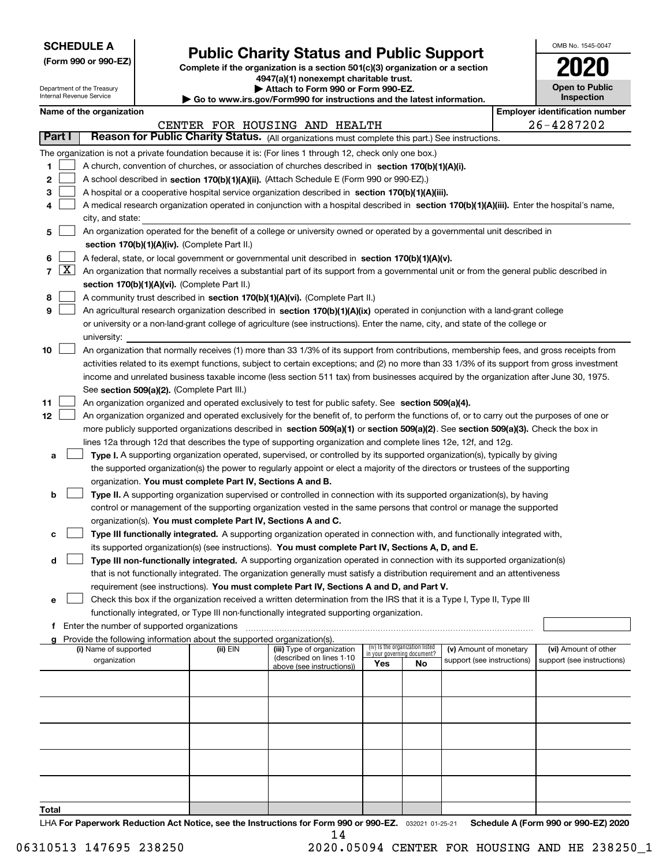| <b>SCHEDULE A</b> |
|-------------------|
|-------------------|

Department of the Treasury Internal Revenue Service

| (Form 990 or 990-EZ) |  |  |  |  |
|----------------------|--|--|--|--|
|----------------------|--|--|--|--|

## **Public Charity Status and Public Support**

**Complete if the organization is a section 501(c)(3) organization or a section 4947(a)(1) nonexempt charitable trust.**

**| Attach to Form 990 or Form 990-EZ.** 

**| Go to www.irs.gov/Form990 for instructions and the latest information.**

| OMB No. 1545-0047                   |
|-------------------------------------|
| 2020                                |
| <b>Open to Public</b><br>Inspection |

|  | Name of the organization |
|--|--------------------------|
|--|--------------------------|

|       |                     | Name of the organization                                                                                                                                                                                                                                                         |          |                                                        |                                                                |    |                            | <b>Employer identification number</b> |
|-------|---------------------|----------------------------------------------------------------------------------------------------------------------------------------------------------------------------------------------------------------------------------------------------------------------------------|----------|--------------------------------------------------------|----------------------------------------------------------------|----|----------------------------|---------------------------------------|
|       |                     |                                                                                                                                                                                                                                                                                  |          | CENTER FOR HOUSING AND HEALTH                          |                                                                |    |                            | 26-4287202                            |
|       | Part I              | Reason for Public Charity Status. (All organizations must complete this part.) See instructions.                                                                                                                                                                                 |          |                                                        |                                                                |    |                            |                                       |
|       |                     | The organization is not a private foundation because it is: (For lines 1 through 12, check only one box.)                                                                                                                                                                        |          |                                                        |                                                                |    |                            |                                       |
| 1     |                     | A church, convention of churches, or association of churches described in section 170(b)(1)(A)(i).                                                                                                                                                                               |          |                                                        |                                                                |    |                            |                                       |
| 2     |                     | A school described in section 170(b)(1)(A)(ii). (Attach Schedule E (Form 990 or 990-EZ).)                                                                                                                                                                                        |          |                                                        |                                                                |    |                            |                                       |
| з     |                     | A hospital or a cooperative hospital service organization described in section $170(b)(1)(A)(iii)$ .                                                                                                                                                                             |          |                                                        |                                                                |    |                            |                                       |
|       |                     | A medical research organization operated in conjunction with a hospital described in section 170(b)(1)(A)(iii). Enter the hospital's name,                                                                                                                                       |          |                                                        |                                                                |    |                            |                                       |
|       |                     | city, and state:                                                                                                                                                                                                                                                                 |          |                                                        |                                                                |    |                            |                                       |
| 5     |                     | An organization operated for the benefit of a college or university owned or operated by a governmental unit described in                                                                                                                                                        |          |                                                        |                                                                |    |                            |                                       |
|       |                     | section 170(b)(1)(A)(iv). (Complete Part II.)                                                                                                                                                                                                                                    |          |                                                        |                                                                |    |                            |                                       |
| 6     |                     | A federal, state, or local government or governmental unit described in section 170(b)(1)(A)(v).                                                                                                                                                                                 |          |                                                        |                                                                |    |                            |                                       |
| 7     | $\lfloor x \rfloor$ | An organization that normally receives a substantial part of its support from a governmental unit or from the general public described in                                                                                                                                        |          |                                                        |                                                                |    |                            |                                       |
|       |                     | section 170(b)(1)(A)(vi). (Complete Part II.)                                                                                                                                                                                                                                    |          |                                                        |                                                                |    |                            |                                       |
| 8     |                     | A community trust described in section 170(b)(1)(A)(vi). (Complete Part II.)                                                                                                                                                                                                     |          |                                                        |                                                                |    |                            |                                       |
| 9     |                     | An agricultural research organization described in section 170(b)(1)(A)(ix) operated in conjunction with a land-grant college                                                                                                                                                    |          |                                                        |                                                                |    |                            |                                       |
|       |                     | or university or a non-land-grant college of agriculture (see instructions). Enter the name, city, and state of the college or                                                                                                                                                   |          |                                                        |                                                                |    |                            |                                       |
|       |                     | university:                                                                                                                                                                                                                                                                      |          |                                                        |                                                                |    |                            |                                       |
| 10    |                     | An organization that normally receives (1) more than 33 1/3% of its support from contributions, membership fees, and gross receipts from                                                                                                                                         |          |                                                        |                                                                |    |                            |                                       |
|       |                     | activities related to its exempt functions, subject to certain exceptions; and (2) no more than 33 1/3% of its support from gross investment                                                                                                                                     |          |                                                        |                                                                |    |                            |                                       |
|       |                     | income and unrelated business taxable income (less section 511 tax) from businesses acquired by the organization after June 30, 1975.                                                                                                                                            |          |                                                        |                                                                |    |                            |                                       |
|       |                     | See section 509(a)(2). (Complete Part III.)                                                                                                                                                                                                                                      |          |                                                        |                                                                |    |                            |                                       |
| 11    |                     | An organization organized and operated exclusively to test for public safety. See section 509(a)(4).                                                                                                                                                                             |          |                                                        |                                                                |    |                            |                                       |
| 12    |                     | An organization organized and operated exclusively for the benefit of, to perform the functions of, or to carry out the purposes of one or<br>more publicly supported organizations described in section 509(a)(1) or section 509(a)(2). See section 509(a)(3). Check the box in |          |                                                        |                                                                |    |                            |                                       |
|       |                     | lines 12a through 12d that describes the type of supporting organization and complete lines 12e, 12f, and 12g.                                                                                                                                                                   |          |                                                        |                                                                |    |                            |                                       |
| a     |                     | Type I. A supporting organization operated, supervised, or controlled by its supported organization(s), typically by giving                                                                                                                                                      |          |                                                        |                                                                |    |                            |                                       |
|       |                     | the supported organization(s) the power to regularly appoint or elect a majority of the directors or trustees of the supporting                                                                                                                                                  |          |                                                        |                                                                |    |                            |                                       |
|       |                     | organization. You must complete Part IV, Sections A and B.                                                                                                                                                                                                                       |          |                                                        |                                                                |    |                            |                                       |
| b     |                     | Type II. A supporting organization supervised or controlled in connection with its supported organization(s), by having                                                                                                                                                          |          |                                                        |                                                                |    |                            |                                       |
|       |                     | control or management of the supporting organization vested in the same persons that control or manage the supported                                                                                                                                                             |          |                                                        |                                                                |    |                            |                                       |
|       |                     | organization(s). You must complete Part IV, Sections A and C.                                                                                                                                                                                                                    |          |                                                        |                                                                |    |                            |                                       |
| c     |                     | Type III functionally integrated. A supporting organization operated in connection with, and functionally integrated with,                                                                                                                                                       |          |                                                        |                                                                |    |                            |                                       |
|       |                     | its supported organization(s) (see instructions). You must complete Part IV, Sections A, D, and E.                                                                                                                                                                               |          |                                                        |                                                                |    |                            |                                       |
| d     |                     | Type III non-functionally integrated. A supporting organization operated in connection with its supported organization(s)                                                                                                                                                        |          |                                                        |                                                                |    |                            |                                       |
|       |                     | that is not functionally integrated. The organization generally must satisfy a distribution requirement and an attentiveness                                                                                                                                                     |          |                                                        |                                                                |    |                            |                                       |
|       |                     | requirement (see instructions). You must complete Part IV, Sections A and D, and Part V.                                                                                                                                                                                         |          |                                                        |                                                                |    |                            |                                       |
|       |                     | Check this box if the organization received a written determination from the IRS that it is a Type I, Type II, Type III                                                                                                                                                          |          |                                                        |                                                                |    |                            |                                       |
|       |                     | functionally integrated, or Type III non-functionally integrated supporting organization.                                                                                                                                                                                        |          |                                                        |                                                                |    |                            |                                       |
|       |                     | f Enter the number of supported organizations                                                                                                                                                                                                                                    |          |                                                        |                                                                |    |                            |                                       |
|       |                     | g Provide the following information about the supported organization(s).                                                                                                                                                                                                         |          |                                                        |                                                                |    |                            |                                       |
|       |                     | (i) Name of supported                                                                                                                                                                                                                                                            | (ii) EIN | (iii) Type of organization<br>(described on lines 1-10 | (iv) Is the organization listed<br>in your governing document? |    | (v) Amount of monetary     | (vi) Amount of other                  |
|       |                     | organization                                                                                                                                                                                                                                                                     |          | above (see instructions))                              | Yes                                                            | No | support (see instructions) | support (see instructions)            |
|       |                     |                                                                                                                                                                                                                                                                                  |          |                                                        |                                                                |    |                            |                                       |
|       |                     |                                                                                                                                                                                                                                                                                  |          |                                                        |                                                                |    |                            |                                       |
|       |                     |                                                                                                                                                                                                                                                                                  |          |                                                        |                                                                |    |                            |                                       |
|       |                     |                                                                                                                                                                                                                                                                                  |          |                                                        |                                                                |    |                            |                                       |
|       |                     |                                                                                                                                                                                                                                                                                  |          |                                                        |                                                                |    |                            |                                       |
|       |                     |                                                                                                                                                                                                                                                                                  |          |                                                        |                                                                |    |                            |                                       |
|       |                     |                                                                                                                                                                                                                                                                                  |          |                                                        |                                                                |    |                            |                                       |
|       |                     |                                                                                                                                                                                                                                                                                  |          |                                                        |                                                                |    |                            |                                       |
|       |                     |                                                                                                                                                                                                                                                                                  |          |                                                        |                                                                |    |                            |                                       |
| Total |                     |                                                                                                                                                                                                                                                                                  |          |                                                        |                                                                |    |                            |                                       |
|       |                     |                                                                                                                                                                                                                                                                                  |          |                                                        |                                                                |    |                            |                                       |

LHA For Paperwork Reduction Act Notice, see the Instructions for Form 990 or 990-EZ. <sub>032021</sub> o1-25-21 Schedule A (Form 990 or 990-EZ) 2020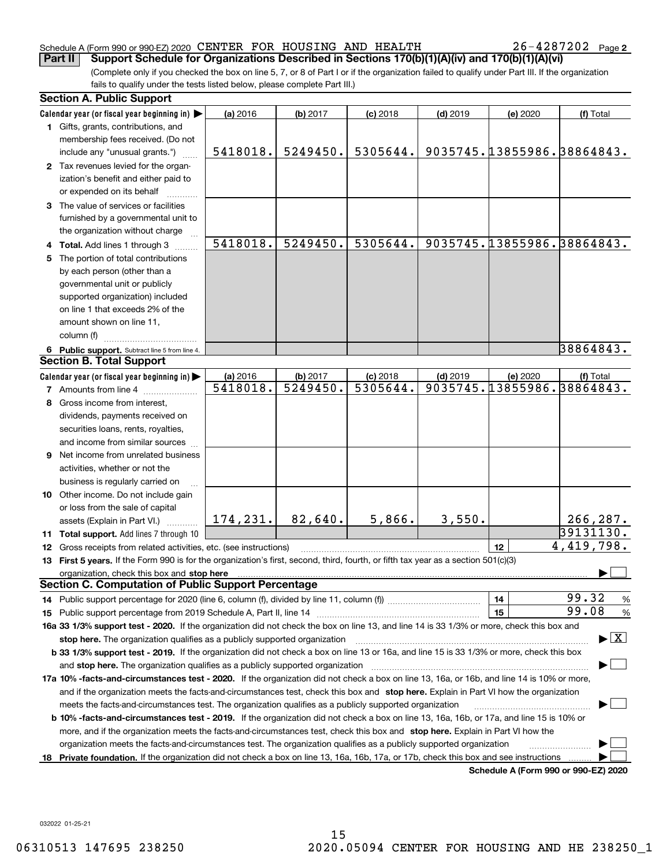#### Schedule A (Form 990 or 990-EZ) 2020 Page CENTER FOR HOUSING AND HEALTH 26-4287202 **Part II Support Schedule for Organizations Described in Sections 170(b)(1)(A)(iv) and 170(b)(1)(A)(vi)**

**2**

(Complete only if you checked the box on line 5, 7, or 8 of Part I or if the organization failed to qualify under Part III. If the organization fails to qualify under the tests listed below, please complete Part III.)

|    | <b>Section A. Public Support</b>                                                                                                               |           |                      |                        |            |          |                                          |
|----|------------------------------------------------------------------------------------------------------------------------------------------------|-----------|----------------------|------------------------|------------|----------|------------------------------------------|
|    | Calendar year (or fiscal year beginning in)                                                                                                    | (a) 2016  | (b) 2017             | $(c)$ 2018             | $(d)$ 2019 | (e) 2020 | (f) Total                                |
|    | 1 Gifts, grants, contributions, and                                                                                                            |           |                      |                        |            |          |                                          |
|    | membership fees received. (Do not                                                                                                              |           |                      |                        |            |          |                                          |
|    | include any "unusual grants.")                                                                                                                 | 5418018.  | 5249450.             | 5305644.               |            |          | 9035745.13855986.38864843.               |
|    | 2 Tax revenues levied for the organ-                                                                                                           |           |                      |                        |            |          |                                          |
|    | ization's benefit and either paid to                                                                                                           |           |                      |                        |            |          |                                          |
|    | or expended on its behalf                                                                                                                      |           |                      |                        |            |          |                                          |
|    | 3 The value of services or facilities                                                                                                          |           |                      |                        |            |          |                                          |
|    | furnished by a governmental unit to                                                                                                            |           |                      |                        |            |          |                                          |
|    | the organization without charge                                                                                                                |           |                      |                        |            |          |                                          |
|    | 4 Total. Add lines 1 through 3                                                                                                                 | 5418018.  | 5249450.             | 5305644.               |            |          | 9035745.13855986.38864843.               |
|    | 5 The portion of total contributions                                                                                                           |           |                      |                        |            |          |                                          |
|    | by each person (other than a                                                                                                                   |           |                      |                        |            |          |                                          |
|    | governmental unit or publicly                                                                                                                  |           |                      |                        |            |          |                                          |
|    | supported organization) included                                                                                                               |           |                      |                        |            |          |                                          |
|    | on line 1 that exceeds 2% of the                                                                                                               |           |                      |                        |            |          |                                          |
|    | amount shown on line 11,                                                                                                                       |           |                      |                        |            |          |                                          |
|    | column (f)                                                                                                                                     |           |                      |                        |            |          |                                          |
|    | 6 Public support. Subtract line 5 from line 4.                                                                                                 |           |                      |                        |            |          | 38864843.                                |
|    | <b>Section B. Total Support</b>                                                                                                                |           |                      |                        |            |          |                                          |
|    | Calendar year (or fiscal year beginning in)                                                                                                    | (a) 2016  |                      |                        | $(d)$ 2019 |          | (f) Total                                |
|    | <b>7</b> Amounts from line 4                                                                                                                   | 5418018.  | (b) 2017<br>5249450. | $(c)$ 2018<br>5305644. |            | (e) 2020 | 9035745.13855986.38864843.               |
|    |                                                                                                                                                |           |                      |                        |            |          |                                          |
|    | 8 Gross income from interest,                                                                                                                  |           |                      |                        |            |          |                                          |
|    | dividends, payments received on                                                                                                                |           |                      |                        |            |          |                                          |
|    | securities loans, rents, royalties,                                                                                                            |           |                      |                        |            |          |                                          |
|    | and income from similar sources                                                                                                                |           |                      |                        |            |          |                                          |
|    | <b>9</b> Net income from unrelated business                                                                                                    |           |                      |                        |            |          |                                          |
|    | activities, whether or not the                                                                                                                 |           |                      |                        |            |          |                                          |
|    | business is regularly carried on                                                                                                               |           |                      |                        |            |          |                                          |
|    | 10 Other income. Do not include gain                                                                                                           |           |                      |                        |            |          |                                          |
|    | or loss from the sale of capital                                                                                                               |           |                      |                        |            |          |                                          |
|    | assets (Explain in Part VI.)                                                                                                                   | 174, 231. | 82,640.              | 5,866.                 | 3,550.     |          | 266, 287.                                |
|    | 11 Total support. Add lines 7 through 10                                                                                                       |           |                      |                        |            |          | 39131130.                                |
|    | 12 Gross receipts from related activities, etc. (see instructions)                                                                             |           |                      |                        |            | 12       | 4,419,798.                               |
|    | 13 First 5 years. If the Form 990 is for the organization's first, second, third, fourth, or fifth tax year as a section 501(c)(3)             |           |                      |                        |            |          |                                          |
|    | organization, check this box and stop here                                                                                                     |           |                      |                        |            |          |                                          |
|    | <b>Section C. Computation of Public Support Percentage</b>                                                                                     |           |                      |                        |            |          |                                          |
|    |                                                                                                                                                |           |                      |                        |            | 14       | 99.32<br>%                               |
|    |                                                                                                                                                |           |                      |                        |            | 15       | 99.08<br>$\%$                            |
|    | 16a 33 1/3% support test - 2020. If the organization did not check the box on line 13, and line 14 is 33 1/3% or more, check this box and      |           |                      |                        |            |          |                                          |
|    | stop here. The organization qualifies as a publicly supported organization                                                                     |           |                      |                        |            |          | $\blacktriangleright$ $\boxed{\text{X}}$ |
|    | b 33 1/3% support test - 2019. If the organization did not check a box on line 13 or 16a, and line 15 is 33 1/3% or more, check this box       |           |                      |                        |            |          |                                          |
|    | and stop here. The organization qualifies as a publicly supported organization                                                                 |           |                      |                        |            |          |                                          |
|    | 17a 10% -facts-and-circumstances test - 2020. If the organization did not check a box on line 13, 16a, or 16b, and line 14 is 10% or more,     |           |                      |                        |            |          |                                          |
|    | and if the organization meets the facts-and-circumstances test, check this box and stop here. Explain in Part VI how the organization          |           |                      |                        |            |          |                                          |
|    | meets the facts-and-circumstances test. The organization qualifies as a publicly supported organization                                        |           |                      |                        |            |          |                                          |
|    | <b>b 10% -facts-and-circumstances test - 2019.</b> If the organization did not check a box on line 13, 16a, 16b, or 17a, and line 15 is 10% or |           |                      |                        |            |          |                                          |
|    | more, and if the organization meets the facts-and-circumstances test, check this box and stop here. Explain in Part VI how the                 |           |                      |                        |            |          |                                          |
|    | organization meets the facts-and-circumstances test. The organization qualifies as a publicly supported organization                           |           |                      |                        |            |          |                                          |
| 18 | Private foundation. If the organization did not check a box on line 13, 16a, 16b, 17a, or 17b, check this box and see instructions             |           |                      |                        |            |          |                                          |
|    |                                                                                                                                                |           |                      |                        |            |          | Schedule A (Form 990 or 990-F7) 2020     |

**Schedule A (Form 990 or 990-EZ) 2020**

032022 01-25-21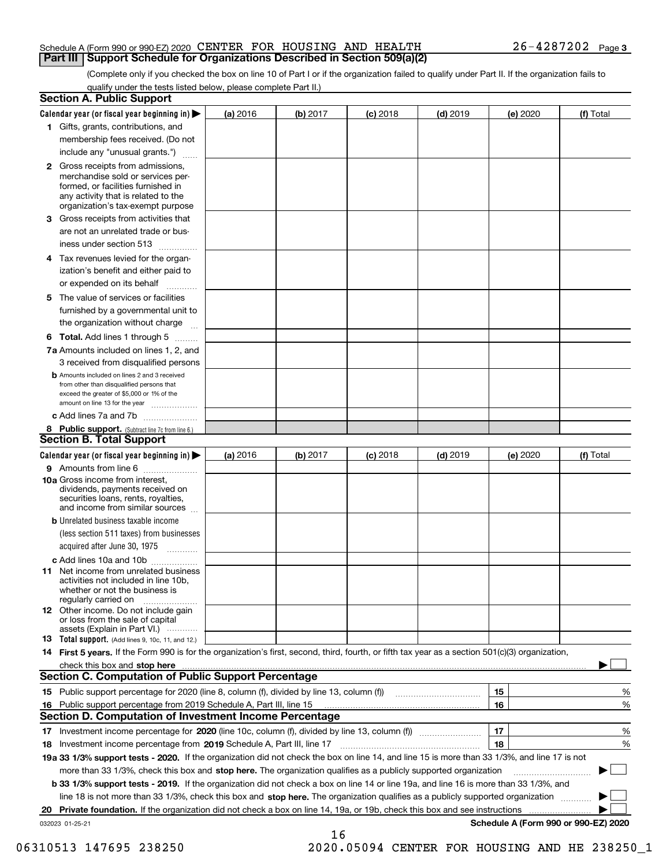#### Schedule A (Form 990 or 990-EZ) 2020 Page CENTER FOR HOUSING AND HEALTH 26-4287202 **Part III Support Schedule for Organizations Described in Section 509(a)(2)**

(Complete only if you checked the box on line 10 of Part I or if the organization failed to qualify under Part II. If the organization fails to qualify under the tests listed below, please complete Part II.)

| <b>Section A. Public Support</b>                                                                                                                                                                                               |          |          |            |            |          |                                      |
|--------------------------------------------------------------------------------------------------------------------------------------------------------------------------------------------------------------------------------|----------|----------|------------|------------|----------|--------------------------------------|
| Calendar year (or fiscal year beginning in) $\blacktriangleright$                                                                                                                                                              | (a) 2016 | (b) 2017 | $(c)$ 2018 | $(d)$ 2019 | (e) 2020 | (f) Total                            |
| 1 Gifts, grants, contributions, and                                                                                                                                                                                            |          |          |            |            |          |                                      |
| membership fees received. (Do not                                                                                                                                                                                              |          |          |            |            |          |                                      |
| include any "unusual grants.")                                                                                                                                                                                                 |          |          |            |            |          |                                      |
| 2 Gross receipts from admissions,<br>merchandise sold or services per-<br>formed, or facilities furnished in<br>any activity that is related to the<br>organization's tax-exempt purpose                                       |          |          |            |            |          |                                      |
| 3 Gross receipts from activities that<br>are not an unrelated trade or bus-                                                                                                                                                    |          |          |            |            |          |                                      |
| iness under section 513                                                                                                                                                                                                        |          |          |            |            |          |                                      |
| 4 Tax revenues levied for the organ-<br>ization's benefit and either paid to<br>or expended on its behalf                                                                                                                      |          |          |            |            |          |                                      |
| .<br>5 The value of services or facilities<br>furnished by a governmental unit to                                                                                                                                              |          |          |            |            |          |                                      |
| the organization without charge                                                                                                                                                                                                |          |          |            |            |          |                                      |
| <b>6 Total.</b> Add lines 1 through 5                                                                                                                                                                                          |          |          |            |            |          |                                      |
| 7a Amounts included on lines 1, 2, and<br>3 received from disqualified persons                                                                                                                                                 |          |          |            |            |          |                                      |
| <b>b</b> Amounts included on lines 2 and 3 received<br>from other than disqualified persons that<br>exceed the greater of \$5,000 or 1% of the<br>amount on line 13 for the year                                               |          |          |            |            |          |                                      |
| c Add lines 7a and 7b                                                                                                                                                                                                          |          |          |            |            |          |                                      |
| 8 Public support. (Subtract line 7c from line 6.)<br><b>Section B. Total Support</b>                                                                                                                                           |          |          |            |            |          |                                      |
| Calendar year (or fiscal year beginning in)                                                                                                                                                                                    | (a) 2016 | (b) 2017 | $(c)$ 2018 | $(d)$ 2019 | (e) 2020 | (f) Total                            |
| 9 Amounts from line 6                                                                                                                                                                                                          |          |          |            |            |          |                                      |
| 10a Gross income from interest,<br>dividends, payments received on<br>securities loans, rents, royalties,<br>and income from similar sources                                                                                   |          |          |            |            |          |                                      |
| <b>b</b> Unrelated business taxable income<br>(less section 511 taxes) from businesses<br>acquired after June 30, 1975                                                                                                         |          |          |            |            |          |                                      |
| c Add lines 10a and 10b                                                                                                                                                                                                        |          |          |            |            |          |                                      |
| <b>11</b> Net income from unrelated business<br>activities not included in line 10b,<br>whether or not the business is<br>regularly carried on                                                                                 |          |          |            |            |          |                                      |
| <b>12</b> Other income. Do not include gain<br>or loss from the sale of capital<br>assets (Explain in Part VI.)                                                                                                                |          |          |            |            |          |                                      |
| <b>13 Total support.</b> (Add lines 9, 10c, 11, and 12.)                                                                                                                                                                       |          |          |            |            |          |                                      |
| 14 First 5 years. If the Form 990 is for the organization's first, second, third, fourth, or fifth tax year as a section 501(c)(3) organization,                                                                               |          |          |            |            |          |                                      |
| check this box and stop here measurements and contact the contract of the contract of the contract of the contract of the contract of the contract of the contract of the contract of the contract of the contract of the cont |          |          |            |            |          |                                      |
| <b>Section C. Computation of Public Support Percentage</b>                                                                                                                                                                     |          |          |            |            |          |                                      |
|                                                                                                                                                                                                                                |          |          |            |            | 15       | %                                    |
| 16 Public support percentage from 2019 Schedule A, Part III, line 15                                                                                                                                                           |          |          |            |            | 16       | %                                    |
| <b>Section D. Computation of Investment Income Percentage</b>                                                                                                                                                                  |          |          |            |            |          |                                      |
| 17 Investment income percentage for 2020 (line 10c, column (f), divided by line 13, column (f))<br>18 Investment income percentage from 2019 Schedule A, Part III, line 17                                                     |          |          |            |            | 17<br>18 | %<br>%                               |
| 19a 33 1/3% support tests - 2020. If the organization did not check the box on line 14, and line 15 is more than 33 1/3%, and line 17 is not                                                                                   |          |          |            |            |          |                                      |
| more than 33 1/3%, check this box and stop here. The organization qualifies as a publicly supported organization                                                                                                               |          |          |            |            |          | ▶                                    |
| b 33 1/3% support tests - 2019. If the organization did not check a box on line 14 or line 19a, and line 16 is more than 33 1/3%, and                                                                                          |          |          |            |            |          |                                      |
| line 18 is not more than 33 1/3%, check this box and stop here. The organization qualifies as a publicly supported organization                                                                                                |          |          |            |            |          |                                      |
| 20 Private foundation. If the organization did not check a box on line 14, 19a, or 19b, check this box and see instructions                                                                                                    |          |          |            |            |          |                                      |
| 032023 01-25-21                                                                                                                                                                                                                |          |          |            |            |          | Schedule A (Form 990 or 990-EZ) 2020 |
|                                                                                                                                                                                                                                |          | 16       |            |            |          |                                      |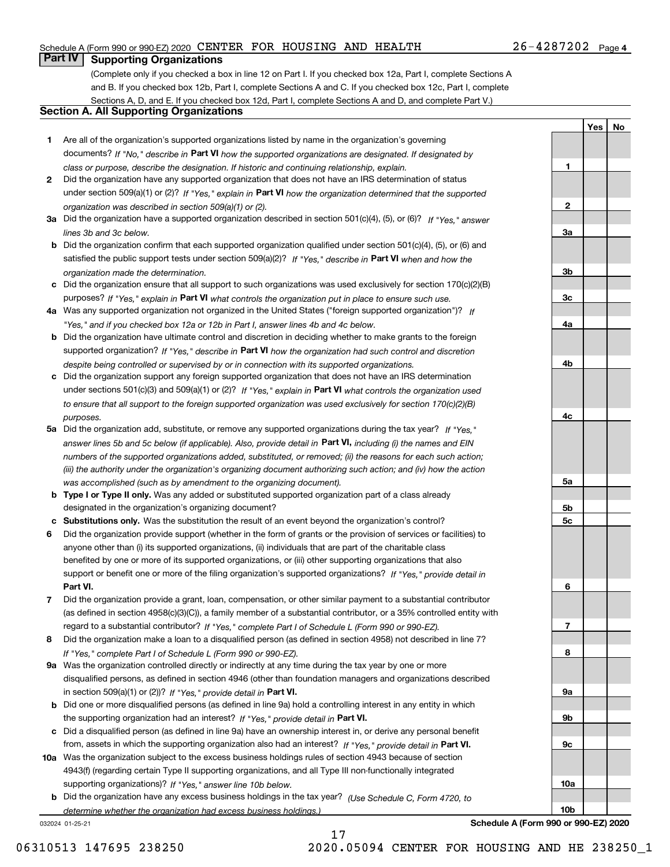#### Schedule A (Form 990 or 990-EZ) 2020 Page CENTER FOR HOUSING AND HEALTH 26-4287202

## **Part IV Supporting Organizations**

(Complete only if you checked a box in line 12 on Part I. If you checked box 12a, Part I, complete Sections A and B. If you checked box 12b, Part I, complete Sections A and C. If you checked box 12c, Part I, complete Sections A, D, and E. If you checked box 12d, Part I, complete Sections A and D, and complete Part V.)

#### **Section A. All Supporting Organizations**

- **1** Are all of the organization's supported organizations listed by name in the organization's governing documents? If "No," describe in **Part VI** how the supported organizations are designated. If designated by *class or purpose, describe the designation. If historic and continuing relationship, explain.*
- **2** Did the organization have any supported organization that does not have an IRS determination of status under section 509(a)(1) or (2)? If "Yes," explain in Part VI how the organization determined that the supported *organization was described in section 509(a)(1) or (2).*
- **3a** Did the organization have a supported organization described in section 501(c)(4), (5), or (6)? If "Yes," answer *lines 3b and 3c below.*
- **b** Did the organization confirm that each supported organization qualified under section 501(c)(4), (5), or (6) and satisfied the public support tests under section 509(a)(2)? If "Yes," describe in **Part VI** when and how the *organization made the determination.*
- **c**Did the organization ensure that all support to such organizations was used exclusively for section 170(c)(2)(B) purposes? If "Yes," explain in **Part VI** what controls the organization put in place to ensure such use.
- **4a***If* Was any supported organization not organized in the United States ("foreign supported organization")? *"Yes," and if you checked box 12a or 12b in Part I, answer lines 4b and 4c below.*
- **b** Did the organization have ultimate control and discretion in deciding whether to make grants to the foreign supported organization? If "Yes," describe in **Part VI** how the organization had such control and discretion *despite being controlled or supervised by or in connection with its supported organizations.*
- **c** Did the organization support any foreign supported organization that does not have an IRS determination under sections 501(c)(3) and 509(a)(1) or (2)? If "Yes," explain in **Part VI** what controls the organization used *to ensure that all support to the foreign supported organization was used exclusively for section 170(c)(2)(B) purposes.*
- **5a** Did the organization add, substitute, or remove any supported organizations during the tax year? If "Yes," answer lines 5b and 5c below (if applicable). Also, provide detail in **Part VI,** including (i) the names and EIN *numbers of the supported organizations added, substituted, or removed; (ii) the reasons for each such action; (iii) the authority under the organization's organizing document authorizing such action; and (iv) how the action was accomplished (such as by amendment to the organizing document).*
- **b** Type I or Type II only. Was any added or substituted supported organization part of a class already designated in the organization's organizing document?
- **cSubstitutions only.**  Was the substitution the result of an event beyond the organization's control?
- **6** Did the organization provide support (whether in the form of grants or the provision of services or facilities) to **Part VI.** *If "Yes," provide detail in* support or benefit one or more of the filing organization's supported organizations? anyone other than (i) its supported organizations, (ii) individuals that are part of the charitable class benefited by one or more of its supported organizations, or (iii) other supporting organizations that also
- **7**Did the organization provide a grant, loan, compensation, or other similar payment to a substantial contributor *If "Yes," complete Part I of Schedule L (Form 990 or 990-EZ).* regard to a substantial contributor? (as defined in section 4958(c)(3)(C)), a family member of a substantial contributor, or a 35% controlled entity with
- **8** Did the organization make a loan to a disqualified person (as defined in section 4958) not described in line 7? *If "Yes," complete Part I of Schedule L (Form 990 or 990-EZ).*
- **9a** Was the organization controlled directly or indirectly at any time during the tax year by one or more in section 509(a)(1) or (2))? If "Yes," *provide detail in* <code>Part VI.</code> disqualified persons, as defined in section 4946 (other than foundation managers and organizations described
- **b** Did one or more disqualified persons (as defined in line 9a) hold a controlling interest in any entity in which the supporting organization had an interest? If "Yes," provide detail in P**art VI**.
- **c**Did a disqualified person (as defined in line 9a) have an ownership interest in, or derive any personal benefit from, assets in which the supporting organization also had an interest? If "Yes," provide detail in P**art VI.**
- **10a** Was the organization subject to the excess business holdings rules of section 4943 because of section supporting organizations)? If "Yes," answer line 10b below. 4943(f) (regarding certain Type II supporting organizations, and all Type III non-functionally integrated
- **b** Did the organization have any excess business holdings in the tax year? (Use Schedule C, Form 4720, to *determine whether the organization had excess business holdings.)*

032024 01-25-21

**Yes No 123a3b3c4a4b4c5a 5b5c**

**89a 9b9c10a10b**

**6**

**7**

**Schedule A (Form 990 or 990-EZ) 2020**

06310513 147695 238250 2020.05094 CENTER FOR HOUSING AND HE 238250\_1

17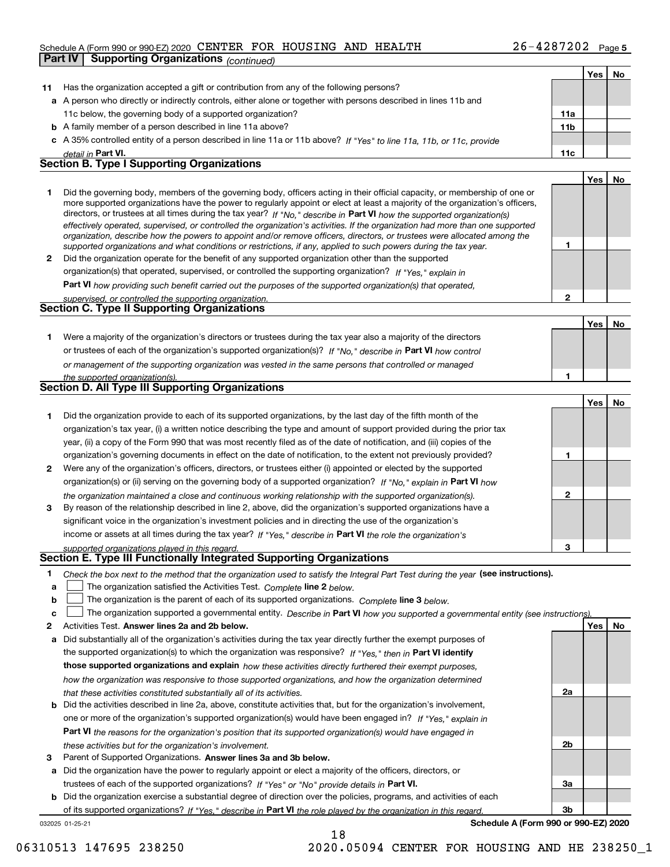#### Schedule A (Form 990 or 990-EZ) 2020 Page CENTER FOR HOUSING AND HEALTH 26-4287202

|    | Part IV | <b>Supporting Organizations (continued)</b>                                                                                                                                                                                                                 |                 |            |    |
|----|---------|-------------------------------------------------------------------------------------------------------------------------------------------------------------------------------------------------------------------------------------------------------------|-----------------|------------|----|
|    |         |                                                                                                                                                                                                                                                             |                 | Yes        | No |
| 11 |         | Has the organization accepted a gift or contribution from any of the following persons?                                                                                                                                                                     |                 |            |    |
|    |         | a A person who directly or indirectly controls, either alone or together with persons described in lines 11b and                                                                                                                                            |                 |            |    |
|    |         | 11c below, the governing body of a supported organization?                                                                                                                                                                                                  | 11a             |            |    |
|    |         | <b>b</b> A family member of a person described in line 11a above?                                                                                                                                                                                           | 11 <sub>b</sub> |            |    |
|    |         | c A 35% controlled entity of a person described in line 11a or 11b above? If "Yes" to line 11a, 11b, or 11c, provide                                                                                                                                        |                 |            |    |
|    |         | detail in Part VI.                                                                                                                                                                                                                                          | 11c             |            |    |
|    |         | <b>Section B. Type I Supporting Organizations</b>                                                                                                                                                                                                           |                 |            |    |
|    |         |                                                                                                                                                                                                                                                             |                 | Yes        | No |
| 1  |         | Did the governing body, members of the governing body, officers acting in their official capacity, or membership of one or<br>more supported organizations have the power to regularly appoint or elect at least a majority of the organization's officers, |                 |            |    |
|    |         | directors, or trustees at all times during the tax year? If "No," describe in Part VI how the supported organization(s)                                                                                                                                     |                 |            |    |
|    |         | effectively operated, supervised, or controlled the organization's activities. If the organization had more than one supported                                                                                                                              |                 |            |    |
|    |         | organization, describe how the powers to appoint and/or remove officers, directors, or trustees were allocated among the                                                                                                                                    | 1               |            |    |
| 2  |         | supported organizations and what conditions or restrictions, if any, applied to such powers during the tax year.<br>Did the organization operate for the benefit of any supported organization other than the supported                                     |                 |            |    |
|    |         | organization(s) that operated, supervised, or controlled the supporting organization? If "Yes," explain in                                                                                                                                                  |                 |            |    |
|    |         | <b>Part VI</b> how providing such benefit carried out the purposes of the supported organization(s) that operated,                                                                                                                                          |                 |            |    |
|    |         | supervised, or controlled the supporting organization.                                                                                                                                                                                                      | 2               |            |    |
|    |         | <b>Section C. Type II Supporting Organizations</b>                                                                                                                                                                                                          |                 |            |    |
|    |         |                                                                                                                                                                                                                                                             |                 | Yes        | No |
| 1  |         | Were a majority of the organization's directors or trustees during the tax year also a majority of the directors                                                                                                                                            |                 |            |    |
|    |         | or trustees of each of the organization's supported organization(s)? If "No," describe in Part VI how control                                                                                                                                               |                 |            |    |
|    |         | or management of the supporting organization was vested in the same persons that controlled or managed                                                                                                                                                      |                 |            |    |
|    |         | the supported organization(s).                                                                                                                                                                                                                              | 1               |            |    |
|    |         | Section D. All Type III Supporting Organizations                                                                                                                                                                                                            |                 |            |    |
|    |         |                                                                                                                                                                                                                                                             |                 | <b>Yes</b> | No |
| 1  |         | Did the organization provide to each of its supported organizations, by the last day of the fifth month of the                                                                                                                                              |                 |            |    |
|    |         | organization's tax year, (i) a written notice describing the type and amount of support provided during the prior tax                                                                                                                                       |                 |            |    |
|    |         | year, (ii) a copy of the Form 990 that was most recently filed as of the date of notification, and (iii) copies of the                                                                                                                                      |                 |            |    |
|    |         | organization's governing documents in effect on the date of notification, to the extent not previously provided?                                                                                                                                            | 1               |            |    |
| 2  |         | Were any of the organization's officers, directors, or trustees either (i) appointed or elected by the supported                                                                                                                                            |                 |            |    |
|    |         | organization(s) or (ii) serving on the governing body of a supported organization? If "No," explain in Part VI how                                                                                                                                          |                 |            |    |
|    |         | the organization maintained a close and continuous working relationship with the supported organization(s).                                                                                                                                                 | 2               |            |    |
| 3  |         | By reason of the relationship described in line 2, above, did the organization's supported organizations have a                                                                                                                                             |                 |            |    |
|    |         | significant voice in the organization's investment policies and in directing the use of the organization's                                                                                                                                                  |                 |            |    |
|    |         | income or assets at all times during the tax year? If "Yes," describe in Part VI the role the organization's                                                                                                                                                | з               |            |    |
|    |         | supported organizations played in this regard<br>Section E. Type III Functionally Integrated Supporting Organizations                                                                                                                                       |                 |            |    |
| L, |         | Check the box next to the method that the organization used to satisfy the Integral Part Test during the year (see instructions).                                                                                                                           |                 |            |    |
| a  |         | The organization satisfied the Activities Test. Complete line 2 below.                                                                                                                                                                                      |                 |            |    |
| b  |         | The organization is the parent of each of its supported organizations. Complete line 3 below.                                                                                                                                                               |                 |            |    |
| c  |         | The organization supported a governmental entity. Describe in Part VI how you supported a governmental entity (see instructions).                                                                                                                           |                 |            |    |
| 2  |         | Activities Test. Answer lines 2a and 2b below.                                                                                                                                                                                                              |                 | Yes        | No |
| а  |         | Did substantially all of the organization's activities during the tax year directly further the exempt purposes of                                                                                                                                          |                 |            |    |
|    |         | the supported organization(s) to which the organization was responsive? If "Yes," then in Part VI identify                                                                                                                                                  |                 |            |    |
|    |         | those supported organizations and explain how these activities directly furthered their exempt purposes,                                                                                                                                                    |                 |            |    |
|    |         | how the organization was responsive to those supported organizations, and how the organization determined                                                                                                                                                   |                 |            |    |
|    |         | that these activities constituted substantially all of its activities.                                                                                                                                                                                      | 2a              |            |    |
|    |         | Did the activities described in line 2a, above, constitute activities that but for the organization's involvement                                                                                                                                           |                 |            |    |

- **bPart VI**  *the reasons for the organization's position that its supported organization(s) would have engaged in* one or more of the organization's supported organization(s) would have been engaged in? If "Yes," e*xplain in these activities but for the organization's involvement.* Did the activities described in line 2a, above, constitute activities that, but for the organization's involvement,
- **3** Parent of Supported Organizations. Answer lines 3a and 3b below.

**a** Did the organization have the power to regularly appoint or elect a majority of the officers, directors, or trustees of each of the supported organizations? If "Yes" or "No" provide details in **Part VI.** 

032025 01-25-21 **b** Did the organization exercise a substantial degree of direction over the policies, programs, and activities of each of its supported organizations? If "Yes," describe in Part VI the role played by the organization in this regard.

18

**Schedule A (Form 990 or 990-EZ) 2020**

**2b**

**3a**

**3b**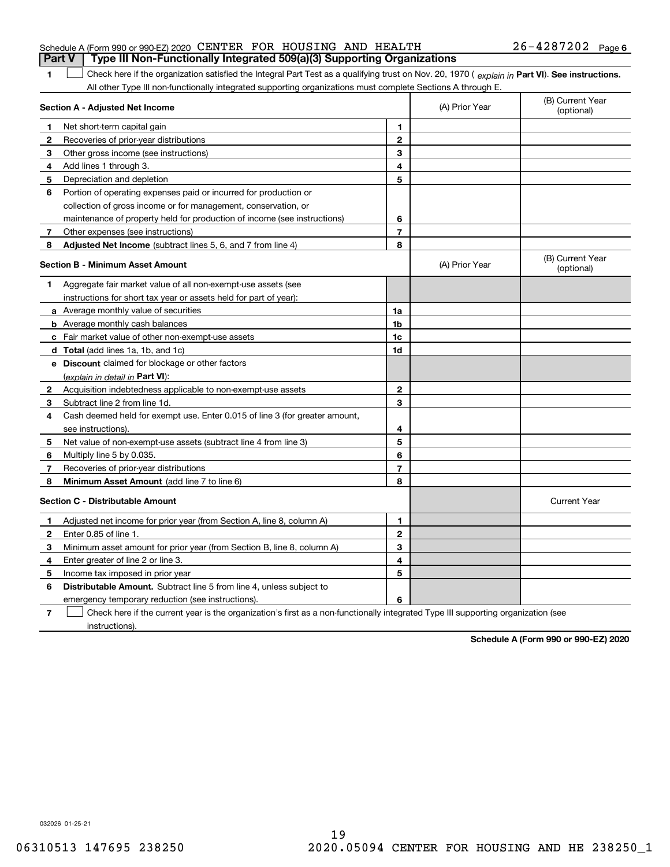| <b>Part V</b> Type III Non-Functionally Integrated 509(a)(3) Supporting Organizations |  |  |                       |  |
|---------------------------------------------------------------------------------------|--|--|-----------------------|--|
| Schedule A (Form 990 or 990-EZ) 2020 CENTER FOR HOUSING AND HEALTH                    |  |  | $26 - 4287202$ Page 6 |  |

1 Check here if the organization satisfied the Integral Part Test as a qualifying trust on Nov. 20, 1970 (explain in Part VI). See instructions. All other Type III non-functionally integrated supporting organizations must complete Sections A through E.

|              | Section A - Adjusted Net Income                                             | (A) Prior Year | (B) Current Year<br>(optional) |                                |
|--------------|-----------------------------------------------------------------------------|----------------|--------------------------------|--------------------------------|
| п.           | Net short-term capital gain                                                 | $\blacksquare$ |                                |                                |
| 2            | Recoveries of prior-year distributions                                      | 2              |                                |                                |
| З            | Other gross income (see instructions)                                       | 3              |                                |                                |
| 4            | Add lines 1 through 3.                                                      | 4              |                                |                                |
| 5            | Depreciation and depletion                                                  | 5              |                                |                                |
| 6            | Portion of operating expenses paid or incurred for production or            |                |                                |                                |
|              | collection of gross income or for management, conservation, or              |                |                                |                                |
|              | maintenance of property held for production of income (see instructions)    | 6              |                                |                                |
| 7            | Other expenses (see instructions)                                           | $\overline{7}$ |                                |                                |
| 8            | Adjusted Net Income (subtract lines 5, 6, and 7 from line 4)                | 8              |                                |                                |
|              | <b>Section B - Minimum Asset Amount</b>                                     |                | (A) Prior Year                 | (B) Current Year<br>(optional) |
| 1            | Aggregate fair market value of all non-exempt-use assets (see               |                |                                |                                |
|              | instructions for short tax year or assets held for part of year):           |                |                                |                                |
|              | a Average monthly value of securities                                       | 1a             |                                |                                |
|              | <b>b</b> Average monthly cash balances                                      | 1b             |                                |                                |
|              | c Fair market value of other non-exempt-use assets                          | 1c             |                                |                                |
|              | d Total (add lines 1a, 1b, and 1c)                                          | 1d             |                                |                                |
|              | e Discount claimed for blockage or other factors                            |                |                                |                                |
|              | (explain in detail in Part VI):                                             |                |                                |                                |
| 2            | Acquisition indebtedness applicable to non-exempt-use assets                | $\overline{2}$ |                                |                                |
| З            | Subtract line 2 from line 1d.                                               | 3              |                                |                                |
| 4            | Cash deemed held for exempt use. Enter 0.015 of line 3 (for greater amount, |                |                                |                                |
|              | see instructions).                                                          | 4              |                                |                                |
| 5            | Net value of non-exempt-use assets (subtract line 4 from line 3)            | 5              |                                |                                |
| 6            | Multiply line 5 by 0.035.                                                   | 6              |                                |                                |
| 7            | Recoveries of prior-year distributions                                      | $\overline{7}$ |                                |                                |
| 8            | Minimum Asset Amount (add line 7 to line 6)                                 | 8              |                                |                                |
|              | <b>Section C - Distributable Amount</b>                                     |                |                                | <b>Current Year</b>            |
| 1            | Adjusted net income for prior year (from Section A, line 8, column A)       | 1              |                                |                                |
| $\mathbf{2}$ | Enter 0.85 of line 1.                                                       | $\mathbf{2}$   |                                |                                |
| 3            | Minimum asset amount for prior year (from Section B, line 8, column A)      | 3              |                                |                                |
| 4            | Enter greater of line 2 or line 3.                                          | 4              |                                |                                |
| 5            | Income tax imposed in prior year                                            | 5              |                                |                                |
| 6            | <b>Distributable Amount.</b> Subtract line 5 from line 4, unless subject to |                |                                |                                |
|              | emergency temporary reduction (see instructions).                           | 6              |                                |                                |
|              | $\sim$ $\sim$ $\sim$ $\sim$                                                 |                |                                |                                |

**7**Check here if the current year is the organization's first as a non-functionally integrated Type III supporting organization (see instructions).

**Schedule A (Form 990 or 990-EZ) 2020**

032026 01-25-21

**1**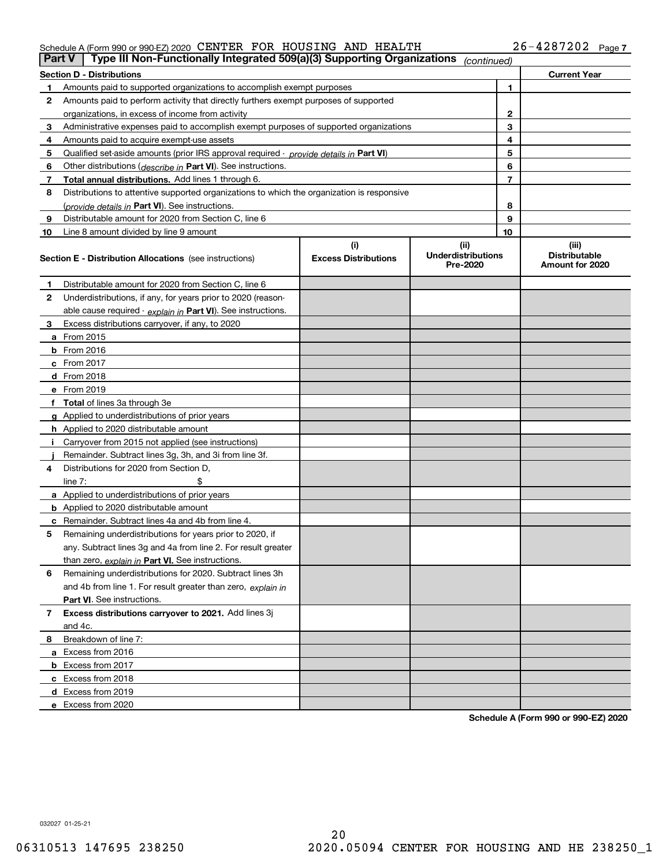#### Schedule A (Form 990 or 990-EZ) 2020 CENTER FOR HOUSING AND HEALTH Z6-4 Z8 7 ZUZ Page CENTER FOR HOUSING AND HEALTH 26-4287202

|                | Type III Non-Functionally Integrated 509(a)(3) Supporting Organizations<br>Part V<br>(continued) |                             |                                       |    |                                         |  |  |  |
|----------------|--------------------------------------------------------------------------------------------------|-----------------------------|---------------------------------------|----|-----------------------------------------|--|--|--|
|                | <b>Section D - Distributions</b><br><b>Current Year</b>                                          |                             |                                       |    |                                         |  |  |  |
| 1.             | Amounts paid to supported organizations to accomplish exempt purposes                            |                             |                                       | 1  |                                         |  |  |  |
| 2              | Amounts paid to perform activity that directly furthers exempt purposes of supported             |                             |                                       |    |                                         |  |  |  |
|                | organizations, in excess of income from activity                                                 |                             |                                       | 2  |                                         |  |  |  |
| 3              | Administrative expenses paid to accomplish exempt purposes of supported organizations            |                             |                                       | 3  |                                         |  |  |  |
| 4              | Amounts paid to acquire exempt-use assets                                                        |                             |                                       | 4  |                                         |  |  |  |
| 5              | Qualified set-aside amounts (prior IRS approval required - provide details in Part VI)           |                             |                                       | 5  |                                         |  |  |  |
| 6              | Other distributions ( <i>describe in</i> Part VI). See instructions.                             |                             |                                       | 6  |                                         |  |  |  |
| 7              | Total annual distributions. Add lines 1 through 6.                                               |                             |                                       | 7  |                                         |  |  |  |
| 8              | Distributions to attentive supported organizations to which the organization is responsive       |                             |                                       |    |                                         |  |  |  |
|                | (provide details in Part VI). See instructions.                                                  |                             |                                       | 8  |                                         |  |  |  |
| 9              | Distributable amount for 2020 from Section C, line 6                                             |                             |                                       | 9  |                                         |  |  |  |
| 10             | Line 8 amount divided by line 9 amount                                                           |                             |                                       | 10 |                                         |  |  |  |
|                |                                                                                                  | (i)                         | (ii)                                  |    | (iii)                                   |  |  |  |
|                | <b>Section E - Distribution Allocations</b> (see instructions)                                   | <b>Excess Distributions</b> | <b>Underdistributions</b><br>Pre-2020 |    | <b>Distributable</b><br>Amount for 2020 |  |  |  |
| 1              | Distributable amount for 2020 from Section C, line 6                                             |                             |                                       |    |                                         |  |  |  |
| 2              | Underdistributions, if any, for years prior to 2020 (reason-                                     |                             |                                       |    |                                         |  |  |  |
|                | able cause required - explain in Part VI). See instructions.                                     |                             |                                       |    |                                         |  |  |  |
| 3              | Excess distributions carryover, if any, to 2020                                                  |                             |                                       |    |                                         |  |  |  |
|                | a From 2015                                                                                      |                             |                                       |    |                                         |  |  |  |
|                | <b>b</b> From 2016                                                                               |                             |                                       |    |                                         |  |  |  |
|                | $c$ From 2017                                                                                    |                             |                                       |    |                                         |  |  |  |
|                | <b>d</b> From 2018                                                                               |                             |                                       |    |                                         |  |  |  |
|                | e From 2019                                                                                      |                             |                                       |    |                                         |  |  |  |
|                | f Total of lines 3a through 3e                                                                   |                             |                                       |    |                                         |  |  |  |
|                | g Applied to underdistributions of prior years                                                   |                             |                                       |    |                                         |  |  |  |
|                | <b>h</b> Applied to 2020 distributable amount                                                    |                             |                                       |    |                                         |  |  |  |
|                | Carryover from 2015 not applied (see instructions)                                               |                             |                                       |    |                                         |  |  |  |
|                | Remainder. Subtract lines 3g, 3h, and 3i from line 3f.                                           |                             |                                       |    |                                         |  |  |  |
| 4              | Distributions for 2020 from Section D,                                                           |                             |                                       |    |                                         |  |  |  |
|                | line $7:$                                                                                        |                             |                                       |    |                                         |  |  |  |
|                | a Applied to underdistributions of prior years                                                   |                             |                                       |    |                                         |  |  |  |
|                | <b>b</b> Applied to 2020 distributable amount                                                    |                             |                                       |    |                                         |  |  |  |
|                | c Remainder. Subtract lines 4a and 4b from line 4.                                               |                             |                                       |    |                                         |  |  |  |
| 5              | Remaining underdistributions for years prior to 2020, if                                         |                             |                                       |    |                                         |  |  |  |
|                | any. Subtract lines 3g and 4a from line 2. For result greater                                    |                             |                                       |    |                                         |  |  |  |
|                | than zero, explain in Part VI. See instructions.                                                 |                             |                                       |    |                                         |  |  |  |
| 6              | Remaining underdistributions for 2020. Subtract lines 3h                                         |                             |                                       |    |                                         |  |  |  |
|                | and 4b from line 1. For result greater than zero, explain in                                     |                             |                                       |    |                                         |  |  |  |
|                | Part VI. See instructions.                                                                       |                             |                                       |    |                                         |  |  |  |
| $\overline{7}$ | Excess distributions carryover to 2021. Add lines 3j                                             |                             |                                       |    |                                         |  |  |  |
|                | and 4c.                                                                                          |                             |                                       |    |                                         |  |  |  |
| 8              | Breakdown of line 7:                                                                             |                             |                                       |    |                                         |  |  |  |
|                | a Excess from 2016                                                                               |                             |                                       |    |                                         |  |  |  |
|                | <b>b</b> Excess from 2017                                                                        |                             |                                       |    |                                         |  |  |  |
|                | c Excess from 2018                                                                               |                             |                                       |    |                                         |  |  |  |
|                | d Excess from 2019                                                                               |                             |                                       |    |                                         |  |  |  |
|                | e Excess from 2020                                                                               |                             |                                       |    |                                         |  |  |  |
|                |                                                                                                  |                             |                                       |    |                                         |  |  |  |

**Schedule A (Form 990 or 990-EZ) 2020**

032027 01-25-21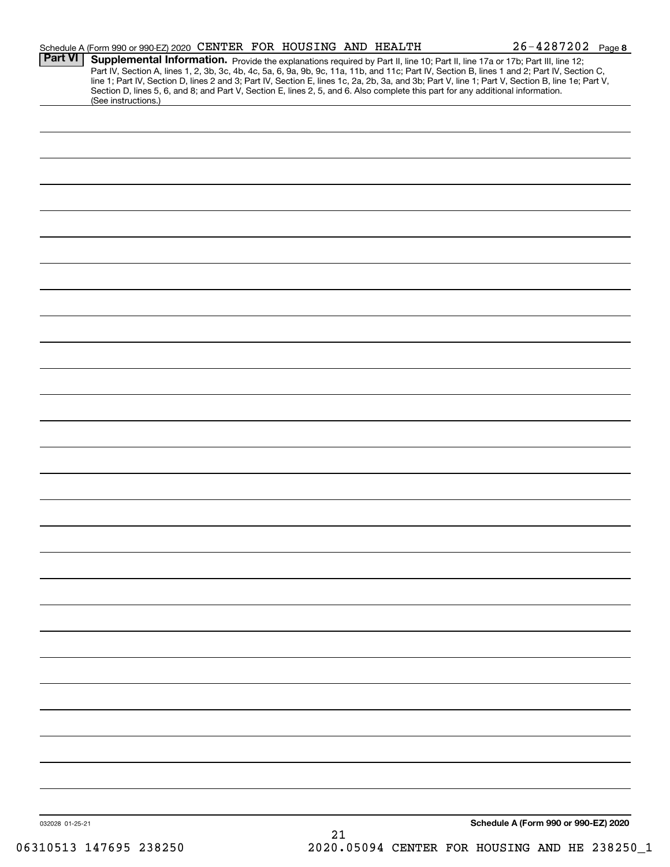|                 | Schedule A (Form 990 or 990-EZ) 2020 CENTER FOR HOUSING AND HEALTH                                                                                                                                                                                                                                         |    | $26 - 4287202$ Page 8                |
|-----------------|------------------------------------------------------------------------------------------------------------------------------------------------------------------------------------------------------------------------------------------------------------------------------------------------------------|----|--------------------------------------|
| <b>Part VI</b>  | Supplemental Information. Provide the explanations required by Part II, line 10; Part II, line 17a or 17b; Part III, line 12;<br>Part IV, Section A, lines 1, 2, 3b, 3c, 4b, 4c, 5a, 6, 9a, 9b, 9c, 11a, 11b, and 11c; Part IV, Section B, lines 1 and 2; Part IV, Section C,                              |    |                                      |
|                 | line 1; Part IV, Section D, lines 2 and 3; Part IV, Section E, lines 1c, 2a, 2b, 3a, and 3b; Part V, line 1; Part V, Section B, line 1e; Part V,<br>Section D, lines 5, 6, and 8; and Part V, Section E, lines 2, 5, and 6. Also complete this part for any additional information.<br>(See instructions.) |    |                                      |
|                 |                                                                                                                                                                                                                                                                                                            |    |                                      |
|                 |                                                                                                                                                                                                                                                                                                            |    |                                      |
|                 |                                                                                                                                                                                                                                                                                                            |    |                                      |
|                 |                                                                                                                                                                                                                                                                                                            |    |                                      |
|                 |                                                                                                                                                                                                                                                                                                            |    |                                      |
|                 |                                                                                                                                                                                                                                                                                                            |    |                                      |
|                 |                                                                                                                                                                                                                                                                                                            |    |                                      |
|                 |                                                                                                                                                                                                                                                                                                            |    |                                      |
|                 |                                                                                                                                                                                                                                                                                                            |    |                                      |
|                 |                                                                                                                                                                                                                                                                                                            |    |                                      |
|                 |                                                                                                                                                                                                                                                                                                            |    |                                      |
|                 |                                                                                                                                                                                                                                                                                                            |    |                                      |
|                 |                                                                                                                                                                                                                                                                                                            |    |                                      |
|                 |                                                                                                                                                                                                                                                                                                            |    |                                      |
|                 |                                                                                                                                                                                                                                                                                                            |    |                                      |
|                 |                                                                                                                                                                                                                                                                                                            |    |                                      |
|                 |                                                                                                                                                                                                                                                                                                            |    |                                      |
|                 |                                                                                                                                                                                                                                                                                                            |    |                                      |
|                 |                                                                                                                                                                                                                                                                                                            |    |                                      |
|                 |                                                                                                                                                                                                                                                                                                            |    |                                      |
|                 |                                                                                                                                                                                                                                                                                                            |    |                                      |
|                 |                                                                                                                                                                                                                                                                                                            |    |                                      |
|                 |                                                                                                                                                                                                                                                                                                            |    |                                      |
|                 |                                                                                                                                                                                                                                                                                                            |    |                                      |
|                 |                                                                                                                                                                                                                                                                                                            |    |                                      |
|                 |                                                                                                                                                                                                                                                                                                            |    |                                      |
|                 |                                                                                                                                                                                                                                                                                                            |    |                                      |
| 032028 01-25-21 |                                                                                                                                                                                                                                                                                                            |    | Schedule A (Form 990 or 990-EZ) 2020 |
|                 |                                                                                                                                                                                                                                                                                                            | 21 |                                      |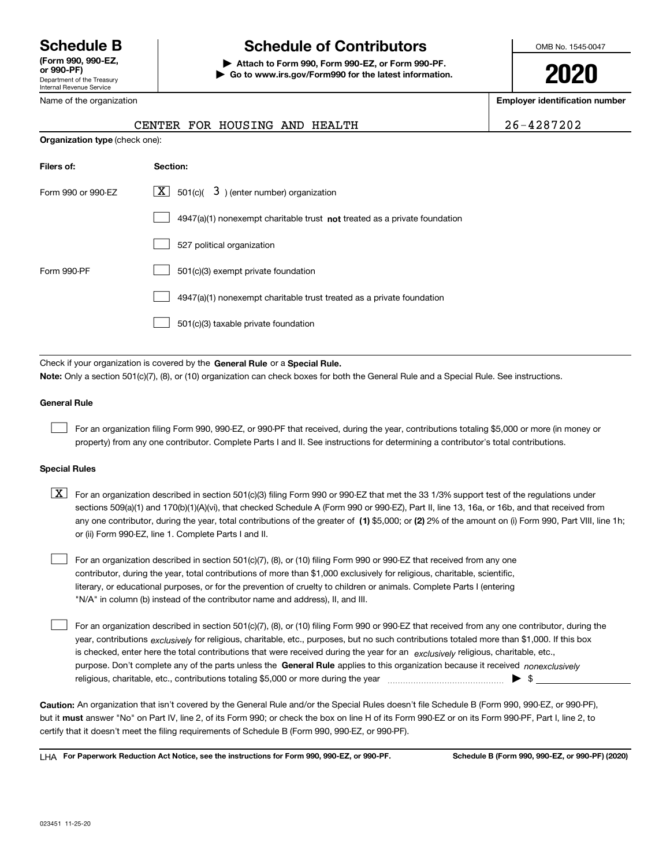Department of the Treasury Internal Revenue Service **(Form 990, 990-EZ, or 990-PF)**

## **Schedule B Schedule of Contributors**

**| Attach to Form 990, Form 990-EZ, or Form 990-PF. | Go to www.irs.gov/Form990 for the latest information.** OMB No. 1545-0047

**2020**

**Employer identification number**

|  | 26-4287202 |  |  |  |  |
|--|------------|--|--|--|--|
|  |            |  |  |  |  |

| Name of the organization       |                                                                                                                                                                                                                                                                                  | Employer identification no |
|--------------------------------|----------------------------------------------------------------------------------------------------------------------------------------------------------------------------------------------------------------------------------------------------------------------------------|----------------------------|
|                                | CENTER FOR HOUSING AND HEALTH                                                                                                                                                                                                                                                    | 26-4287202                 |
| Organization type (check one): |                                                                                                                                                                                                                                                                                  |                            |
| Filers of:                     | Section:                                                                                                                                                                                                                                                                         |                            |
| Form 990 or 990-EZ             | $\boxed{\textbf{X}}$ 501(c)( 3) (enter number) organization                                                                                                                                                                                                                      |                            |
|                                | 4947(a)(1) nonexempt charitable trust not treated as a private foundation                                                                                                                                                                                                        |                            |
|                                | 527 political organization                                                                                                                                                                                                                                                       |                            |
| Form 990-PF                    | 501(c)(3) exempt private foundation                                                                                                                                                                                                                                              |                            |
|                                | 4947(a)(1) nonexempt charitable trust treated as a private foundation                                                                                                                                                                                                            |                            |
|                                | 501(c)(3) taxable private foundation                                                                                                                                                                                                                                             |                            |
|                                |                                                                                                                                                                                                                                                                                  |                            |
|                                | Check if your organization is covered by the General Rule or a Special Rule.<br>Note: Only a section 501(c)(7), (8), or (10) organization can check boxes for both the General Rule and a Special Rule. See instructions.                                                        |                            |
| <b>General Rule</b>            |                                                                                                                                                                                                                                                                                  |                            |
|                                | For an organization filing Form 990, 990-EZ, or 990-PF that received, during the year, contributions totaling \$5,000 or more (in money or<br>property) from any one contributor. Complete Parts I and II. See instructions for determining a contributor's total contributions. |                            |
| <b>Special Rules</b>           |                                                                                                                                                                                                                                                                                  |                            |
| X                              | For an organization described in section 501(c)(3) filing Form 990 or 990-EZ that met the 33 1/3% support test of the regulations under                                                                                                                                          |                            |

any one contributor, during the year, total contributions of the greater of  $\,$  (1) \$5,000; or **(2)** 2% of the amount on (i) Form 990, Part VIII, line 1h; sections 509(a)(1) and 170(b)(1)(A)(vi), that checked Schedule A (Form 990 or 990-EZ), Part II, line 13, 16a, or 16b, and that received from or (ii) Form 990-EZ, line 1. Complete Parts I and II.

For an organization described in section 501(c)(7), (8), or (10) filing Form 990 or 990-EZ that received from any one contributor, during the year, total contributions of more than \$1,000 exclusively for religious, charitable, scientific, literary, or educational purposes, or for the prevention of cruelty to children or animals. Complete Parts I (entering "N/A" in column (b) instead of the contributor name and address), II, and III.  $\mathcal{L}^{\text{max}}$ 

purpose. Don't complete any of the parts unless the **General Rule** applies to this organization because it received *nonexclusively* year, contributions <sub>exclusively</sub> for religious, charitable, etc., purposes, but no such contributions totaled more than \$1,000. If this box is checked, enter here the total contributions that were received during the year for an  $\;$ exclusively religious, charitable, etc., For an organization described in section 501(c)(7), (8), or (10) filing Form 990 or 990-EZ that received from any one contributor, during the religious, charitable, etc., contributions totaling \$5,000 or more during the year  $\Box$ — $\Box$  =  $\Box$  $\mathcal{L}^{\text{max}}$ 

**Caution:**  An organization that isn't covered by the General Rule and/or the Special Rules doesn't file Schedule B (Form 990, 990-EZ, or 990-PF),  **must** but it answer "No" on Part IV, line 2, of its Form 990; or check the box on line H of its Form 990-EZ or on its Form 990-PF, Part I, line 2, to certify that it doesn't meet the filing requirements of Schedule B (Form 990, 990-EZ, or 990-PF).

**For Paperwork Reduction Act Notice, see the instructions for Form 990, 990-EZ, or 990-PF. Schedule B (Form 990, 990-EZ, or 990-PF) (2020)** LHA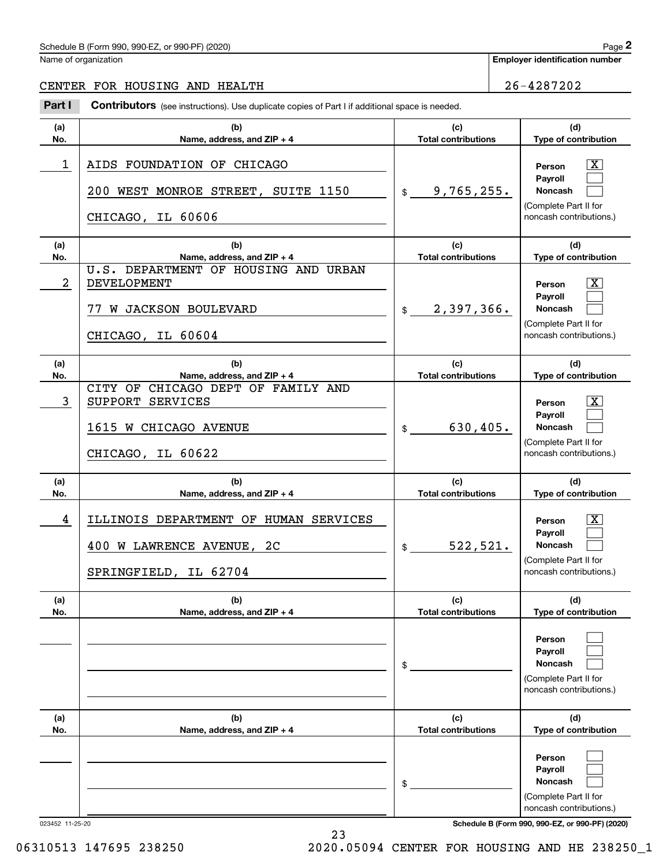### Schedule B (Form 990, 990-EZ, or 990-PF) (2020) Page 2

Name of organization

**Employer identification number**

#### CENTER FOR HOUSING AND HEALTH 26-4287202

Contributors (see instructions). Use duplicate copies of Part I if additional space is needed. Employer identification Page 2<br>
Iame of organization<br> **2Part I 26-4287202**<br> **2Part I Contributors** (see instructions). Use duplicate copies of Part I if additional space is needed.

| (b)<br>(c)<br>(a)<br>No.<br>Name, address, and ZIP + 4<br><b>Total contributions</b><br>1<br>AIDS FOUNDATION OF CHICAGO<br>9,765,255.<br>200 WEST MONROE STREET, SUITE 1150<br>$\frac{1}{2}$<br>CHICAGO, IL 60606<br>(c)<br>(a)<br>(b)<br>No.<br>Name, address, and ZIP + 4<br><b>Total contributions</b><br>U.S. DEPARTMENT OF HOUSING AND URBAN<br>2<br>DEVELOPMENT<br>2,397,366.<br>77 W JACKSON BOULEVARD<br>$\frac{1}{2}$<br>CHICAGO, IL 60604<br>(c)<br>(a)<br>(b)<br>No.<br>Name, address, and ZIP + 4<br><b>Total contributions</b><br>CITY OF CHICAGO DEPT OF FAMILY AND<br>3<br>SUPPORT SERVICES<br>630, 405.<br>1615 W CHICAGO AVENUE<br>$\frac{1}{2}$<br>CHICAGO, IL 60622<br>(c)<br>(a)<br>(b)<br>No.<br>Name, address, and ZIP + 4<br><b>Total contributions</b><br>4<br>ILLINOIS DEPARTMENT OF HUMAN SERVICES<br>522, 521.<br>400 W LAWRENCE AVENUE, 2C<br>$\frac{1}{2}$<br>SPRINGFIELD, IL 62704<br>(a)<br>(b)<br>(c)<br><b>Total contributions</b><br>No.<br>Name, address, and ZIP + 4<br>\$<br>(c)<br>(a)<br>(b)<br>No.<br>Name, address, and ZIP + 4<br><b>Total contributions</b><br>\$ |  |                                                                                                                                     |
|--------------------------------------------------------------------------------------------------------------------------------------------------------------------------------------------------------------------------------------------------------------------------------------------------------------------------------------------------------------------------------------------------------------------------------------------------------------------------------------------------------------------------------------------------------------------------------------------------------------------------------------------------------------------------------------------------------------------------------------------------------------------------------------------------------------------------------------------------------------------------------------------------------------------------------------------------------------------------------------------------------------------------------------------------------------------------------------------------------------|--|-------------------------------------------------------------------------------------------------------------------------------------|
|                                                                                                                                                                                                                                                                                                                                                                                                                                                                                                                                                                                                                                                                                                                                                                                                                                                                                                                                                                                                                                                                                                              |  | (d)<br>Type of contribution                                                                                                         |
|                                                                                                                                                                                                                                                                                                                                                                                                                                                                                                                                                                                                                                                                                                                                                                                                                                                                                                                                                                                                                                                                                                              |  | $\mathbf{X}$<br>Person<br>Payroll<br><b>Noncash</b><br>(Complete Part II for<br>noncash contributions.)                             |
|                                                                                                                                                                                                                                                                                                                                                                                                                                                                                                                                                                                                                                                                                                                                                                                                                                                                                                                                                                                                                                                                                                              |  | (d)<br>Type of contribution                                                                                                         |
|                                                                                                                                                                                                                                                                                                                                                                                                                                                                                                                                                                                                                                                                                                                                                                                                                                                                                                                                                                                                                                                                                                              |  | $\mathbf{X}$<br>Person<br>Payroll<br><b>Noncash</b><br>(Complete Part II for<br>noncash contributions.)                             |
|                                                                                                                                                                                                                                                                                                                                                                                                                                                                                                                                                                                                                                                                                                                                                                                                                                                                                                                                                                                                                                                                                                              |  | (d)<br>Type of contribution                                                                                                         |
|                                                                                                                                                                                                                                                                                                                                                                                                                                                                                                                                                                                                                                                                                                                                                                                                                                                                                                                                                                                                                                                                                                              |  | ΙX<br>Person<br>Payroll<br><b>Noncash</b><br>(Complete Part II for<br>noncash contributions.)                                       |
|                                                                                                                                                                                                                                                                                                                                                                                                                                                                                                                                                                                                                                                                                                                                                                                                                                                                                                                                                                                                                                                                                                              |  | (d)<br>Type of contribution                                                                                                         |
|                                                                                                                                                                                                                                                                                                                                                                                                                                                                                                                                                                                                                                                                                                                                                                                                                                                                                                                                                                                                                                                                                                              |  | ΙX<br>Person<br><b>Payroll</b><br><b>Noncash</b><br>(Complete Part II for<br>noncash contributions.)                                |
|                                                                                                                                                                                                                                                                                                                                                                                                                                                                                                                                                                                                                                                                                                                                                                                                                                                                                                                                                                                                                                                                                                              |  | (d)<br>Type of contribution                                                                                                         |
|                                                                                                                                                                                                                                                                                                                                                                                                                                                                                                                                                                                                                                                                                                                                                                                                                                                                                                                                                                                                                                                                                                              |  | Person<br>Payroll<br>Noncash<br>(Complete Part II for<br>noncash contributions.)                                                    |
|                                                                                                                                                                                                                                                                                                                                                                                                                                                                                                                                                                                                                                                                                                                                                                                                                                                                                                                                                                                                                                                                                                              |  | (d)<br>Type of contribution                                                                                                         |
| 023452 11-25-20                                                                                                                                                                                                                                                                                                                                                                                                                                                                                                                                                                                                                                                                                                                                                                                                                                                                                                                                                                                                                                                                                              |  | Person<br>Payroll<br>Noncash<br>(Complete Part II for<br>noncash contributions.)<br>Schedule B (Form 990, 990-EZ, or 990-PF) (2020) |

23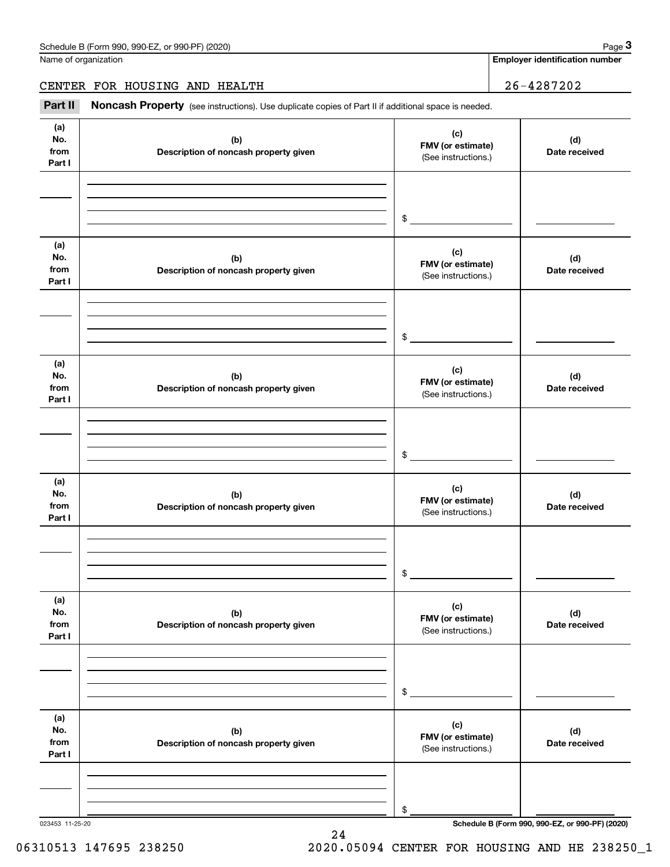Name of organization

**Employer identification number**

CENTER FOR HOUSING AND HEALTH 26-4287202

Chedule B (Form 990, 990-EZ, or 990-PF) (2020)<br>
lame of organization<br> **26-4287202**<br> **26-4287202**<br> **Part II Noncash Property** (see instructions). Use duplicate copies of Part II if additional space is needed.

| (a)<br>No.<br>from<br>Part I | (b)<br>Description of noncash property given | (c)<br>FMV (or estimate)<br>(See instructions.) | (d)<br>Date received                            |
|------------------------------|----------------------------------------------|-------------------------------------------------|-------------------------------------------------|
|                              |                                              | $\frac{1}{2}$                                   |                                                 |
| (a)<br>No.<br>from<br>Part I | (b)<br>Description of noncash property given | (c)<br>FMV (or estimate)<br>(See instructions.) | (d)<br>Date received                            |
|                              |                                              | $\mathfrak{S}$                                  |                                                 |
| (a)<br>No.<br>from<br>Part I | (b)<br>Description of noncash property given | (c)<br>FMV (or estimate)<br>(See instructions.) | (d)<br>Date received                            |
|                              |                                              | $\mathfrak{S}$                                  |                                                 |
| (a)<br>No.<br>from<br>Part I | (b)<br>Description of noncash property given | (c)<br>FMV (or estimate)<br>(See instructions.) | (d)<br>Date received                            |
|                              |                                              | $\mathsf{\$}$                                   |                                                 |
| (a)<br>No.<br>from<br>Part I | (b)<br>Description of noncash property given | (c)<br>FMV (or estimate)<br>(See instructions.) | (d)<br>Date received                            |
|                              |                                              | \$                                              |                                                 |
| (a)<br>No.<br>from<br>Part I | (b)<br>Description of noncash property given | (c)<br>FMV (or estimate)<br>(See instructions.) | (d)<br>Date received                            |
|                              |                                              | \$                                              |                                                 |
| 023453 11-25-20              |                                              |                                                 | Schedule B (Form 990, 990-EZ, or 990-PF) (2020) |

24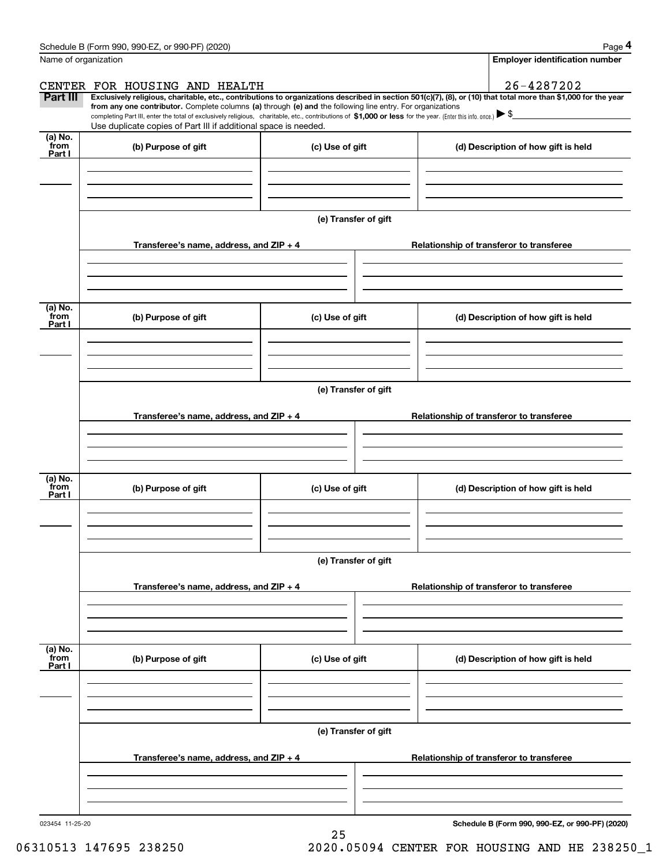|                           | Schedule B (Form 990, 990-EZ, or 990-PF) (2020)                                                                                                                                                                                                                                                                                                                                                                                                                   |                      |                                          | Page 4                                   |  |  |
|---------------------------|-------------------------------------------------------------------------------------------------------------------------------------------------------------------------------------------------------------------------------------------------------------------------------------------------------------------------------------------------------------------------------------------------------------------------------------------------------------------|----------------------|------------------------------------------|------------------------------------------|--|--|
| Name of organization      |                                                                                                                                                                                                                                                                                                                                                                                                                                                                   |                      |                                          | <b>Employer identification number</b>    |  |  |
|                           | CENTER FOR HOUSING AND HEALTH                                                                                                                                                                                                                                                                                                                                                                                                                                     |                      |                                          | 26-4287202                               |  |  |
| Part III                  | Exclusively religious, charitable, etc., contributions to organizations described in section 501(c)(7), (8), or (10) that total more than \$1,000 for the year<br>from any one contributor. Complete columns (a) through (e) and the following line entry. For organizations<br>completing Part III, enter the total of exclusively religious, charitable, etc., contributions of \$1,000 or less for the year. (Enter this info. once.) $\blacktriangleright$ \$ |                      |                                          |                                          |  |  |
|                           | Use duplicate copies of Part III if additional space is needed.                                                                                                                                                                                                                                                                                                                                                                                                   |                      |                                          |                                          |  |  |
| (a) No.<br>from<br>Part I | (b) Purpose of gift                                                                                                                                                                                                                                                                                                                                                                                                                                               | (c) Use of gift      |                                          | (d) Description of how gift is held      |  |  |
|                           |                                                                                                                                                                                                                                                                                                                                                                                                                                                                   |                      |                                          |                                          |  |  |
|                           |                                                                                                                                                                                                                                                                                                                                                                                                                                                                   |                      |                                          |                                          |  |  |
|                           |                                                                                                                                                                                                                                                                                                                                                                                                                                                                   | (e) Transfer of gift |                                          |                                          |  |  |
|                           | Transferee's name, address, and ZIP + 4                                                                                                                                                                                                                                                                                                                                                                                                                           |                      |                                          | Relationship of transferor to transferee |  |  |
|                           |                                                                                                                                                                                                                                                                                                                                                                                                                                                                   |                      |                                          |                                          |  |  |
| (a) No.<br>from<br>Part I | (b) Purpose of gift                                                                                                                                                                                                                                                                                                                                                                                                                                               | (c) Use of gift      |                                          | (d) Description of how gift is held      |  |  |
|                           |                                                                                                                                                                                                                                                                                                                                                                                                                                                                   |                      |                                          |                                          |  |  |
|                           |                                                                                                                                                                                                                                                                                                                                                                                                                                                                   | (e) Transfer of gift |                                          |                                          |  |  |
|                           | Transferee's name, address, and ZIP + 4                                                                                                                                                                                                                                                                                                                                                                                                                           |                      |                                          | Relationship of transferor to transferee |  |  |
|                           |                                                                                                                                                                                                                                                                                                                                                                                                                                                                   |                      |                                          |                                          |  |  |
|                           |                                                                                                                                                                                                                                                                                                                                                                                                                                                                   |                      |                                          |                                          |  |  |
| (a) No.<br>from<br>Part I | (b) Purpose of gift                                                                                                                                                                                                                                                                                                                                                                                                                                               | (c) Use of gift      |                                          | (d) Description of how gift is held      |  |  |
|                           |                                                                                                                                                                                                                                                                                                                                                                                                                                                                   |                      |                                          |                                          |  |  |
|                           |                                                                                                                                                                                                                                                                                                                                                                                                                                                                   | (e) Transfer of gift |                                          |                                          |  |  |
|                           | Transferee's name, address, and $ZIP + 4$                                                                                                                                                                                                                                                                                                                                                                                                                         |                      |                                          | Relationship of transferor to transferee |  |  |
|                           |                                                                                                                                                                                                                                                                                                                                                                                                                                                                   |                      |                                          |                                          |  |  |
|                           |                                                                                                                                                                                                                                                                                                                                                                                                                                                                   |                      |                                          |                                          |  |  |
| (a) No.<br>from<br>Part I | (b) Purpose of gift                                                                                                                                                                                                                                                                                                                                                                                                                                               | (c) Use of gift      |                                          | (d) Description of how gift is held      |  |  |
|                           |                                                                                                                                                                                                                                                                                                                                                                                                                                                                   |                      |                                          |                                          |  |  |
|                           |                                                                                                                                                                                                                                                                                                                                                                                                                                                                   |                      |                                          |                                          |  |  |
|                           |                                                                                                                                                                                                                                                                                                                                                                                                                                                                   | (e) Transfer of gift |                                          |                                          |  |  |
|                           | Transferee's name, address, and ZIP + 4                                                                                                                                                                                                                                                                                                                                                                                                                           |                      | Relationship of transferor to transferee |                                          |  |  |
|                           |                                                                                                                                                                                                                                                                                                                                                                                                                                                                   |                      |                                          |                                          |  |  |
|                           |                                                                                                                                                                                                                                                                                                                                                                                                                                                                   |                      |                                          |                                          |  |  |

25

**Schedule B (Form 990, 990-EZ, or 990-PF) (2020)**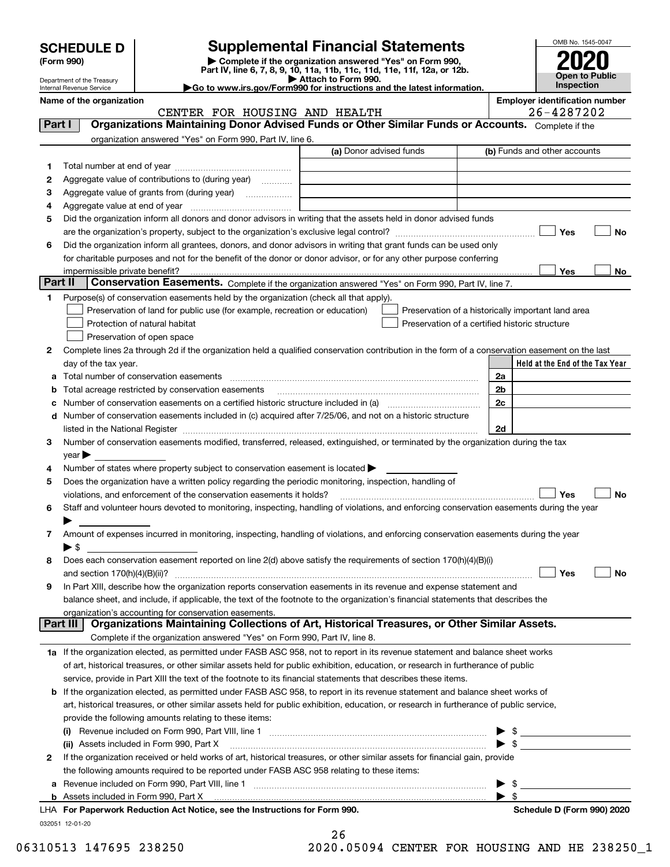| <b>SCHEDULE D</b> |  |
|-------------------|--|
|-------------------|--|

Department of the Treasury

| (Form 990) |  |
|------------|--|
|------------|--|

## **SCHEDULE D Supplemental Financial Statements**

**(Form 990)** (**Form 990,**<br>Part IV, line 6, 7, 8, 9, 10, 11a, 11b, 11c, 11d, 11e, 11f, 12a, or 12b.<br>Department of the Treasury **and Exercise Connect Connect Connect Connect Connect Connect Connect Connect Connect** 

| Go to www.irs.gov/Form990 for instructions and the latest information. |  |
|------------------------------------------------------------------------|--|
|                                                                        |  |



Internal Revenue Service

**Name of the organization Employer identification number**

|          | CENTER FOR HOUSING AND HEALTH                                                                                                                                                                                                  |                                                |                          | 26-4287202                                         |
|----------|--------------------------------------------------------------------------------------------------------------------------------------------------------------------------------------------------------------------------------|------------------------------------------------|--------------------------|----------------------------------------------------|
| Part I   | Organizations Maintaining Donor Advised Funds or Other Similar Funds or Accounts. Complete if the                                                                                                                              |                                                |                          |                                                    |
|          | organization answered "Yes" on Form 990, Part IV, line 6.                                                                                                                                                                      |                                                |                          |                                                    |
|          |                                                                                                                                                                                                                                | (a) Donor advised funds                        |                          | (b) Funds and other accounts                       |
| 1        |                                                                                                                                                                                                                                |                                                |                          |                                                    |
| 2        | Aggregate value of contributions to (during year)                                                                                                                                                                              |                                                |                          |                                                    |
| з        | Aggregate value of grants from (during year)                                                                                                                                                                                   |                                                |                          |                                                    |
| 4        |                                                                                                                                                                                                                                |                                                |                          |                                                    |
| 5        | Did the organization inform all donors and donor advisors in writing that the assets held in donor advised funds                                                                                                               |                                                |                          |                                                    |
|          |                                                                                                                                                                                                                                |                                                |                          | Yes<br>No                                          |
| 6        | Did the organization inform all grantees, donors, and donor advisors in writing that grant funds can be used only                                                                                                              |                                                |                          |                                                    |
|          | for charitable purposes and not for the benefit of the donor or donor advisor, or for any other purpose conferring                                                                                                             |                                                |                          |                                                    |
|          | impermissible private benefit?                                                                                                                                                                                                 |                                                |                          | Yes<br>No                                          |
| Part II  | Conservation Easements. Complete if the organization answered "Yes" on Form 990, Part IV, line 7.                                                                                                                              |                                                |                          |                                                    |
| 1.       | Purpose(s) of conservation easements held by the organization (check all that apply).                                                                                                                                          |                                                |                          |                                                    |
|          | Preservation of land for public use (for example, recreation or education)                                                                                                                                                     |                                                |                          |                                                    |
|          |                                                                                                                                                                                                                                |                                                |                          | Preservation of a historically important land area |
|          | Protection of natural habitat                                                                                                                                                                                                  | Preservation of a certified historic structure |                          |                                                    |
|          | Preservation of open space                                                                                                                                                                                                     |                                                |                          |                                                    |
| 2        | Complete lines 2a through 2d if the organization held a qualified conservation contribution in the form of a conservation easement on the last                                                                                 |                                                |                          |                                                    |
|          | day of the tax year.                                                                                                                                                                                                           |                                                |                          | Held at the End of the Tax Year                    |
|          |                                                                                                                                                                                                                                |                                                | 2a                       |                                                    |
|          | <b>b</b> Total acreage restricted by conservation easements                                                                                                                                                                    |                                                | 2 <sub>b</sub>           |                                                    |
|          |                                                                                                                                                                                                                                |                                                | 2c                       |                                                    |
|          | d Number of conservation easements included in (c) acquired after 7/25/06, and not on a historic structure                                                                                                                     |                                                |                          |                                                    |
|          | listed in the National Register [11, 11] The Marian Communication of the National Register [11] The National Register [11] The Marian Communication of the National Register [11] The Marian Communication of the National Reg |                                                | 2d                       |                                                    |
| 3        | Number of conservation easements modified, transferred, released, extinguished, or terminated by the organization during the tax                                                                                               |                                                |                          |                                                    |
|          | $year \blacktriangleright$                                                                                                                                                                                                     |                                                |                          |                                                    |
| 4        | Number of states where property subject to conservation easement is located $\blacktriangleright$                                                                                                                              |                                                |                          |                                                    |
| 5        | Does the organization have a written policy regarding the periodic monitoring, inspection, handling of                                                                                                                         |                                                |                          |                                                    |
|          | violations, and enforcement of the conservation easements it holds?                                                                                                                                                            |                                                |                          | Yes<br><b>No</b>                                   |
| 6        | Staff and volunteer hours devoted to monitoring, inspecting, handling of violations, and enforcing conservation easements during the year                                                                                      |                                                |                          |                                                    |
|          |                                                                                                                                                                                                                                |                                                |                          |                                                    |
| 7        | Amount of expenses incurred in monitoring, inspecting, handling of violations, and enforcing conservation easements during the year                                                                                            |                                                |                          |                                                    |
|          | ▶ \$                                                                                                                                                                                                                           |                                                |                          |                                                    |
| 8        | Does each conservation easement reported on line 2(d) above satisfy the requirements of section 170(h)(4)(B)(i)                                                                                                                |                                                |                          |                                                    |
|          |                                                                                                                                                                                                                                |                                                |                          | Yes<br>No                                          |
| 9        | In Part XIII, describe how the organization reports conservation easements in its revenue and expense statement and                                                                                                            |                                                |                          |                                                    |
|          | balance sheet, and include, if applicable, the text of the footnote to the organization's financial statements that describes the                                                                                              |                                                |                          |                                                    |
|          | organization's accounting for conservation easements.                                                                                                                                                                          |                                                |                          |                                                    |
| Part III | Organizations Maintaining Collections of Art, Historical Treasures, or Other Similar Assets.                                                                                                                                   |                                                |                          |                                                    |
|          | Complete if the organization answered "Yes" on Form 990, Part IV, line 8.                                                                                                                                                      |                                                |                          |                                                    |
|          | 1a If the organization elected, as permitted under FASB ASC 958, not to report in its revenue statement and balance sheet works                                                                                                |                                                |                          |                                                    |
|          | of art, historical treasures, or other similar assets held for public exhibition, education, or research in furtherance of public                                                                                              |                                                |                          |                                                    |
|          | service, provide in Part XIII the text of the footnote to its financial statements that describes these items.                                                                                                                 |                                                |                          |                                                    |
|          | <b>b</b> If the organization elected, as permitted under FASB ASC 958, to report in its revenue statement and balance sheet works of                                                                                           |                                                |                          |                                                    |
|          | art, historical treasures, or other similar assets held for public exhibition, education, or research in furtherance of public service,                                                                                        |                                                |                          |                                                    |
|          | provide the following amounts relating to these items:                                                                                                                                                                         |                                                |                          |                                                    |
|          |                                                                                                                                                                                                                                |                                                | \$                       |                                                    |
|          | (ii) Assets included in Form 990, Part X                                                                                                                                                                                       |                                                | $\blacktriangleright$ \$ |                                                    |
| 2        | If the organization received or held works of art, historical treasures, or other similar assets for financial gain, provide                                                                                                   |                                                |                          |                                                    |
|          | the following amounts required to be reported under FASB ASC 958 relating to these items:                                                                                                                                      |                                                |                          |                                                    |
|          |                                                                                                                                                                                                                                |                                                | -\$<br>▶                 |                                                    |
|          |                                                                                                                                                                                                                                |                                                | $\blacktriangleright$ \$ |                                                    |
|          | LHA For Paperwork Reduction Act Notice, see the Instructions for Form 990.                                                                                                                                                     |                                                |                          | Schedule D (Form 990) 2020                         |
|          |                                                                                                                                                                                                                                |                                                |                          |                                                    |

032051 12-01-20

|   | z | o |     |   |  |
|---|---|---|-----|---|--|
| - |   |   | . . | - |  |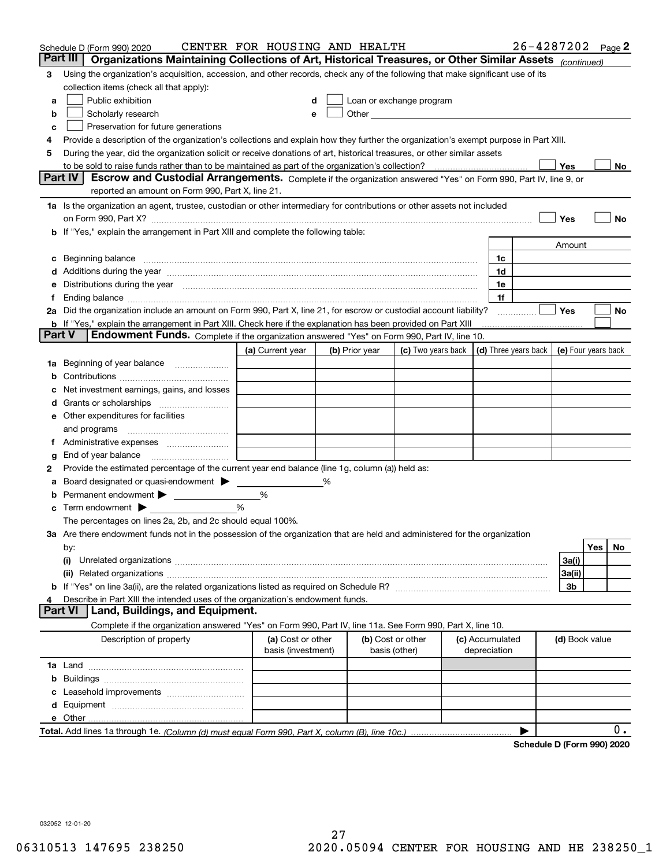|        | Schedule D (Form 990) 2020                                                                                                                                                                                                         | CENTER FOR HOUSING AND HEALTH           |                |               |                                                                                                                                                                                                                               |                                 |    | 26-4287202 Page 2   |     |     |
|--------|------------------------------------------------------------------------------------------------------------------------------------------------------------------------------------------------------------------------------------|-----------------------------------------|----------------|---------------|-------------------------------------------------------------------------------------------------------------------------------------------------------------------------------------------------------------------------------|---------------------------------|----|---------------------|-----|-----|
|        | Part III<br>Organizations Maintaining Collections of Art, Historical Treasures, or Other Similar Assets (continued)                                                                                                                |                                         |                |               |                                                                                                                                                                                                                               |                                 |    |                     |     |     |
| 3      | Using the organization's acquisition, accession, and other records, check any of the following that make significant use of its                                                                                                    |                                         |                |               |                                                                                                                                                                                                                               |                                 |    |                     |     |     |
|        | collection items (check all that apply):                                                                                                                                                                                           |                                         |                |               |                                                                                                                                                                                                                               |                                 |    |                     |     |     |
| a      | Public exhibition                                                                                                                                                                                                                  |                                         |                |               | Loan or exchange program                                                                                                                                                                                                      |                                 |    |                     |     |     |
| b      | Scholarly research                                                                                                                                                                                                                 |                                         |                |               | Other and the contract of the contract of the contract of the contract of the contract of the contract of the contract of the contract of the contract of the contract of the contract of the contract of the contract of the |                                 |    |                     |     |     |
| с      | Preservation for future generations                                                                                                                                                                                                |                                         |                |               |                                                                                                                                                                                                                               |                                 |    |                     |     |     |
| 4      | Provide a description of the organization's collections and explain how they further the organization's exempt purpose in Part XIII.                                                                                               |                                         |                |               |                                                                                                                                                                                                                               |                                 |    |                     |     |     |
| 5      | During the year, did the organization solicit or receive donations of art, historical treasures, or other similar assets                                                                                                           |                                         |                |               |                                                                                                                                                                                                                               |                                 |    |                     |     |     |
|        | to be sold to raise funds rather than to be maintained as part of the organization's collection?                                                                                                                                   |                                         |                |               |                                                                                                                                                                                                                               |                                 |    | Yes                 |     | No  |
|        | Escrow and Custodial Arrangements. Complete if the organization answered "Yes" on Form 990, Part IV, line 9, or<br><b>Part IV</b>                                                                                                  |                                         |                |               |                                                                                                                                                                                                                               |                                 |    |                     |     |     |
|        | reported an amount on Form 990, Part X, line 21.                                                                                                                                                                                   |                                         |                |               |                                                                                                                                                                                                                               |                                 |    |                     |     |     |
|        | 1a Is the organization an agent, trustee, custodian or other intermediary for contributions or other assets not included                                                                                                           |                                         |                |               |                                                                                                                                                                                                                               |                                 |    |                     |     |     |
|        | on Form 990, Part X? [11] matter contracts and contracts and contracts are contracted as a form 990, Part X?                                                                                                                       |                                         |                |               |                                                                                                                                                                                                                               |                                 |    | Yes                 |     | No  |
|        | <b>b</b> If "Yes," explain the arrangement in Part XIII and complete the following table:                                                                                                                                          |                                         |                |               |                                                                                                                                                                                                                               |                                 |    |                     |     |     |
|        |                                                                                                                                                                                                                                    |                                         |                |               |                                                                                                                                                                                                                               |                                 |    | Amount              |     |     |
| c      | Beginning balance <u>manual membershare communication</u> and the set of the set of the set of the set of the set of the set of the set of the set of the set of the set of the set of the set of the set of the set of the set of |                                         |                |               |                                                                                                                                                                                                                               |                                 | 1c |                     |     |     |
|        |                                                                                                                                                                                                                                    |                                         |                |               |                                                                                                                                                                                                                               |                                 | 1d |                     |     |     |
|        | e Distributions during the year manufactured and continuum and contained and the year manufactured and contained and the year manufactured and contained and contained and contained and contained and contained and contained     |                                         |                |               |                                                                                                                                                                                                                               |                                 | 1e |                     |     |     |
|        |                                                                                                                                                                                                                                    |                                         |                |               |                                                                                                                                                                                                                               |                                 | 1f |                     |     |     |
|        | 2a Did the organization include an amount on Form 990, Part X, line 21, for escrow or custodial account liability?                                                                                                                 |                                         |                |               |                                                                                                                                                                                                                               |                                 |    | Yes                 |     | No  |
| Part V | <b>b</b> If "Yes," explain the arrangement in Part XIII. Check here if the explanation has been provided on Part XIII<br>Endowment Funds. Complete if the organization answered "Yes" on Form 990, Part IV, line 10.               |                                         |                |               |                                                                                                                                                                                                                               |                                 |    |                     |     |     |
|        |                                                                                                                                                                                                                                    | (a) Current year                        | (b) Prior year |               | (c) Two years back $\vert$ (d) Three years back $\vert$                                                                                                                                                                       |                                 |    | (e) Four years back |     |     |
|        | 1a Beginning of year balance                                                                                                                                                                                                       |                                         |                |               |                                                                                                                                                                                                                               |                                 |    |                     |     |     |
| b      |                                                                                                                                                                                                                                    |                                         |                |               |                                                                                                                                                                                                                               |                                 |    |                     |     |     |
|        | Net investment earnings, gains, and losses                                                                                                                                                                                         |                                         |                |               |                                                                                                                                                                                                                               |                                 |    |                     |     |     |
|        |                                                                                                                                                                                                                                    |                                         |                |               |                                                                                                                                                                                                                               |                                 |    |                     |     |     |
|        | e Other expenditures for facilities                                                                                                                                                                                                |                                         |                |               |                                                                                                                                                                                                                               |                                 |    |                     |     |     |
|        |                                                                                                                                                                                                                                    |                                         |                |               |                                                                                                                                                                                                                               |                                 |    |                     |     |     |
|        | f Administrative expenses                                                                                                                                                                                                          |                                         |                |               |                                                                                                                                                                                                                               |                                 |    |                     |     |     |
| g      | End of year balance <i>manually contained</i>                                                                                                                                                                                      |                                         |                |               |                                                                                                                                                                                                                               |                                 |    |                     |     |     |
| 2      | Provide the estimated percentage of the current year end balance (line 1g, column (a)) held as:                                                                                                                                    |                                         |                |               |                                                                                                                                                                                                                               |                                 |    |                     |     |     |
| а      | Board designated or quasi-endowment >                                                                                                                                                                                              |                                         | %              |               |                                                                                                                                                                                                                               |                                 |    |                     |     |     |
| b      | Permanent endowment >                                                                                                                                                                                                              | %                                       |                |               |                                                                                                                                                                                                                               |                                 |    |                     |     |     |
|        | $\mathbf c$ Term endowment $\blacktriangleright$                                                                                                                                                                                   | %                                       |                |               |                                                                                                                                                                                                                               |                                 |    |                     |     |     |
|        | The percentages on lines 2a, 2b, and 2c should equal 100%.                                                                                                                                                                         |                                         |                |               |                                                                                                                                                                                                                               |                                 |    |                     |     |     |
|        | 3a Are there endowment funds not in the possession of the organization that are held and administered for the organization                                                                                                         |                                         |                |               |                                                                                                                                                                                                                               |                                 |    |                     |     |     |
|        | by:                                                                                                                                                                                                                                |                                         |                |               |                                                                                                                                                                                                                               |                                 |    |                     | Yes | No. |
|        | (i)                                                                                                                                                                                                                                |                                         |                |               |                                                                                                                                                                                                                               |                                 |    | 3a(i)               |     |     |
|        |                                                                                                                                                                                                                                    |                                         |                |               |                                                                                                                                                                                                                               |                                 |    | 3a(ii)              |     |     |
|        |                                                                                                                                                                                                                                    |                                         |                |               |                                                                                                                                                                                                                               |                                 |    | 3b                  |     |     |
|        | Describe in Part XIII the intended uses of the organization's endowment funds.                                                                                                                                                     |                                         |                |               |                                                                                                                                                                                                                               |                                 |    |                     |     |     |
|        | Land, Buildings, and Equipment.<br>Part VI                                                                                                                                                                                         |                                         |                |               |                                                                                                                                                                                                                               |                                 |    |                     |     |     |
|        | Complete if the organization answered "Yes" on Form 990, Part IV, line 11a. See Form 990, Part X, line 10.                                                                                                                         |                                         |                |               |                                                                                                                                                                                                                               |                                 |    |                     |     |     |
|        | Description of property                                                                                                                                                                                                            | (a) Cost or other<br>basis (investment) |                | basis (other) | (b) Cost or other                                                                                                                                                                                                             | (c) Accumulated<br>depreciation |    | (d) Book value      |     |     |
|        |                                                                                                                                                                                                                                    |                                         |                |               |                                                                                                                                                                                                                               |                                 |    |                     |     |     |
| b      |                                                                                                                                                                                                                                    |                                         |                |               |                                                                                                                                                                                                                               |                                 |    |                     |     |     |
|        |                                                                                                                                                                                                                                    |                                         |                |               |                                                                                                                                                                                                                               |                                 |    |                     |     |     |
|        |                                                                                                                                                                                                                                    |                                         |                |               |                                                                                                                                                                                                                               |                                 |    |                     |     |     |
|        |                                                                                                                                                                                                                                    |                                         |                |               |                                                                                                                                                                                                                               |                                 |    |                     |     |     |
|        |                                                                                                                                                                                                                                    |                                         |                |               |                                                                                                                                                                                                                               |                                 |    |                     |     | 0.  |
|        |                                                                                                                                                                                                                                    |                                         |                |               |                                                                                                                                                                                                                               |                                 |    | D. (Faum 000) 0000  |     |     |

**Schedule D (Form 990) 2020**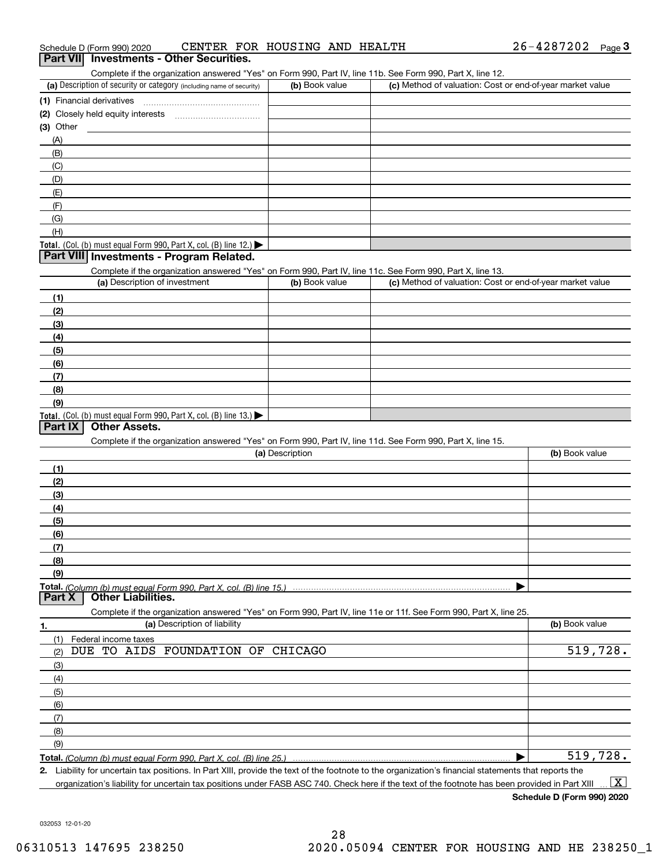|  | Schedule D (Form 990) 2020 |  |  | CENTER FOR HOUSING AND HEALTH |  |  | 26-4287202 | Page |  |
|--|----------------------------|--|--|-------------------------------|--|--|------------|------|--|
|--|----------------------------|--|--|-------------------------------|--|--|------------|------|--|

#### **3Part VII Investments - Other Securities.**

Complete if the organization answered "Yes" on Form 990, Part IV, line 11b. See Form 990, Part X, line 12.

| (a) Description of security or category (including name of security)                          | (b) Book value | (c) Method of valuation: Cost or end-of-year market value |
|-----------------------------------------------------------------------------------------------|----------------|-----------------------------------------------------------|
| (1) Financial derivatives                                                                     |                |                                                           |
| (2) Closely held equity interests                                                             |                |                                                           |
| $(3)$ Other                                                                                   |                |                                                           |
| (A)                                                                                           |                |                                                           |
| (B)                                                                                           |                |                                                           |
| (C)                                                                                           |                |                                                           |
| (D)                                                                                           |                |                                                           |
| (E)                                                                                           |                |                                                           |
| (F)                                                                                           |                |                                                           |
| (G)                                                                                           |                |                                                           |
| (H)                                                                                           |                |                                                           |
| <b>Total.</b> (Col. (b) must equal Form 990, Part X, col. (B) line 12.) $\blacktriangleright$ |                |                                                           |

#### **Part VIII Investments - Program Related.**

Complete if the organization answered "Yes" on Form 990, Part IV, line 11c. See Form 990, Part X, line 13.

| (a) Description of investment                                       | (b) Book value | (c) Method of valuation: Cost or end-of-year market value |
|---------------------------------------------------------------------|----------------|-----------------------------------------------------------|
| (1)                                                                 |                |                                                           |
| (2)                                                                 |                |                                                           |
| $\frac{1}{2}$                                                       |                |                                                           |
| (4)                                                                 |                |                                                           |
| $\left(5\right)$                                                    |                |                                                           |
| (6)                                                                 |                |                                                           |
| (7)                                                                 |                |                                                           |
| (8)                                                                 |                |                                                           |
| (9)                                                                 |                |                                                           |
| Total. (Col. (b) must equal Form 990, Part X, col. (B) line $13.$ ) |                |                                                           |

#### **Part IX Other Assets.**

Complete if the organization answered "Yes" on Form 990, Part IV, line 11d. See Form 990, Part X, line 15.

| (a) Description | (b) Book value |
|-----------------|----------------|
| (1)             |                |
| (2)             |                |
| (3)             |                |
| (4)             |                |
| (5)             |                |
| (6)             |                |
|                 |                |
| (8)             |                |
| (9)             |                |
|                 |                |
|                 |                |

**Part X Other Liabilities.**

Complete if the organization answered "Yes" on Form 990, Part IV, line 11e or 11f. See Form 990, Part X, line 25.

|     |  |                          | (a) Description of liability      | (b) Book value |
|-----|--|--------------------------|-----------------------------------|----------------|
|     |  | (1) Federal income taxes |                                   |                |
| (2) |  |                          | DUE TO AIDS FOUNDATION OF CHICAGO | 519,728.       |
| (3) |  |                          |                                   |                |
| (4) |  |                          |                                   |                |
| (5) |  |                          |                                   |                |
| (6) |  |                          |                                   |                |
| (7) |  |                          |                                   |                |
| (8) |  |                          |                                   |                |
| (9) |  |                          |                                   |                |
|     |  |                          |                                   | 519,728.       |

**2.** Liability for uncertain tax positions. In Part XIII, provide the text of the footnote to the organization's financial statements that reports the

organization's liability for uncertain tax positions under FASB ASC 740. Check here if the text of the footnote has been provided in Part XIII  $\boxed{\text{X}}$ 

**Schedule D (Form 990) 2020**

032053 12-01-20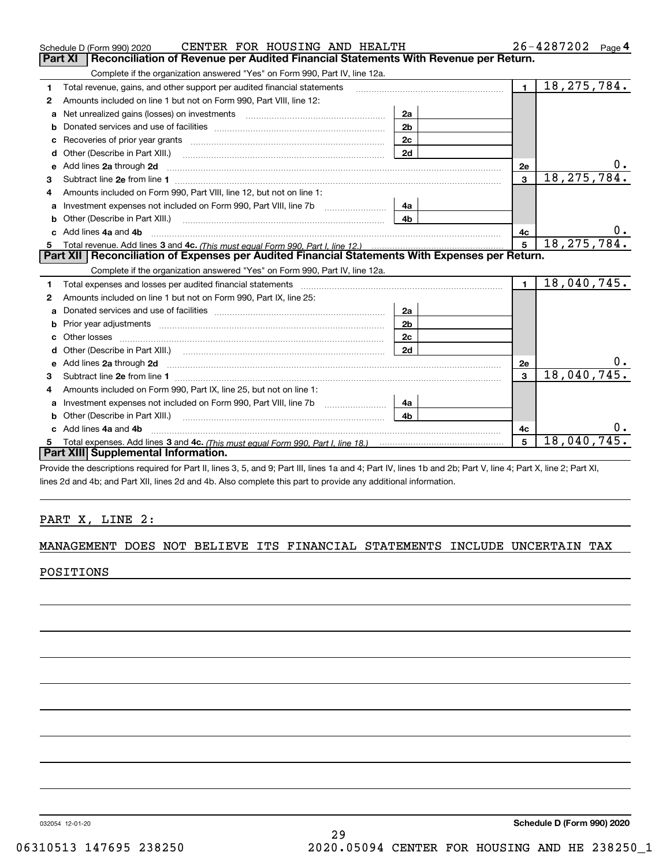|    | CENTER FOR HOUSING AND HEALTH<br>Schedule D (Form 990) 2020                                                                                                                                                                          |                |                | 26-4287202<br>Page 4 |
|----|--------------------------------------------------------------------------------------------------------------------------------------------------------------------------------------------------------------------------------------|----------------|----------------|----------------------|
|    | Reconciliation of Revenue per Audited Financial Statements With Revenue per Return.<br>Part XI                                                                                                                                       |                |                |                      |
|    | Complete if the organization answered "Yes" on Form 990, Part IV, line 12a.                                                                                                                                                          |                |                |                      |
| 1  | Total revenue, gains, and other support per audited financial statements                                                                                                                                                             |                | $\blacksquare$ | 18, 275, 784.        |
| 2  | Amounts included on line 1 but not on Form 990, Part VIII, line 12:                                                                                                                                                                  |                |                |                      |
| a  | Net unrealized gains (losses) on investments [11] matter contracts and the unrealized gains (losses) on investments                                                                                                                  | 2a             |                |                      |
| b  |                                                                                                                                                                                                                                      | 2 <sub>b</sub> |                |                      |
|    | Recoveries of prior year grants <i>manual content of the series</i> of prior year grants                                                                                                                                             | 2c             |                |                      |
| d  | Other (Describe in Part XIII.) <b>Construction Contract Construction</b> Chern Construction Construction Construction                                                                                                                | 2d             |                |                      |
| е  | Add lines 2a through 2d                                                                                                                                                                                                              |                | 2e             | 0.                   |
| з  |                                                                                                                                                                                                                                      |                | 3              | 18, 275, 784.        |
| 4  | Amounts included on Form 990, Part VIII, line 12, but not on line 1:                                                                                                                                                                 |                |                |                      |
| a  |                                                                                                                                                                                                                                      | 4а             |                |                      |
|    |                                                                                                                                                                                                                                      | 4 <sub>b</sub> |                |                      |
|    | c Add lines 4a and 4b                                                                                                                                                                                                                |                | 4c             | 0.                   |
| 5. |                                                                                                                                                                                                                                      |                | 5              | 18, 275, 784.        |
|    | Part XII   Reconciliation of Expenses per Audited Financial Statements With Expenses per Return.                                                                                                                                     |                |                |                      |
|    | Complete if the organization answered "Yes" on Form 990, Part IV, line 12a.                                                                                                                                                          |                |                |                      |
| 1  | Total expenses and losses per audited financial statements [11] [12] manuscription control expenses and losses per audited financial statements [12] [12] manuscription of the statements [12] manuscription of the statements       |                | $\blacksquare$ | 18,040,745.          |
| 2  | Amounts included on line 1 but not on Form 990, Part IX, line 25:                                                                                                                                                                    |                |                |                      |
| a  |                                                                                                                                                                                                                                      | 2a             |                |                      |
| b  |                                                                                                                                                                                                                                      | 2 <sub>b</sub> |                |                      |
|    |                                                                                                                                                                                                                                      | 2c             |                |                      |
| d  | Other (Describe in Part XIII.) (2000) (2000) (2000) (2000) (2000) (2000) (2000) (2000) (2000) (2000) (2000) (2000) (2000) (2000) (2000) (2000) (2000) (2000) (2000) (2000) (2000) (2000) (2000) (2000) (2000) (2000) (2000) (2       | 2d             |                |                      |
| e  | Add lines 2a through 2d <b>contained a contained a contained a contained a contained a contained a contained a contained a contained a contact a contact a contact a contact a contact a contact a contact a contact a contact a</b> |                | 2e             |                      |
| з  |                                                                                                                                                                                                                                      |                | 3              | 18,040,745.          |
|    | Amounts included on Form 990, Part IX, line 25, but not on line 1:                                                                                                                                                                   |                |                |                      |
| a  | Investment expenses not included on Form 990, Part VIII, line 7b [1000000000000000000000000000000000                                                                                                                                 | 4a             |                |                      |
| b  | Other (Describe in Part XIII.)                                                                                                                                                                                                       | 4 <sub>b</sub> |                |                      |
|    | Add lines 4a and 4b                                                                                                                                                                                                                  |                | 4c             | Ο.                   |
| 5  |                                                                                                                                                                                                                                      |                | 5              | 18,040,745.          |
|    | Part XIII Supplemental Information.                                                                                                                                                                                                  |                |                |                      |
|    | $\mathbf{r}$ , and $\mathbf{r}$ , and $\mathbf{r}$ , and $\mathbf{r}$ , and $\mathbf{r}$ , and $\mathbf{r}$ , and $\mathbf{r}$ , and $\mathbf{r}$                                                                                    |                |                |                      |

Provide the descriptions required for Part II, lines 3, 5, and 9; Part III, lines 1a and 4; Part IV, lines 1b and 2b; Part V, line 4; Part X, line 2; Part XI, lines 2d and 4b; and Part XII, lines 2d and 4b. Also complete this part to provide any additional information.

#### PART X, LINE 2:

#### MANAGEMENT DOES NOT BELIEVE ITS FINANCIAL STATEMENTS INCLUDE UNCERTAIN TAX

#### POSITIONS

032054 12-01-20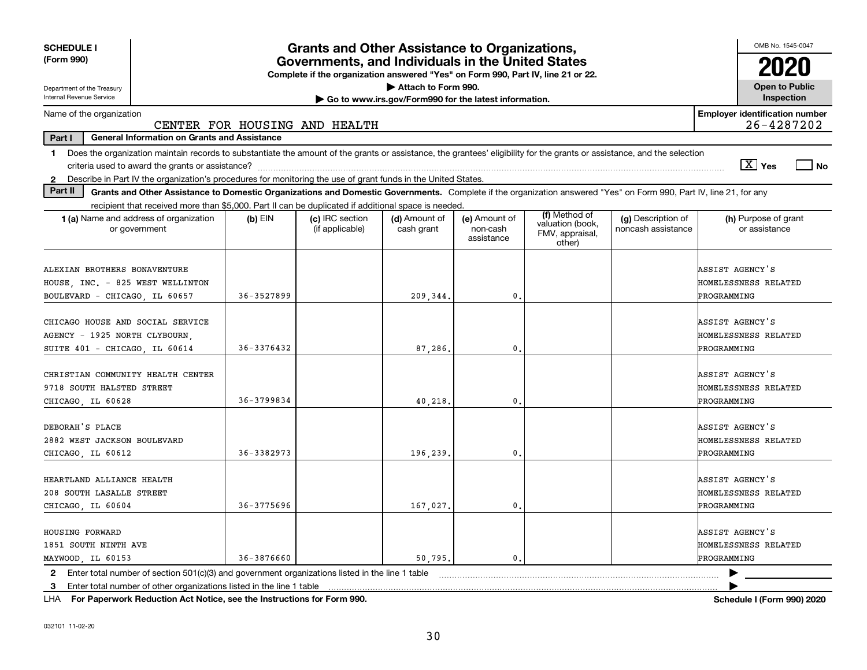| <b>SCHEDULE I</b>                                                                                                                                                              |                | <b>Grants and Other Assistance to Organizations,</b>                             |                                                       |                                         |                                               |                                          | OMB No. 1545-0047                                      |  |  |  |
|--------------------------------------------------------------------------------------------------------------------------------------------------------------------------------|----------------|----------------------------------------------------------------------------------|-------------------------------------------------------|-----------------------------------------|-----------------------------------------------|------------------------------------------|--------------------------------------------------------|--|--|--|
| (Form 990)                                                                                                                                                                     |                | Governments, and Individuals in the United States                                |                                                       |                                         |                                               |                                          |                                                        |  |  |  |
| Department of the Treasury                                                                                                                                                     |                | Complete if the organization answered "Yes" on Form 990, Part IV, line 21 or 22. | Attach to Form 990.                                   |                                         |                                               |                                          | <b>Open to Public</b>                                  |  |  |  |
| Internal Revenue Service                                                                                                                                                       |                |                                                                                  | Go to www.irs.gov/Form990 for the latest information. |                                         |                                               |                                          | Inspection                                             |  |  |  |
| Name of the organization                                                                                                                                                       |                | CENTER FOR HOUSING AND HEALTH                                                    |                                                       |                                         |                                               |                                          | <b>Employer identification number</b><br>26-4287202    |  |  |  |
| Part I<br><b>General Information on Grants and Assistance</b>                                                                                                                  |                |                                                                                  |                                                       |                                         |                                               |                                          |                                                        |  |  |  |
| Does the organization maintain records to substantiate the amount of the grants or assistance, the grantees' eligibility for the grants or assistance, and the selection<br>1. |                |                                                                                  |                                                       |                                         |                                               |                                          |                                                        |  |  |  |
|                                                                                                                                                                                |                |                                                                                  |                                                       |                                         |                                               |                                          | $\sqrt{X}$ Yes<br>l No                                 |  |  |  |
| 2 Describe in Part IV the organization's procedures for monitoring the use of grant funds in the United States.                                                                |                |                                                                                  |                                                       |                                         |                                               |                                          |                                                        |  |  |  |
| Part II<br>Grants and Other Assistance to Domestic Organizations and Domestic Governments. Complete if the organization answered "Yes" on Form 990, Part IV, line 21, for any  |                |                                                                                  |                                                       |                                         |                                               |                                          |                                                        |  |  |  |
| recipient that received more than \$5,000. Part II can be duplicated if additional space is needed.                                                                            |                |                                                                                  |                                                       |                                         | (f) Method of                                 |                                          |                                                        |  |  |  |
| <b>1 (a)</b> Name and address of organization<br>or government                                                                                                                 | $(b)$ EIN      | (c) IRC section<br>(if applicable)                                               | (d) Amount of<br>cash grant                           | (e) Amount of<br>non-cash<br>assistance | valuation (book,<br>FMV, appraisal,<br>other) | (g) Description of<br>noncash assistance | (h) Purpose of grant<br>or assistance                  |  |  |  |
| ALEXIAN BROTHERS BONAVENTURE                                                                                                                                                   |                |                                                                                  |                                                       |                                         |                                               |                                          | ASSIST AGENCY'S                                        |  |  |  |
| HOUSE, INC. - 825 WEST WELLINTON                                                                                                                                               |                |                                                                                  |                                                       |                                         |                                               |                                          | HOMELESSNESS RELATED                                   |  |  |  |
| BOULEVARD - CHICAGO, IL 60657                                                                                                                                                  | 36-3527899     |                                                                                  | 209.344.                                              | $\mathbf{0}$                            |                                               |                                          | PROGRAMMING                                            |  |  |  |
| CHICAGO HOUSE AND SOCIAL SERVICE<br>AGENCY - 1925 NORTH CLYBOURN,<br>SUITE 401 - CHICAGO, IL 60614                                                                             | $36 - 3376432$ |                                                                                  | 87.286.                                               | $\mathbf{0}$                            |                                               |                                          | ASSIST AGENCY'S<br>HOMELESSNESS RELATED<br>PROGRAMMING |  |  |  |
| CHRISTIAN COMMUNITY HEALTH CENTER<br>9718 SOUTH HALSTED STREET<br>CHICAGO, IL 60628                                                                                            | 36-3799834     |                                                                                  | 40,218                                                | $\mathbf{0}$                            |                                               |                                          | ASSIST AGENCY'S<br>HOMELESSNESS RELATED<br>PROGRAMMING |  |  |  |
| DEBORAH'S PLACE<br>2882 WEST JACKSON BOULEVARD<br>CHICAGO LL 60612                                                                                                             | 36-3382973     |                                                                                  | 196,239                                               | $\mathbf{0}$                            |                                               |                                          | ASSIST AGENCY'S<br>HOMELESSNESS RELATED<br>PROGRAMMING |  |  |  |
| HEARTLAND ALLIANCE HEALTH<br>208 SOUTH LASALLE STREET<br>CHICAGO, IL 60604                                                                                                     | $36 - 3775696$ |                                                                                  | 167,027.                                              | $\mathbf{0}$                            |                                               |                                          | ASSIST AGENCY'S<br>HOMELESSNESS RELATED<br>PROGRAMMING |  |  |  |
| HOUSING FORWARD<br>1851 SOUTH NINTH AVE<br>MAYWOOD, IL 60153                                                                                                                   | 36-3876660     |                                                                                  | 50.795.                                               | 0.                                      |                                               |                                          | ASSIST AGENCY'S<br>HOMELESSNESS RELATED<br>PROGRAMMING |  |  |  |
| 2 Enter total number of section 501(c)(3) and government organizations listed in the line 1 table                                                                              |                |                                                                                  |                                                       |                                         |                                               |                                          |                                                        |  |  |  |
| Enter total number of other organizations listed in the line 1 table<br>З.                                                                                                     |                |                                                                                  |                                                       |                                         |                                               |                                          |                                                        |  |  |  |

**For Paperwork Reduction Act Notice, see the Instructions for Form 990. Schedule I (Form 990) 2020** LHA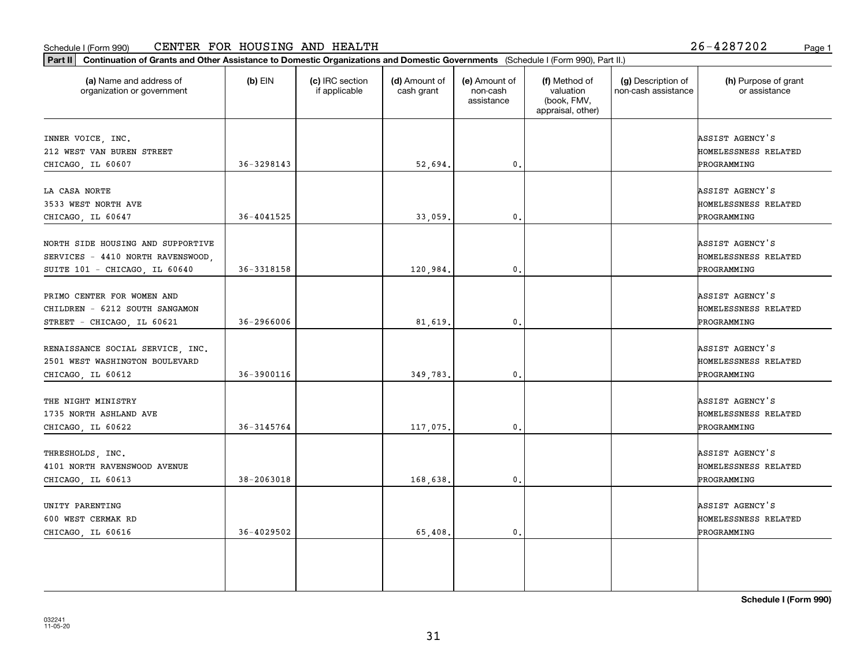#### Schedule I (Form 990) CENTER FOR HOUSING AND HEALTH 2 5-4 2 8 7 2 0 2 Page 1

**Part II Continuation of Grants and Other Assistance to Domestic Organizations and Domestic Governments**  (Schedule I (Form 990), Part II.)

| (a) Name and address of<br>organization or government                                                   | $(b)$ EIN      | (c) IRC section<br>if applicable | (d) Amount of<br>cash grant | (e) Amount of<br>non-cash<br>assistance | (f) Method of<br>valuation<br>(book, FMV,<br>appraisal, other) | (g) Description of<br>non-cash assistance | (h) Purpose of grant<br>or assistance                  |
|---------------------------------------------------------------------------------------------------------|----------------|----------------------------------|-----------------------------|-----------------------------------------|----------------------------------------------------------------|-------------------------------------------|--------------------------------------------------------|
| INNER VOICE, INC.<br>212 WEST VAN BUREN STREET<br>CHICAGO, IL 60607                                     | 36-3298143     |                                  | 52,694.                     | $\mathbf{0}$ .                          |                                                                |                                           | ASSIST AGENCY'S<br>HOMELESSNESS RELATED<br>PROGRAMMING |
| LA CASA NORTE<br>3533 WEST NORTH AVE<br>CHICAGO, IL 60647                                               | $36 - 4041525$ |                                  | 33,059                      | $\mathbf{0}$ .                          |                                                                |                                           | ASSIST AGENCY'S<br>HOMELESSNESS RELATED<br>PROGRAMMING |
| NORTH SIDE HOUSING AND SUPPORTIVE<br>SERVICES - 4410 NORTH RAVENSWOOD,<br>SUITE 101 - CHICAGO, IL 60640 | 36-3318158     |                                  | 120,984.                    | 0.                                      |                                                                |                                           | ASSIST AGENCY'S<br>HOMELESSNESS RELATED<br>PROGRAMMING |
| PRIMO CENTER FOR WOMEN AND<br>CHILDREN - 6212 SOUTH SANGAMON<br>STREET - CHICAGO, IL 60621              | $36 - 2966006$ |                                  | 81,619.                     | 0.                                      |                                                                |                                           | ASSIST AGENCY'S<br>HOMELESSNESS RELATED<br>PROGRAMMING |
| RENAISSANCE SOCIAL SERVICE, INC.<br>2501 WEST WASHINGTON BOULEVARD<br>CHICAGO, IL 60612                 | 36-3900116     |                                  | 349,783.                    | 0.                                      |                                                                |                                           | ASSIST AGENCY'S<br>HOMELESSNESS RELATED<br>PROGRAMMING |
| THE NIGHT MINISTRY<br>1735 NORTH ASHLAND AVE<br>CHICAGO, IL 60622                                       | 36-3145764     |                                  | 117,075.                    | $\mathbf{0}$ .                          |                                                                |                                           | ASSIST AGENCY'S<br>HOMELESSNESS RELATED<br>PROGRAMMING |
| THRESHOLDS, INC.<br>4101 NORTH RAVENSWOOD AVENUE<br>CHICAGO, IL 60613                                   | 38-2063018     |                                  | 168,638.                    | 0.                                      |                                                                |                                           | ASSIST AGENCY'S<br>HOMELESSNESS RELATED<br>PROGRAMMING |
| UNITY PARENTING                                                                                         |                |                                  |                             |                                         |                                                                |                                           | ASSIST AGENCY'S                                        |

**Schedule I (Form 990)**

600 WEST CERMAK RD HOMELESSNESS RELATED

CHICAGO, IL 60616 (36-4029502) (36-4029502) (5,408. 0. 0. 0. 0. 0. 0. PROGRAMMING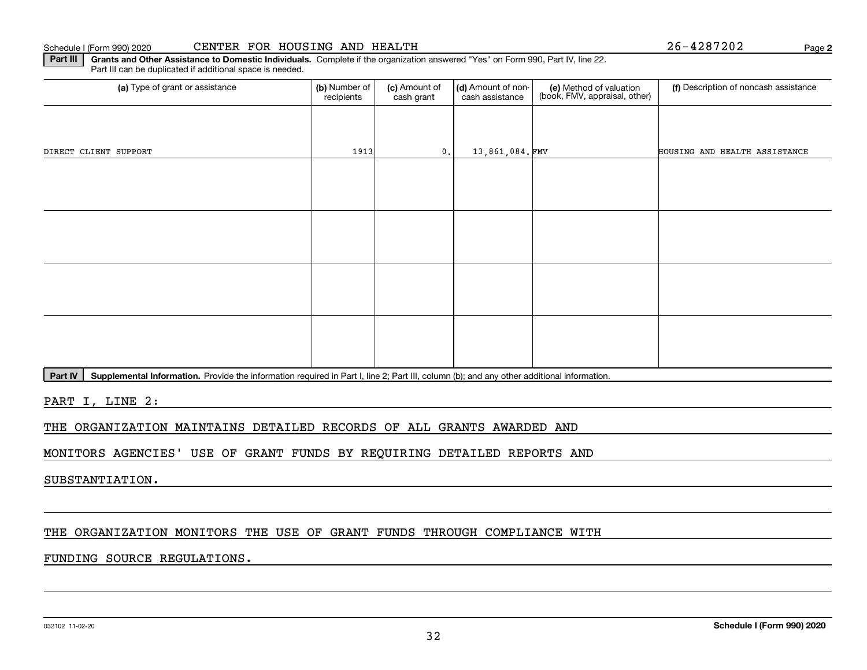Schedule I (Form 990) 2020

|  |  | CENTER FOR HOUSING AND HEALTH |  |  |
|--|--|-------------------------------|--|--|
|--|--|-------------------------------|--|--|

**2**CENTER FOR HOUSING AND HEALTH 26-4287202

**Part III | Grants and Other Assistance to Domestic Individuals. Complete if the organization answered "Yes" on Form 990, Part IV, line 22.** Part III can be duplicated if additional space is needed.

| (a) Type of grant or assistance | (b) Number of<br>recipients | (c) Amount of<br>cash grant | (d) Amount of non-<br>cash assistance | (e) Method of valuation<br>(book, FMV, appraisal, other) | (f) Description of noncash assistance |
|---------------------------------|-----------------------------|-----------------------------|---------------------------------------|----------------------------------------------------------|---------------------------------------|
|                                 |                             |                             |                                       |                                                          |                                       |
| DIRECT CLIENT SUPPORT           | 1913                        | 0.                          | 13,861,084.FMV                        |                                                          | HOUSING AND HEALTH ASSISTANCE         |
|                                 |                             |                             |                                       |                                                          |                                       |
|                                 |                             |                             |                                       |                                                          |                                       |
|                                 |                             |                             |                                       |                                                          |                                       |
|                                 |                             |                             |                                       |                                                          |                                       |
|                                 |                             |                             |                                       |                                                          |                                       |
|                                 |                             |                             |                                       |                                                          |                                       |
|                                 |                             |                             |                                       |                                                          |                                       |
|                                 |                             |                             |                                       |                                                          |                                       |

Part IV | Supplemental Information. Provide the information required in Part I, line 2; Part III, column (b); and any other additional information.

PART I, LINE 2:

THE ORGANIZATION MAINTAINS DETAILED RECORDS OF ALL GRANTS AWARDED AND

MONITORS AGENCIES' USE OF GRANT FUNDS BY REQUIRING DETAILED REPORTS AND

SUBSTANTIATION.

#### THE ORGANIZATION MONITORS THE USE OF GRANT FUNDS THROUGH COMPLIANCE WITH

#### FUNDING SOURCE REGULATIONS.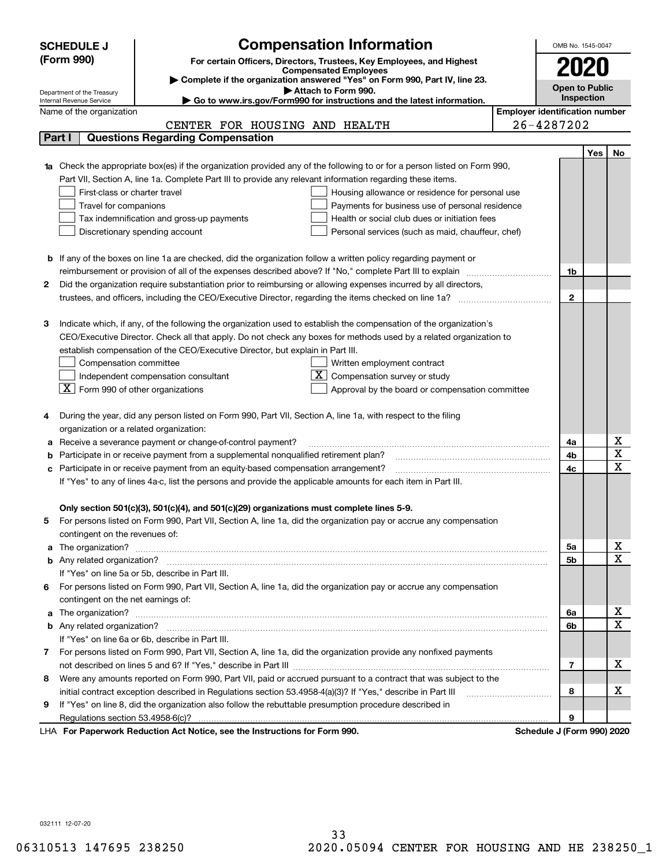|    | <b>Compensation Information</b><br>OMB No. 1545-0047<br><b>SCHEDULE J</b> |                                                                                                                                                                                                                                      |                                       |                       |            |                                     |  |  |  |
|----|---------------------------------------------------------------------------|--------------------------------------------------------------------------------------------------------------------------------------------------------------------------------------------------------------------------------------|---------------------------------------|-----------------------|------------|-------------------------------------|--|--|--|
|    | (Form 990)                                                                | For certain Officers, Directors, Trustees, Key Employees, and Highest                                                                                                                                                                |                                       |                       |            |                                     |  |  |  |
|    |                                                                           | <b>Compensated Employees</b>                                                                                                                                                                                                         |                                       |                       |            |                                     |  |  |  |
|    | Department of the Treasury                                                | Complete if the organization answered "Yes" on Form 990, Part IV, line 23.<br>Attach to Form 990.                                                                                                                                    |                                       | <b>Open to Public</b> |            |                                     |  |  |  |
|    | Internal Revenue Service                                                  | Go to www.irs.gov/Form990 for instructions and the latest information.                                                                                                                                                               |                                       |                       | Inspection |                                     |  |  |  |
|    | Name of the organization                                                  |                                                                                                                                                                                                                                      | <b>Employer identification number</b> |                       |            |                                     |  |  |  |
|    |                                                                           | CENTER FOR HOUSING AND HEALTH                                                                                                                                                                                                        | 26-4287202                            |                       |            |                                     |  |  |  |
|    | Part I                                                                    | <b>Questions Regarding Compensation</b>                                                                                                                                                                                              |                                       |                       |            |                                     |  |  |  |
|    |                                                                           |                                                                                                                                                                                                                                      |                                       |                       | Yes        | No                                  |  |  |  |
|    |                                                                           | 1a Check the appropriate box(es) if the organization provided any of the following to or for a person listed on Form 990,                                                                                                            |                                       |                       |            |                                     |  |  |  |
|    |                                                                           | Part VII, Section A, line 1a. Complete Part III to provide any relevant information regarding these items.                                                                                                                           |                                       |                       |            |                                     |  |  |  |
|    | First-class or charter travel                                             | Housing allowance or residence for personal use                                                                                                                                                                                      |                                       |                       |            |                                     |  |  |  |
|    | Travel for companions                                                     | Payments for business use of personal residence                                                                                                                                                                                      |                                       |                       |            |                                     |  |  |  |
|    |                                                                           | Tax indemnification and gross-up payments<br>Health or social club dues or initiation fees                                                                                                                                           |                                       |                       |            |                                     |  |  |  |
|    |                                                                           | Discretionary spending account<br>Personal services (such as maid, chauffeur, chef)                                                                                                                                                  |                                       |                       |            |                                     |  |  |  |
|    |                                                                           | <b>b</b> If any of the boxes on line 1a are checked, did the organization follow a written policy regarding payment or                                                                                                               |                                       |                       |            |                                     |  |  |  |
|    |                                                                           | reimbursement or provision of all of the expenses described above? If "No," complete Part III to explain                                                                                                                             |                                       | 1b                    |            |                                     |  |  |  |
| 2  |                                                                           | Did the organization require substantiation prior to reimbursing or allowing expenses incurred by all directors,                                                                                                                     |                                       |                       |            |                                     |  |  |  |
|    |                                                                           |                                                                                                                                                                                                                                      |                                       | $\mathbf 2$           |            |                                     |  |  |  |
|    |                                                                           |                                                                                                                                                                                                                                      |                                       |                       |            |                                     |  |  |  |
| З  |                                                                           | Indicate which, if any, of the following the organization used to establish the compensation of the organization's                                                                                                                   |                                       |                       |            |                                     |  |  |  |
|    |                                                                           | CEO/Executive Director. Check all that apply. Do not check any boxes for methods used by a related organization to                                                                                                                   |                                       |                       |            |                                     |  |  |  |
|    |                                                                           | establish compensation of the CEO/Executive Director, but explain in Part III.                                                                                                                                                       |                                       |                       |            |                                     |  |  |  |
|    | Compensation committee                                                    | Written employment contract                                                                                                                                                                                                          |                                       |                       |            |                                     |  |  |  |
|    |                                                                           | Compensation survey or study<br>Independent compensation consultant                                                                                                                                                                  |                                       |                       |            |                                     |  |  |  |
|    | $\boxed{\textbf{X}}$ Form 990 of other organizations                      | Approval by the board or compensation committee                                                                                                                                                                                      |                                       |                       |            |                                     |  |  |  |
|    |                                                                           |                                                                                                                                                                                                                                      |                                       |                       |            |                                     |  |  |  |
|    |                                                                           | During the year, did any person listed on Form 990, Part VII, Section A, line 1a, with respect to the filing                                                                                                                         |                                       |                       |            |                                     |  |  |  |
|    | organization or a related organization:                                   |                                                                                                                                                                                                                                      |                                       |                       |            |                                     |  |  |  |
|    |                                                                           | Receive a severance payment or change-of-control payment?                                                                                                                                                                            |                                       | 4a                    |            | x                                   |  |  |  |
|    |                                                                           | Participate in or receive payment from a supplemental nonqualified retirement plan?                                                                                                                                                  |                                       | 4b                    |            | $\overline{\mathtt{x}}$             |  |  |  |
| c  |                                                                           | Participate in or receive payment from an equity-based compensation arrangement?                                                                                                                                                     |                                       | 4c                    |            | $\overline{\mathbf{x}}$             |  |  |  |
|    |                                                                           | If "Yes" to any of lines 4a-c, list the persons and provide the applicable amounts for each item in Part III.                                                                                                                        |                                       |                       |            |                                     |  |  |  |
|    |                                                                           |                                                                                                                                                                                                                                      |                                       |                       |            |                                     |  |  |  |
|    |                                                                           | Only section 501(c)(3), 501(c)(4), and 501(c)(29) organizations must complete lines 5-9.                                                                                                                                             |                                       |                       |            |                                     |  |  |  |
| 5  |                                                                           | For persons listed on Form 990, Part VII, Section A, line 1a, did the organization pay or accrue any compensation                                                                                                                    |                                       |                       |            |                                     |  |  |  |
|    | contingent on the revenues of:                                            |                                                                                                                                                                                                                                      |                                       |                       |            |                                     |  |  |  |
|    |                                                                           | a The organization? <b>Entitled Strategies and Strategies and Strategies and Strategies and Strategies and Strategies and Strategies and Strategies and Strategies and Strategies and Strategies and Strategies and Strategies a</b> |                                       | 5а                    |            | <u>x</u>                            |  |  |  |
|    |                                                                           |                                                                                                                                                                                                                                      |                                       | 5b                    |            | $\overline{\mathbf{x}}$             |  |  |  |
|    |                                                                           | If "Yes" on line 5a or 5b, describe in Part III.                                                                                                                                                                                     |                                       |                       |            |                                     |  |  |  |
| 6. |                                                                           | For persons listed on Form 990, Part VII, Section A, line 1a, did the organization pay or accrue any compensation                                                                                                                    |                                       |                       |            |                                     |  |  |  |
|    | contingent on the net earnings of:                                        |                                                                                                                                                                                                                                      |                                       |                       |            |                                     |  |  |  |
|    |                                                                           |                                                                                                                                                                                                                                      |                                       | 6a                    |            | <u>x</u><br>$\overline{\textbf{x}}$ |  |  |  |
|    |                                                                           |                                                                                                                                                                                                                                      |                                       | 6b                    |            |                                     |  |  |  |
|    |                                                                           | If "Yes" on line 6a or 6b, describe in Part III.                                                                                                                                                                                     |                                       |                       |            |                                     |  |  |  |
|    |                                                                           | 7 For persons listed on Form 990, Part VII, Section A, line 1a, did the organization provide any nonfixed payments                                                                                                                   |                                       |                       |            | х                                   |  |  |  |
|    |                                                                           |                                                                                                                                                                                                                                      |                                       | 7                     |            |                                     |  |  |  |
| 8  |                                                                           | Were any amounts reported on Form 990, Part VII, paid or accrued pursuant to a contract that was subject to the                                                                                                                      |                                       | 8                     |            | х                                   |  |  |  |
| 9  |                                                                           | initial contract exception described in Regulations section 53.4958-4(a)(3)? If "Yes," describe in Part III                                                                                                                          |                                       |                       |            |                                     |  |  |  |
|    |                                                                           | If "Yes" on line 8, did the organization also follow the rebuttable presumption procedure described in                                                                                                                               |                                       | 9                     |            |                                     |  |  |  |
|    |                                                                           | wwark Deduction Ast Netice, ass the Instructions for Form 000                                                                                                                                                                        | Cahadula II Faul                      |                       |            |                                     |  |  |  |

**For Paperwork Reduction Act Notice, see the Instructions for Form 990. Schedule J (Form 990) 2020** LHA

032111 12-07-20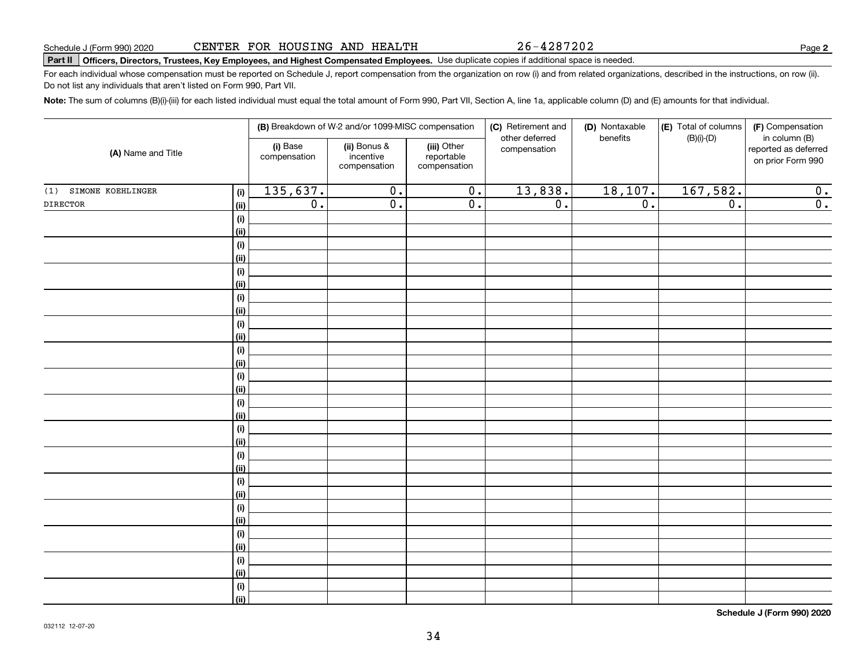#### CENTER FOR HOUSING AND HEALTH

# **Part II Officers, Directors, Trustees, Key Employees, and Highest Compensated Employees.**  Schedule J (Form 990) 2020 Page Use duplicate copies if additional space is needed.

For each individual whose compensation must be reported on Schedule J, report compensation from the organization on row (i) and from related organizations, described in the instructions, on row (ii). Do not list any individuals that aren't listed on Form 990, Part VII.

**Note:**  The sum of columns (B)(i)-(iii) for each listed individual must equal the total amount of Form 990, Part VII, Section A, line 1a, applicable column (D) and (E) amounts for that individual.

| (A) Name and Title    |                    |                          | (B) Breakdown of W-2 and/or 1099-MISC compensation |                                           | (C) Retirement and             | (D) Nontaxable   | (E) Total of columns | (F) Compensation                                           |
|-----------------------|--------------------|--------------------------|----------------------------------------------------|-------------------------------------------|--------------------------------|------------------|----------------------|------------------------------------------------------------|
|                       |                    | (i) Base<br>compensation | (ii) Bonus &<br>incentive<br>compensation          | (iii) Other<br>reportable<br>compensation | other deferred<br>compensation | benefits         | $(B)(i)-(D)$         | in column (B)<br>reported as deferred<br>on prior Form 990 |
| (1) SIMONE KOEHLINGER | (i)                | 135,637.                 | $\overline{0}$ .                                   | $\overline{0}$ .                          | 13,838.                        | 18, 107.         | 167,582.             | 0.                                                         |
| <b>DIRECTOR</b>       | (ii)               | $\overline{0}$ .         | $\overline{\mathfrak{o}}$ .                        | $\overline{\mathfrak{o}}$ .               | $\overline{0}$ .               | $\overline{0}$ . | $\overline{0}$ .     | $\overline{0}$ .                                           |
|                       | (i)                |                          |                                                    |                                           |                                |                  |                      |                                                            |
|                       | (ii)               |                          |                                                    |                                           |                                |                  |                      |                                                            |
|                       | (i)                |                          |                                                    |                                           |                                |                  |                      |                                                            |
|                       | <u>(ii)</u>        |                          |                                                    |                                           |                                |                  |                      |                                                            |
|                       | (i)                |                          |                                                    |                                           |                                |                  |                      |                                                            |
|                       | (ii)               |                          |                                                    |                                           |                                |                  |                      |                                                            |
|                       | (i)                |                          |                                                    |                                           |                                |                  |                      |                                                            |
|                       | (ii)               |                          |                                                    |                                           |                                |                  |                      |                                                            |
|                       | (i)                |                          |                                                    |                                           |                                |                  |                      |                                                            |
|                       | <u>(ii)</u>        |                          |                                                    |                                           |                                |                  |                      |                                                            |
|                       | (i)                |                          |                                                    |                                           |                                |                  |                      |                                                            |
|                       | <u>(ii)</u>        |                          |                                                    |                                           |                                |                  |                      |                                                            |
|                       | (i)                |                          |                                                    |                                           |                                |                  |                      |                                                            |
|                       | (ii)               |                          |                                                    |                                           |                                |                  |                      |                                                            |
|                       | (i)<br><u>(ii)</u> |                          |                                                    |                                           |                                |                  |                      |                                                            |
|                       | (i)                |                          |                                                    |                                           |                                |                  |                      |                                                            |
|                       | (ii)               |                          |                                                    |                                           |                                |                  |                      |                                                            |
|                       | (i)                |                          |                                                    |                                           |                                |                  |                      |                                                            |
|                       | <u>(ii)</u>        |                          |                                                    |                                           |                                |                  |                      |                                                            |
|                       | (i)                |                          |                                                    |                                           |                                |                  |                      |                                                            |
|                       | <u>(ii)</u>        |                          |                                                    |                                           |                                |                  |                      |                                                            |
|                       | (i)                |                          |                                                    |                                           |                                |                  |                      |                                                            |
|                       | <u>(ii)</u>        |                          |                                                    |                                           |                                |                  |                      |                                                            |
|                       | (i)                |                          |                                                    |                                           |                                |                  |                      |                                                            |
|                       | <u>(ii)</u>        |                          |                                                    |                                           |                                |                  |                      |                                                            |
|                       | (i)                |                          |                                                    |                                           |                                |                  |                      |                                                            |
|                       | <u>(ii)</u>        |                          |                                                    |                                           |                                |                  |                      |                                                            |
|                       | (i)                |                          |                                                    |                                           |                                |                  |                      |                                                            |
|                       | $\vert$ (ii)       |                          |                                                    |                                           |                                |                  |                      |                                                            |

**Schedule J (Form 990) 2020**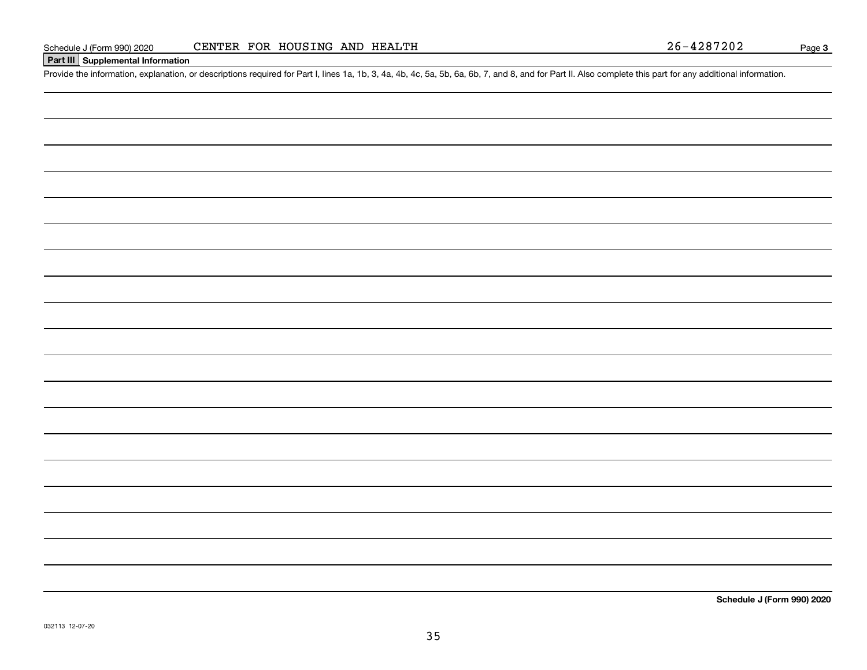#### **Part III Supplemental Information**

Schedule J (Form 990) 2020 CENTER FOR HOUSING AND HEALTH<br>Part III Supplemental Information<br>Provide the information, explanation, or descriptions required for Part I, lines 1a, 1b, 3, 4a, 4b, 4c, 5a, 5b, 6a, 6b, 7, and 8,

**Schedule J (Form 990) 2020**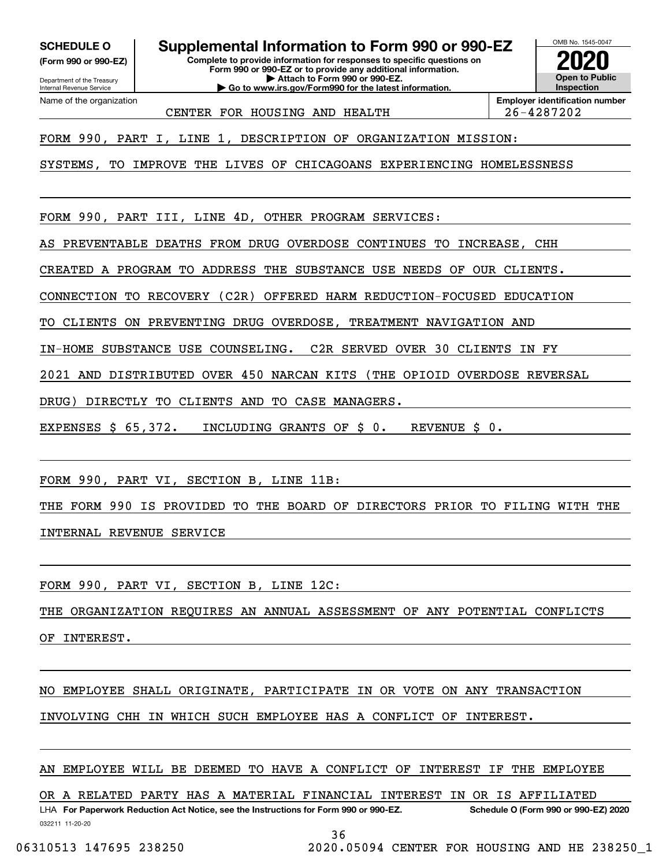**(Form 990 or 990-EZ)**

Department of the Treasury Internal Revenue Service Name of the organization

**SCHEDULE O Supplemental Information to Form 990 or 990-EZ**

**Complete to provide information for responses to specific questions on Form 990 or 990-EZ or to provide any additional information. | Attach to Form 990 or 990-EZ. | Go to www.irs.gov/Form990 for the latest information.**

**Open to Public Inspection2020**

OMB No. 1545-0047

CENTER FOR HOUSING AND HEALTH 26-4287202

**Employer identification number**

FORM 990, PART I, LINE 1, DESCRIPTION OF ORGANIZATION MISSION:

SYSTEMS, TO IMPROVE THE LIVES OF CHICAGOANS EXPERIENCING HOMELESSNESS

FORM 990, PART III, LINE 4D, OTHER PROGRAM SERVICES:

AS PREVENTABLE DEATHS FROM DRUG OVERDOSE CONTINUES TO INCREASE, CHH

CREATED A PROGRAM TO ADDRESS THE SUBSTANCE USE NEEDS OF OUR CLIENTS.

CONNECTION TO RECOVERY (C2R) OFFERED HARM REDUCTION-FOCUSED EDUCATION

TO CLIENTS ON PREVENTING DRUG OVERDOSE, TREATMENT NAVIGATION AND

IN-HOME SUBSTANCE USE COUNSELING. C2R SERVED OVER 30 CLIENTS IN FY

2021 AND DISTRIBUTED OVER 450 NARCAN KITS (THE OPIOID OVERDOSE REVERSAL

DRUG) DIRECTLY TO CLIENTS AND TO CASE MANAGERS.

EXPENSES \$ 65,372. INCLUDING GRANTS OF \$ 0. REVENUE \$ 0.

FORM 990, PART VI, SECTION B, LINE 11B:

THE FORM 990 IS PROVIDED TO THE BOARD OF DIRECTORS PRIOR TO FILING WITH THE INTERNAL REVENUE SERVICE

FORM 990, PART VI, SECTION B, LINE 12C:

THE ORGANIZATION REQUIRES AN ANNUAL ASSESSMENT OF ANY POTENTIAL CONFLICTS

OF INTEREST.

NO EMPLOYEE SHALL ORIGINATE, PARTICIPATE IN OR VOTE ON ANY TRANSACTION

INVOLVING CHH IN WHICH SUCH EMPLOYEE HAS A CONFLICT OF INTEREST.

AN EMPLOYEE WILL BE DEEMED TO HAVE A CONFLICT OF INTEREST IF THE EMPLOYEE

OR A RELATED PARTY HAS A MATERIAL FINANCIAL INTEREST IN OR IS AFFILIATED

032211 11-20-20 LHA For Paperwork Reduction Act Notice, see the Instructions for Form 990 or 990-EZ. Schedule O (Form 990 or 990-EZ) 2020

36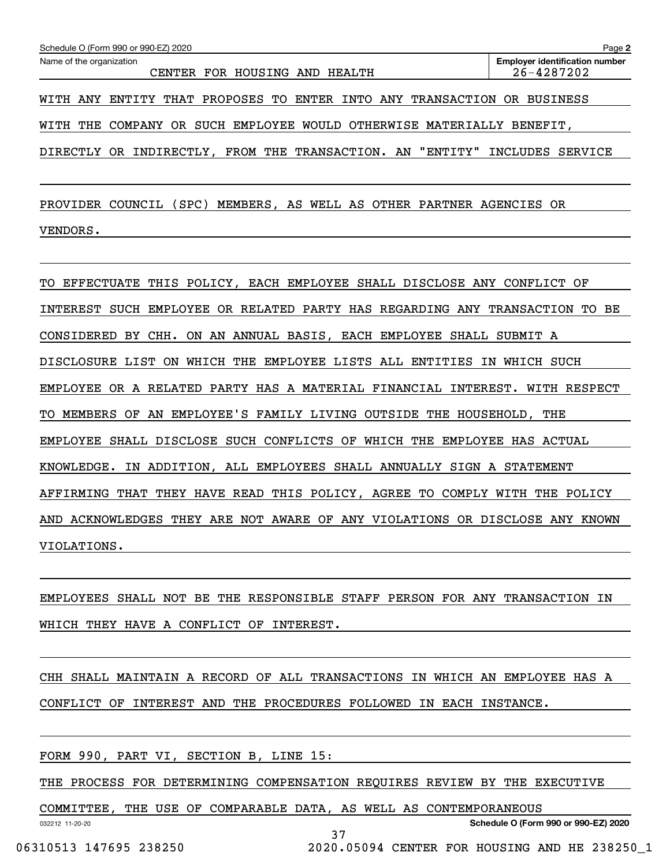| Schedule O (Form 990 or 990-EZ) 2020<br>Page 2                             |                                                     |  |  |  |  |  |  |
|----------------------------------------------------------------------------|-----------------------------------------------------|--|--|--|--|--|--|
| Name of the organization<br>CENTER FOR HOUSING AND HEALTH                  | <b>Employer identification number</b><br>26-4287202 |  |  |  |  |  |  |
| WITH ANY ENTITY THAT PROPOSES TO ENTER INTO ANY TRANSACTION OR BUSINESS    |                                                     |  |  |  |  |  |  |
| WITH THE COMPANY OR SUCH EMPLOYEE WOULD OTHERWISE MATERIALLY BENEFIT,      |                                                     |  |  |  |  |  |  |
| DIRECTLY OR INDIRECTLY, FROM THE TRANSACTION. AN "ENTITY" INCLUDES SERVICE |                                                     |  |  |  |  |  |  |

PROVIDER COUNCIL (SPC) MEMBERS, AS WELL AS OTHER PARTNER AGENCIES OR VENDORS.

TO EFFECTUATE THIS POLICY, EACH EMPLOYEE SHALL DISCLOSE ANY CONFLICT OF INTEREST SUCH EMPLOYEE OR RELATED PARTY HAS REGARDING ANY TRANSACTION TO BE CONSIDERED BY CHH. ON AN ANNUAL BASIS, EACH EMPLOYEE SHALL SUBMIT A DISCLOSURE LIST ON WHICH THE EMPLOYEE LISTS ALL ENTITIES IN WHICH SUCH EMPLOYEE OR A RELATED PARTY HAS A MATERIAL FINANCIAL INTEREST. WITH RESPECT TO MEMBERS OF AN EMPLOYEE'S FAMILY LIVING OUTSIDE THE HOUSEHOLD, THE EMPLOYEE SHALL DISCLOSE SUCH CONFLICTS OF WHICH THE EMPLOYEE HAS ACTUAL KNOWLEDGE. IN ADDITION, ALL EMPLOYEES SHALL ANNUALLY SIGN A STATEMENT AFFIRMING THAT THEY HAVE READ THIS POLICY, AGREE TO COMPLY WITH THE POLICY AND ACKNOWLEDGES THEY ARE NOT AWARE OF ANY VIOLATIONS OR DISCLOSE ANY KNOWN VIOLATIONS.

EMPLOYEES SHALL NOT BE THE RESPONSIBLE STAFF PERSON FOR ANY TRANSACTION IN WHICH THEY HAVE A CONFLICT OF INTEREST.

CHH SHALL MAINTAIN A RECORD OF ALL TRANSACTIONS IN WHICH AN EMPLOYEE HAS A CONFLICT OF INTEREST AND THE PROCEDURES FOLLOWED IN EACH INSTANCE.

FORM 990, PART VI, SECTION B, LINE 15:

THE PROCESS FOR DETERMINING COMPENSATION REQUIRES REVIEW BY THE EXECUTIVE

37

COMMITTEE, THE USE OF COMPARABLE DATA, AS WELL AS CONTEMPORANEOUS

032212 11-20-20

**Schedule O (Form 990 or 990-EZ) 2020**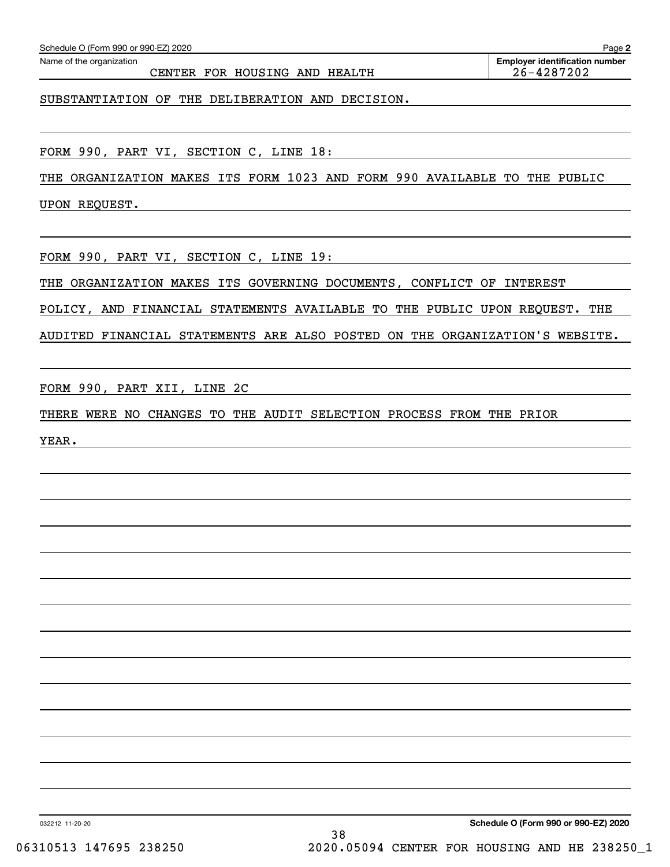CENTER FOR HOUSING AND HEALTH 26-4287202

SUBSTANTIATION OF THE DELIBERATION AND DECISION.

FORM 990, PART VI, SECTION C, LINE 18:

THE ORGANIZATION MAKES ITS FORM 1023 AND FORM 990 AVAILABLE TO THE PUBLIC

UPON REQUEST.

FORM 990, PART VI, SECTION C, LINE 19:

THE ORGANIZATION MAKES ITS GOVERNING DOCUMENTS, CONFLICT OF INTEREST

POLICY, AND FINANCIAL STATEMENTS AVAILABLE TO THE PUBLIC UPON REQUEST. THE

AUDITED FINANCIAL STATEMENTS ARE ALSO POSTED ON THE ORGANIZATION'S WEBSITE.

FORM 990, PART XII, LINE 2C

THERE WERE NO CHANGES TO THE AUDIT SELECTION PROCESS FROM THE PRIOR

YEAR.

**2**Echedule O (Form 990 or 990-EZ) 2020<br>Name of the organization **number** Name of the organization **number**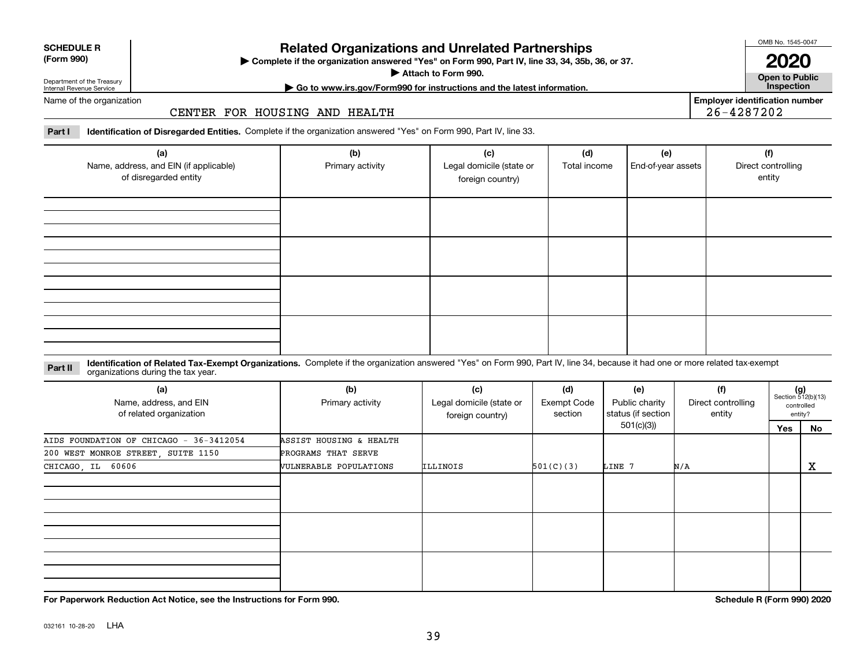| <b>SCHEDULE R</b>            |  |
|------------------------------|--|
| $(T_{\text{max}} \cap \cap)$ |  |

#### **(Form 990)**

## **Related Organizations and Unrelated Partnerships**

**Complete if the organization answered "Yes" on Form 990, Part IV, line 33, 34, 35b, 36, or 37.** |

**Attach to Form 990.**  |

OMB No. 1545-0047

**Open to Public 2020**

**Employer identification number**

26-4287202

Department of the Treasury Internal Revenue Service

**| Go to www.irs.gov/Form990 for instructions and the latest information. Inspection**

Name of the organization

#### CENTER FOR HOUSING AND HEALTH

**Part I Identification of Disregarded Entities.**  Complete if the organization answered "Yes" on Form 990, Part IV, line 33.

| (a)<br>Name, address, and EIN (if applicable)<br>of disregarded entity | (b)<br>Primary activity | (c)<br>Legal domicile (state or<br>foreign country) | (d)<br>Total income | (e)<br>End-of-year assets | (f)<br>Direct controlling<br>entity |
|------------------------------------------------------------------------|-------------------------|-----------------------------------------------------|---------------------|---------------------------|-------------------------------------|
|                                                                        |                         |                                                     |                     |                           |                                     |
|                                                                        |                         |                                                     |                     |                           |                                     |
|                                                                        |                         |                                                     |                     |                           |                                     |
|                                                                        |                         |                                                     |                     |                           |                                     |

#### **Identification of Related Tax-Exempt Organizations.** Complete if the organization answered "Yes" on Form 990, Part IV, line 34, because it had one or more related tax-exempt **Part II** organizations during the tax year.

| (a)<br>Name, address, and EIN<br>of related organization | (b)<br>Primary activity | (c)<br>Legal domicile (state or<br>foreign country) | (d)<br><b>Exempt Code</b><br>section | (e)<br>Public charity<br>status (if section | (f)<br>Direct controlling<br>entity |     | $(g)$<br>Section 512(b)(13)<br>controlled<br>entity? |
|----------------------------------------------------------|-------------------------|-----------------------------------------------------|--------------------------------------|---------------------------------------------|-------------------------------------|-----|------------------------------------------------------|
|                                                          |                         |                                                     |                                      | 501(c)(3))                                  |                                     | Yes | No                                                   |
| AIDS FOUNDATION OF CHICAGO - 36-3412054                  | ASSIST HOUSING & HEALTH |                                                     |                                      |                                             |                                     |     |                                                      |
| 200 WEST MONROE STREET, SUITE 1150                       | PROGRAMS THAT SERVE     |                                                     |                                      |                                             |                                     |     |                                                      |
| CHICAGO, IL 60606                                        | VULNERABLE POPULATIONS  | <b>ILLINOIS</b>                                     | 501(C)(3)                            | LINE 7                                      | N/A                                 |     | X                                                    |
|                                                          |                         |                                                     |                                      |                                             |                                     |     |                                                      |
|                                                          |                         |                                                     |                                      |                                             |                                     |     |                                                      |
|                                                          |                         |                                                     |                                      |                                             |                                     |     |                                                      |

**For Paperwork Reduction Act Notice, see the Instructions for Form 990. Schedule R (Form 990) 2020**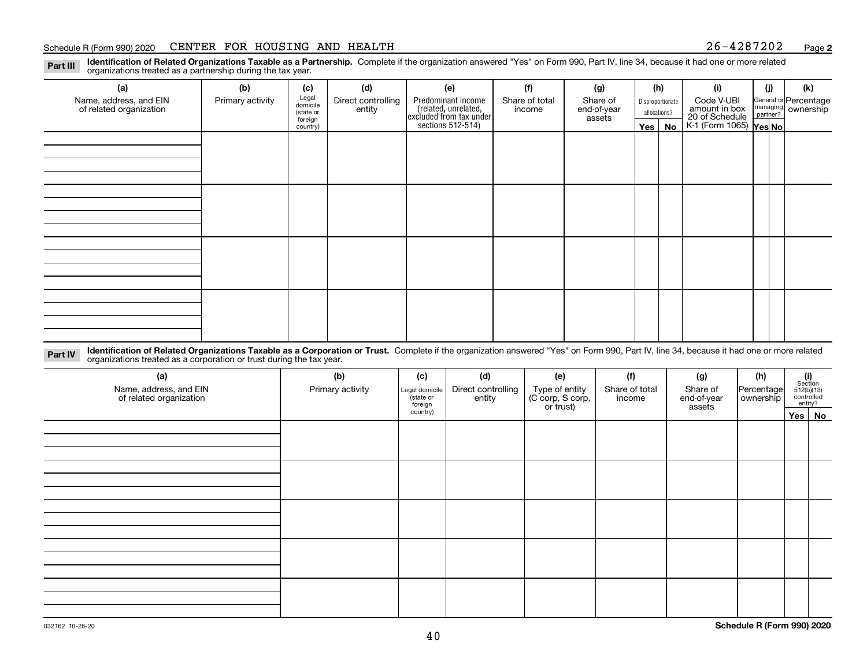#### Schedule R (Form 990) 2020 CENTER FOR HOUSING AND HEALTH 2 6-4 2 8 7 2 0 2 <sub>Page</sub>

**2**

**Identification of Related Organizations Taxable as a Partnership.** Complete if the organization answered "Yes" on Form 990, Part IV, line 34, because it had one or more related **Part III** organizations treated as a partnership during the tax year.

| (a)                                               | (b)              | (c)                  | (d)                | (e)                                                                 | (f)            | (g)                   |              | (h)              | (i)                                                       | (i) | (k)                                                       |
|---------------------------------------------------|------------------|----------------------|--------------------|---------------------------------------------------------------------|----------------|-----------------------|--------------|------------------|-----------------------------------------------------------|-----|-----------------------------------------------------------|
| Name, address, and EIN<br>of related organization | Primary activity | Legal<br>domicile    | Direct controlling | Predominant income                                                  | Share of total | Share of              |              | Disproportionate | Code V-UBI                                                |     | General or Percentage<br>managing<br>partner?<br>partner? |
|                                                   |                  | (state or<br>foreign | entity             | related, unrelated,<br>excluded from tax under<br>sections 512-514) | income         | end-of-year<br>assets | allocations? |                  | amount in box<br>20 of Schedule<br>K-1 (Form 1065) Yes No |     |                                                           |
|                                                   |                  | country)             |                    |                                                                     |                |                       | Yes $ $      | No               |                                                           |     |                                                           |
|                                                   |                  |                      |                    |                                                                     |                |                       |              |                  |                                                           |     |                                                           |
|                                                   |                  |                      |                    |                                                                     |                |                       |              |                  |                                                           |     |                                                           |
|                                                   |                  |                      |                    |                                                                     |                |                       |              |                  |                                                           |     |                                                           |
|                                                   |                  |                      |                    |                                                                     |                |                       |              |                  |                                                           |     |                                                           |
|                                                   |                  |                      |                    |                                                                     |                |                       |              |                  |                                                           |     |                                                           |
|                                                   |                  |                      |                    |                                                                     |                |                       |              |                  |                                                           |     |                                                           |
|                                                   |                  |                      |                    |                                                                     |                |                       |              |                  |                                                           |     |                                                           |
|                                                   |                  |                      |                    |                                                                     |                |                       |              |                  |                                                           |     |                                                           |
|                                                   |                  |                      |                    |                                                                     |                |                       |              |                  |                                                           |     |                                                           |
|                                                   |                  |                      |                    |                                                                     |                |                       |              |                  |                                                           |     |                                                           |
|                                                   |                  |                      |                    |                                                                     |                |                       |              |                  |                                                           |     |                                                           |
|                                                   |                  |                      |                    |                                                                     |                |                       |              |                  |                                                           |     |                                                           |
|                                                   |                  |                      |                    |                                                                     |                |                       |              |                  |                                                           |     |                                                           |
|                                                   |                  |                      |                    |                                                                     |                |                       |              |                  |                                                           |     |                                                           |
|                                                   |                  |                      |                    |                                                                     |                |                       |              |                  |                                                           |     |                                                           |
|                                                   |                  |                      |                    |                                                                     |                |                       |              |                  |                                                           |     |                                                           |
|                                                   |                  |                      |                    |                                                                     |                |                       |              |                  |                                                           |     |                                                           |

**Identification of Related Organizations Taxable as a Corporation or Trust.** Complete if the organization answered "Yes" on Form 990, Part IV, line 34, because it had one or more related **Part IV** organizations treated as a corporation or trust during the tax year.

| (a)<br>Name, address, and EIN<br>of related organization | (b)<br>Primary activity | (d)<br>(e)<br>(c)<br>Direct controlling<br>Type of entity<br>(C corp, S corp,<br>Legal domicile<br>(state or<br>entity<br>foreign<br>or trust) |  | (f)<br>Share of total<br>income | (g)<br>Share of<br>end-of-year<br>assets | (h)<br>Percentage<br>ownership | $\begin{array}{c} \textbf{(i)}\\ \text{Section}\\ 512 \text{(b)} \text{(13)}\\ \text{controlled}\\ \text{entity?} \end{array}$ |        |
|----------------------------------------------------------|-------------------------|------------------------------------------------------------------------------------------------------------------------------------------------|--|---------------------------------|------------------------------------------|--------------------------------|--------------------------------------------------------------------------------------------------------------------------------|--------|
|                                                          |                         | country)                                                                                                                                       |  |                                 |                                          |                                |                                                                                                                                | Yes No |
|                                                          |                         |                                                                                                                                                |  |                                 |                                          |                                |                                                                                                                                |        |
|                                                          |                         |                                                                                                                                                |  |                                 |                                          |                                |                                                                                                                                |        |
|                                                          |                         |                                                                                                                                                |  |                                 |                                          |                                |                                                                                                                                |        |
|                                                          |                         |                                                                                                                                                |  |                                 |                                          |                                |                                                                                                                                |        |
|                                                          |                         |                                                                                                                                                |  |                                 |                                          |                                |                                                                                                                                |        |
|                                                          |                         |                                                                                                                                                |  |                                 |                                          |                                |                                                                                                                                |        |
|                                                          |                         |                                                                                                                                                |  |                                 |                                          |                                |                                                                                                                                |        |
|                                                          |                         |                                                                                                                                                |  |                                 |                                          |                                |                                                                                                                                |        |
|                                                          |                         |                                                                                                                                                |  |                                 |                                          |                                |                                                                                                                                |        |
|                                                          |                         |                                                                                                                                                |  |                                 |                                          |                                |                                                                                                                                |        |
|                                                          |                         |                                                                                                                                                |  |                                 |                                          |                                |                                                                                                                                |        |
|                                                          |                         |                                                                                                                                                |  |                                 |                                          |                                |                                                                                                                                |        |
|                                                          |                         |                                                                                                                                                |  |                                 |                                          |                                |                                                                                                                                |        |
|                                                          |                         |                                                                                                                                                |  |                                 |                                          |                                |                                                                                                                                |        |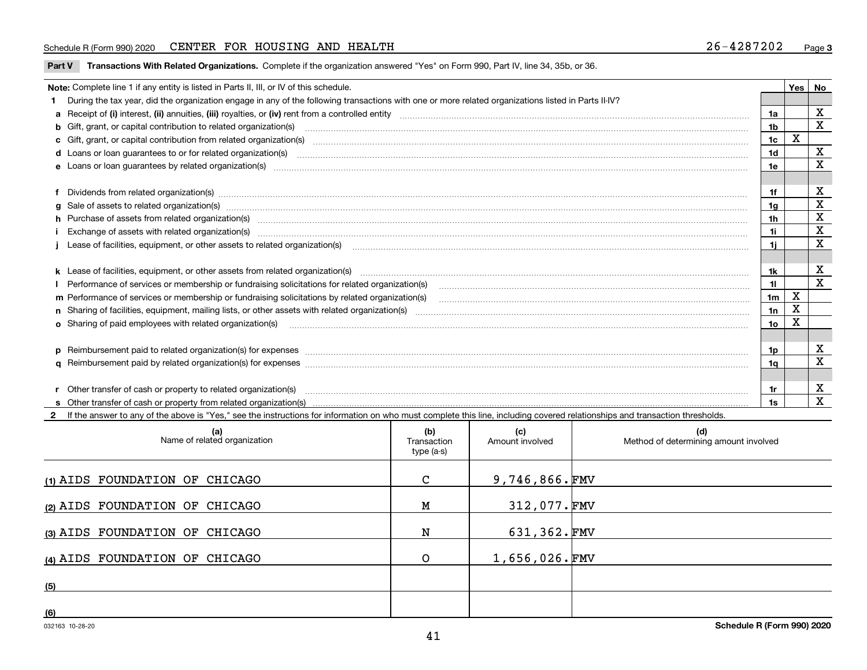#### Schedule R (Form 990) 2020 CENTER FOR HOUSING AND HEALTH 2 6-4 2 8 7 2 0 2 <sub>Page</sub>

**Part V** T**ransactions With Related Organizations.** Complete if the organization answered "Yes" on Form 990, Part IV, line 34, 35b, or 36.

| Note: Complete line 1 if any entity is listed in Parts II, III, or IV of this schedule.                                                                                                                                        |                | Yes ' | No          |
|--------------------------------------------------------------------------------------------------------------------------------------------------------------------------------------------------------------------------------|----------------|-------|-------------|
| During the tax year, did the organization engage in any of the following transactions with one or more related organizations listed in Parts II-IV?                                                                            |                |       |             |
|                                                                                                                                                                                                                                | 1a             |       | х           |
| <b>b</b> Gift, grant, or capital contribution to related organization(s)                                                                                                                                                       | 1 <sub>b</sub> |       | X           |
| c Gift, grant, or capital contribution from related organization(s)                                                                                                                                                            | 1c             | X     |             |
| <b>d</b> Loans or loan quarantees to or for related organization(s)                                                                                                                                                            | 1d             |       | х           |
| <b>e</b> Loans or loan quarantees by related organization(s)                                                                                                                                                                   | 1e             |       | x           |
| f Dividends from related organization(s) manufactured and contract and contract of the contract of the contract of the contract of the contract of the contract of the contract of the contract of the contract of the contrac | 1f             |       | х           |
| g Sale of assets to related organization(s) www.communicallycommunicallycommunicallycommunicallycommunicallycommunicallycommunicallycommunicallycommunicallycommunicallycommunicallycommunicallycommunicallycommunicallycommun | 1g             |       | X           |
| h Purchase of assets from related organization(s) manufactured and content and content and content and content and content and content and content and content and content and content and content and content and content and | 1h             |       | X           |
| Exchange of assets with related organization(s) manufactured and content and content and content and content and content and content and content and content and content and content and content and content and content and c | 1i             |       | $\mathbf X$ |
|                                                                                                                                                                                                                                | 1i.            |       | x           |
|                                                                                                                                                                                                                                |                |       |             |
|                                                                                                                                                                                                                                | 1k             |       | x           |
| Performance of services or membership or fundraising solicitations for related organization(s)                                                                                                                                 | 11             |       | $\mathbf x$ |
| m Performance of services or membership or fundraising solicitations by related organization(s)                                                                                                                                | 1 <sub>m</sub> | X     |             |
|                                                                                                                                                                                                                                | 1n             | х     |             |
| <b>o</b> Sharing of paid employees with related organization(s)                                                                                                                                                                | 1о             | Χ     |             |
|                                                                                                                                                                                                                                |                |       |             |
| p Reimbursement paid to related organization(s) for expenses [11111] [12] reasonal content of the separation (s) for expenses [11111] [12] reasonal content of the separation (s) for expenses [1111] [12] reasonal content of | 1p.            |       | х           |
|                                                                                                                                                                                                                                | 1q             |       | x           |
|                                                                                                                                                                                                                                |                |       |             |
|                                                                                                                                                                                                                                | 1r             |       | х           |
|                                                                                                                                                                                                                                | 1s             |       | X           |

**2**If the answer to any of the above is "Yes," see the instructions for information on who must complete this line, including covered relationships and transaction thresholds. **(a) (b) (c) (d) (1)**AIDS FOUNDATION OF CHICAGO **(2)**AIDS FOUNDATION OF CHICAGO **(3)**AIDS FOUNDATION OF CHICAGO **(4)**AIDS FOUNDATION OF CHICAGO **(5)(6)**Name of related organization  $\vert$  Transaction type (a-s) Amount involved | Method of determining amount involved 9,746,866. FMV 312,077. FMV 631,362. FMV 1,656,026. FMV C M N O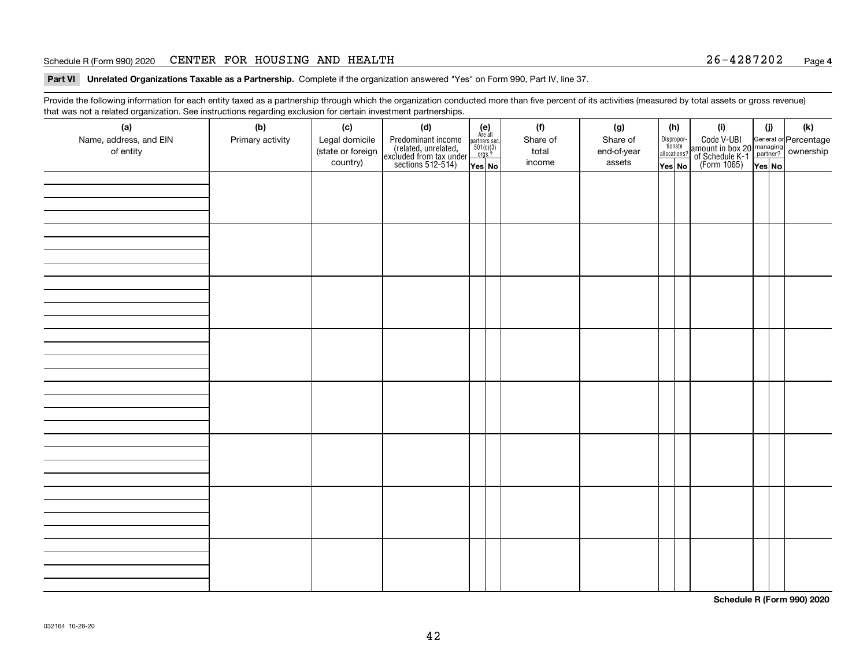#### Schedule R (Form 990) 2020 CENTER FOR HOUSING AND HEALTH 2 6-4 2 8 7 2 0 2 <sub>Page</sub>

**Part VI Unrelated Organizations Taxable as a Partnership. Complete if the organization answered "Yes" on Form 990, Part IV, line 37.** 

Provide the following information for each entity taxed as a partnership through which the organization conducted more than five percent of its activities (measured by total assets or gross revenue) that was not a related organization. See instructions regarding exclusion for certain investment partnerships.

| (a)<br>Name, address, and EIN<br>of entity | (b)<br>Primary activity | (c)<br>Legal domicile<br>(state or foreign<br>country) | (d)<br>Predominant income<br>(related, unrelated,<br>excluded from tax under<br>sections 512-514) | $\begin{array}{c} \textbf{(e)}\\ \text{Are all} \\ \text{partners sec.}\\ 501(c)(3)\\ \text{orgs.?} \end{array}$<br>$Yes$ No | (f)<br>Share of<br>total<br>income | (g)<br>Share of<br>end-of-year<br>assets | (h)<br>Dispropor-<br>tionate<br>allocations?<br>Yes No | (i)<br>Code V-UBI<br>amount in box 20 managing<br>of Schedule K-1 partner? ownership<br>(Form 1065)<br>ves No | (i)<br>Yes No | (k) |
|--------------------------------------------|-------------------------|--------------------------------------------------------|---------------------------------------------------------------------------------------------------|------------------------------------------------------------------------------------------------------------------------------|------------------------------------|------------------------------------------|--------------------------------------------------------|---------------------------------------------------------------------------------------------------------------|---------------|-----|
|                                            |                         |                                                        |                                                                                                   |                                                                                                                              |                                    |                                          |                                                        |                                                                                                               |               |     |
|                                            |                         |                                                        |                                                                                                   |                                                                                                                              |                                    |                                          |                                                        |                                                                                                               |               |     |
|                                            |                         |                                                        |                                                                                                   |                                                                                                                              |                                    |                                          |                                                        |                                                                                                               |               |     |
|                                            |                         |                                                        |                                                                                                   |                                                                                                                              |                                    |                                          |                                                        |                                                                                                               |               |     |
|                                            |                         |                                                        |                                                                                                   |                                                                                                                              |                                    |                                          |                                                        |                                                                                                               |               |     |
|                                            |                         |                                                        |                                                                                                   |                                                                                                                              |                                    |                                          |                                                        |                                                                                                               |               |     |
|                                            |                         |                                                        |                                                                                                   |                                                                                                                              |                                    |                                          |                                                        |                                                                                                               |               |     |
|                                            |                         |                                                        |                                                                                                   |                                                                                                                              |                                    |                                          |                                                        |                                                                                                               |               |     |

**Schedule R (Form 990) 2020**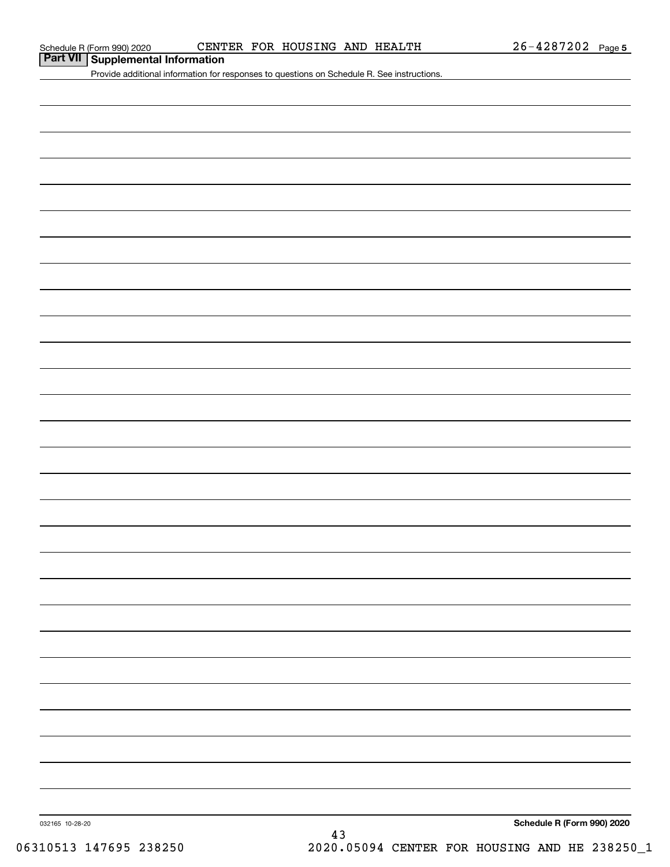**Part VII Supplemental Information**

Provide additional information for responses to questions on Schedule R. See instructions.

032165 10-28-20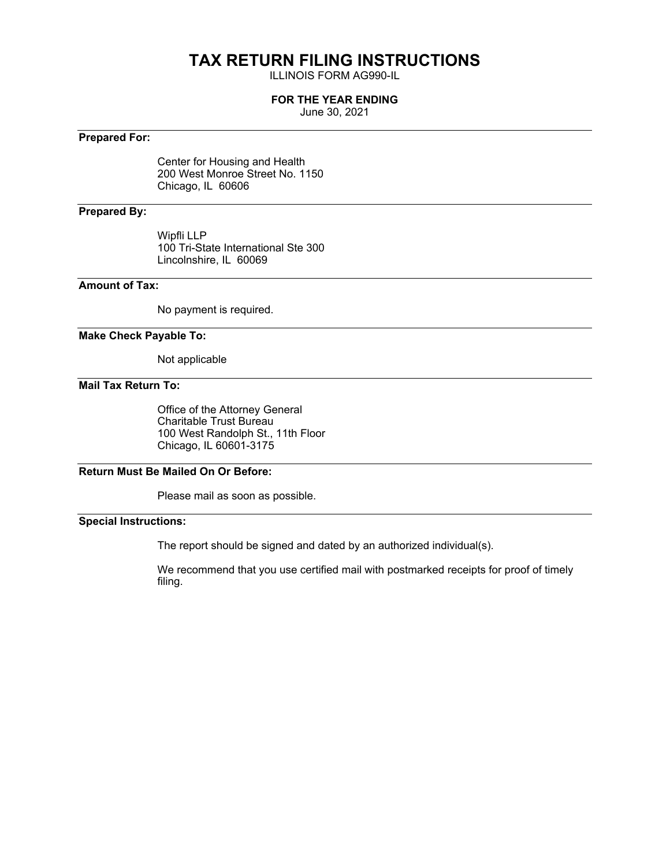## **TAX RETURN FILING INSTRUCTIONS**

ILLINOIS FORM AG990-IL

#### **FOR THE YEAR ENDING**

June 30, 2021

#### **Prepared For:**

Center for Housing and Health 200 West Monroe Street No. 1150 Chicago, IL 60606

#### **Prepared By:**

Wipfli LLP 100 Tri-State International Ste 300 Lincolnshire, IL 60069

### **Amount of Tax:**

No payment is required.

#### **Make Check Payable To:**

Not applicable

#### **Mail Tax Return To:**

Office of the Attorney General Charitable Trust Bureau 100 West Randolph St., 11th Floor Chicago, IL 60601-3175

#### **Return Must Be Mailed On Or Before:**

Please mail as soon as possible.

#### **Special Instructions:**

The report should be signed and dated by an authorized individual(s).

We recommend that you use certified mail with postmarked receipts for proof of timely filing.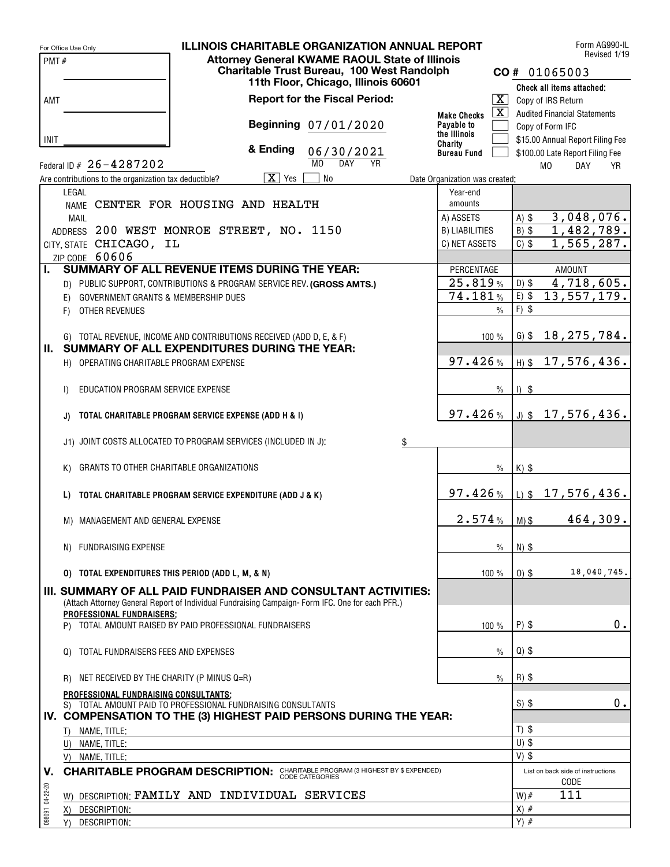|                 | For Office Use Only                                   | <b>ILLINOIS CHARITABLE ORGANIZATION ANNUAL REPORT</b>                                                               |                                |         | Form AG990-IL<br>Revised 1/19                     |
|-----------------|-------------------------------------------------------|---------------------------------------------------------------------------------------------------------------------|--------------------------------|---------|---------------------------------------------------|
| PMT#            |                                                       | <b>Attorney General KWAME RAOUL State of Illinois</b>                                                               |                                |         |                                                   |
|                 |                                                       | Charitable Trust Bureau, 100 West Randolph<br>11th Floor, Chicago, Illinois 60601                                   |                                |         | CO# 01065003                                      |
|                 |                                                       |                                                                                                                     |                                |         | Check all items attached:                         |
| AMT             |                                                       | <b>Report for the Fiscal Period:</b>                                                                                |                                |         | $\boxed{\mathbf{X}}$ Copy of IRS Return           |
|                 |                                                       |                                                                                                                     | <b>Make Checks</b>             |         | $\boxed{\mathbf{X}}$ Audited Financial Statements |
|                 |                                                       | Beginning 07/01/2020                                                                                                | Payable to                     |         | Copy of Form IFC                                  |
| INIT            |                                                       |                                                                                                                     | the Illinois<br>Charity        |         | \$15.00 Annual Report Filing Fee                  |
|                 |                                                       | & Ending<br>06/30/2021                                                                                              | <b>Bureau Fund</b>             |         | \$100.00 Late Report Filing Fee                   |
|                 | Federal ID # 26-4287202                               | M <sub>0</sub><br><b>DAY</b><br><b>YR</b>                                                                           |                                |         | M <sub>0</sub><br><b>DAY</b><br><b>YR</b>         |
|                 | Are contributions to the organization tax deductible? | $\overline{X}$ Yes<br><b>No</b>                                                                                     | Date Organization was created: |         |                                                   |
|                 | LEGAL                                                 |                                                                                                                     | Year-end                       |         |                                                   |
|                 |                                                       | NAME CENTER FOR HOUSING AND HEALTH                                                                                  | amounts                        |         |                                                   |
|                 | <b>MAIL</b>                                           |                                                                                                                     | A) ASSETS                      | $A)$ \$ | 3,048,076.                                        |
|                 |                                                       | ADDRESS 200 WEST MONROE STREET, NO. 1150                                                                            | <b>B) LIABILITIES</b>          | $B)$ \$ | 1,482,789.                                        |
|                 | CITY, STATE CHICAGO, IL                               |                                                                                                                     | C) NET ASSETS                  | $C)$ \$ | 1,565,287.                                        |
|                 | ZIP CODE 60606                                        |                                                                                                                     |                                |         |                                                   |
| Ъ.              |                                                       | SUMMARY OF ALL REVENUE ITEMS DURING THE YEAR:                                                                       | PERCENTAGE                     |         | <b>AMOUNT</b>                                     |
|                 |                                                       | D) PUBLIC SUPPORT, CONTRIBUTIONS & PROGRAM SERVICE REV. (GROSS AMTS.)                                               | 25.819%                        | $D)$ \$ | 4,718,605.                                        |
|                 | GOVERNMENT GRANTS & MEMBERSHIP DUES<br>E).            |                                                                                                                     | 74.181%                        | $E)$ \$ | 13,557,179.                                       |
|                 | OTHER REVENUES<br>F)                                  |                                                                                                                     | $\frac{0}{0}$                  | $F)$ \$ |                                                   |
|                 |                                                       |                                                                                                                     |                                |         |                                                   |
|                 |                                                       |                                                                                                                     | 100%                           | $G)$ \$ | 18,275,784.                                       |
| II. .           |                                                       | G) TOTAL REVENUE, INCOME AND CONTRIBUTIONS RECEIVED (ADD D, E, & F)<br>SUMMARY OF ALL EXPENDITURES DURING THE YEAR: |                                |         |                                                   |
|                 |                                                       |                                                                                                                     | 97.426%                        |         |                                                   |
|                 | H) OPERATING CHARITABLE PROGRAM EXPENSE               |                                                                                                                     |                                |         | $H)$ \$ 17,576,436.                               |
|                 |                                                       |                                                                                                                     |                                |         |                                                   |
|                 | EDUCATION PROGRAM SERVICE EXPENSE<br>$\vert$          |                                                                                                                     | $\%$                           | $1)$ \$ |                                                   |
|                 |                                                       |                                                                                                                     |                                |         |                                                   |
|                 | J)                                                    | TOTAL CHARITABLE PROGRAM SERVICE EXPENSE (ADD H & I)                                                                | 97.426%                        |         | $J)$ \$ 17,576,436.                               |
|                 |                                                       |                                                                                                                     |                                |         |                                                   |
|                 |                                                       | J1) JOINT COSTS ALLOCATED TO PROGRAM SERVICES (INCLUDED IN J):<br>\$                                                |                                |         |                                                   |
|                 |                                                       |                                                                                                                     |                                |         |                                                   |
|                 | GRANTS TO OTHER CHARITABLE ORGANIZATIONS<br>K)        |                                                                                                                     | $\%$                           | $K)$ \$ |                                                   |
|                 |                                                       |                                                                                                                     |                                |         |                                                   |
|                 | L)                                                    | TOTAL CHARITABLE PROGRAM SERVICE EXPENDITURE (ADD J & K)                                                            | 97.426%                        |         | $L$ ) \$ 17,576,436.                              |
|                 |                                                       |                                                                                                                     |                                |         |                                                   |
|                 | M) MANAGEMENT AND GENERAL EXPENSE                     |                                                                                                                     | 2.574%                         | $M)$ \$ | 464,309.                                          |
|                 |                                                       |                                                                                                                     |                                |         |                                                   |
|                 | N) FUNDRAISING EXPENSE                                |                                                                                                                     | $\%$                           | $N)$ \$ |                                                   |
|                 |                                                       |                                                                                                                     |                                |         |                                                   |
|                 | 0) TOTAL EXPENDITURES THIS PERIOD (ADD L, M, & N)     |                                                                                                                     | 100 %                          | $0)$ \$ | 18,040,745.                                       |
|                 |                                                       | <b>III. SUMMARY OF ALL PAID FUNDRAISER AND CONSULTANT ACTIVITIES:</b>                                               |                                |         |                                                   |
|                 |                                                       | (Attach Attorney General Report of Individual Fundraising Campaign-Form IFC. One for each PFR.)                     |                                |         |                                                   |
|                 | PROFESSIONAL FUNDRAISERS:                             |                                                                                                                     |                                |         |                                                   |
|                 |                                                       | P) TOTAL AMOUNT RAISED BY PAID PROFESSIONAL FUNDRAISERS                                                             | 100%                           | $P)$ \$ | 0.                                                |
|                 |                                                       |                                                                                                                     |                                |         |                                                   |
|                 | TOTAL FUNDRAISERS FEES AND EXPENSES<br>Q)             |                                                                                                                     | $\%$                           | $Q)$ \$ |                                                   |
|                 |                                                       |                                                                                                                     |                                |         |                                                   |
|                 | NET RECEIVED BY THE CHARITY (P MINUS Q=R)<br>R)       |                                                                                                                     | $\%$                           | $R)$ \$ |                                                   |
|                 | PROFESSIONAL FUNDRAISING CONSULTANTS;                 |                                                                                                                     |                                |         |                                                   |
|                 |                                                       | S) TOTAL AMOUNT PAID TO PROFESSIONAL FUNDRAISING CONSULTANTS                                                        |                                | $S)$ \$ | 0.                                                |
|                 |                                                       | IV. COMPENSATION TO THE (3) HIGHEST PAID PERSONS DURING THE YEAR:                                                   |                                |         |                                                   |
|                 | T) NAME, TITLE:                                       |                                                                                                                     |                                | $T)$ \$ |                                                   |
|                 | U) NAME, TITLE:                                       |                                                                                                                     |                                | $U)$ \$ |                                                   |
|                 | V) NAME, TITLE:                                       |                                                                                                                     |                                | $V)$ \$ |                                                   |
| V.              |                                                       | <b>CHARITABLE PROGRAM DESCRIPTION: CHARITABLE PROGRAM (3 HIGHEST BY \$ EXPENDED)</b>                                |                                |         | List on back side of instructions                 |
|                 |                                                       |                                                                                                                     |                                |         | CODE                                              |
|                 |                                                       | W) DESCRIPTION: FAMILY AND INDIVIDUAL SERVICES                                                                      |                                | $W)$ #  | 111                                               |
| 098091 04-22-20 | DESCRIPTION:<br>X)                                    |                                                                                                                     |                                | $X)$ #  |                                                   |
|                 | Y) DESCRIPTION:                                       |                                                                                                                     |                                | $Y)$ #  |                                                   |
|                 |                                                       |                                                                                                                     |                                |         |                                                   |